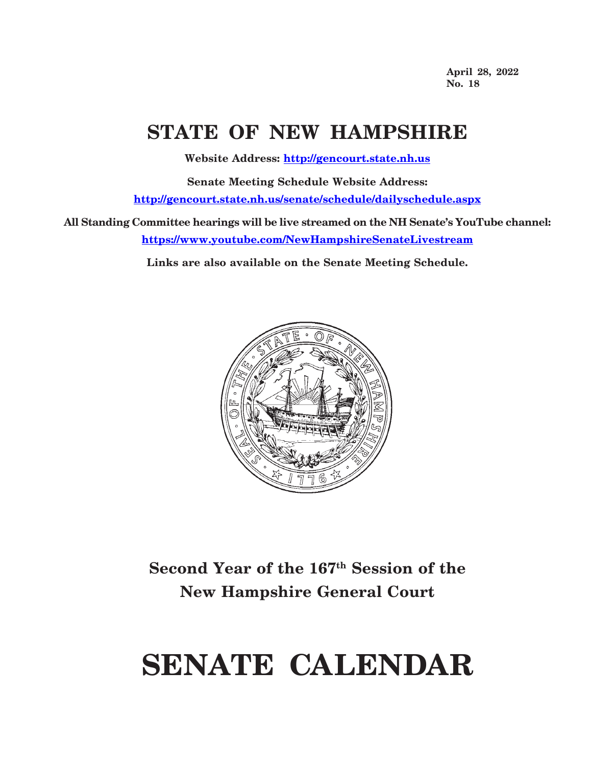**April 28, 2022 No. 18**

## **STATE OF NEW HAMPSHIRE**

**Website Address: http://gencourt.state.nh.us**

**Senate Meeting Schedule Website Address: http://gencourt.state.nh.us/senate/schedule/dailyschedule.aspx**

**All Standing Committee hearings will be live streamed on the NH Senate's YouTube channel: https://www.youtube.com/NewHampshireSenateLivestream**

**Links are also available on the Senate Meeting Schedule.**



## **Second Year of the 167th Session of the New Hampshire General Court**

# **SENATE CALENDAR**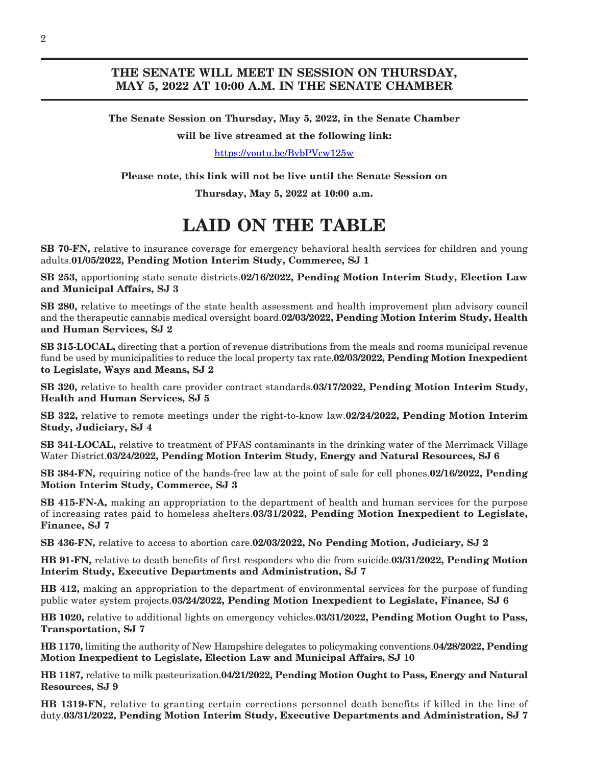### **THE SENATE WILL MEET IN SESSION ON THURSDAY, MAY 5, 2022 AT 10:00 A.M. IN THE SENATE CHAMBER**

**The Senate Session on Thursday, May 5, 2022, in the Senate Chamber**

**will be live streamed at the following link:**

<https://youtu.be/BvbPVcw125w>

**Please note, this link will not be live until the Senate Session on**

**Thursday, May 5, 2022 at 10:00 a.m.**

## **LAID ON THE TABLE**

**SB 70-FN,** relative to insurance coverage for emergency behavioral health services for children and young adults.**01/05/2022, Pending Motion Interim Study, Commerce, SJ 1**

**SB 253,** apportioning state senate districts.**02/16/2022, Pending Motion Interim Study, Election Law and Municipal Affairs, SJ 3**

**SB 280,** relative to meetings of the state health assessment and health improvement plan advisory council and the therapeutic cannabis medical oversight board.**02/03/2022, Pending Motion Interim Study, Health and Human Services, SJ 2**

**SB 315-LOCAL,** directing that a portion of revenue distributions from the meals and rooms municipal revenue fund be used by municipalities to reduce the local property tax rate.**02/03/2022, Pending Motion Inexpedient to Legislate, Ways and Means, SJ 2**

**SB 320,** relative to health care provider contract standards.**03/17/2022, Pending Motion Interim Study, Health and Human Services, SJ 5**

**SB 322,** relative to remote meetings under the right-to-know law.**02/24/2022, Pending Motion Interim Study, Judiciary, SJ 4**

**SB 341-LOCAL,** relative to treatment of PFAS contaminants in the drinking water of the Merrimack Village Water District.**03/24/2022, Pending Motion Interim Study, Energy and Natural Resources, SJ 6**

**SB 384-FN,** requiring notice of the hands-free law at the point of sale for cell phones.**02/16/2022, Pending Motion Interim Study, Commerce, SJ 3**

**SB 415-FN-A,** making an appropriation to the department of health and human services for the purpose of increasing rates paid to homeless shelters.**03/31/2022, Pending Motion Inexpedient to Legislate, Finance, SJ 7**

**SB 436-FN,** relative to access to abortion care.**02/03/2022, No Pending Motion, Judiciary, SJ 2**

**HB 91-FN,** relative to death benefits of first responders who die from suicide.**03/31/2022, Pending Motion Interim Study, Executive Departments and Administration, SJ 7**

**HB 412,** making an appropriation to the department of environmental services for the purpose of funding public water system projects.**03/24/2022, Pending Motion Inexpedient to Legislate, Finance, SJ 6**

**HB 1020,** relative to additional lights on emergency vehicles.**03/31/2022, Pending Motion Ought to Pass, Transportation, SJ 7**

**HB 1170,** limiting the authority of New Hampshire delegates to policymaking conventions.**04/28/2022, Pending Motion Inexpedient to Legislate, Election Law and Municipal Affairs, SJ 10**

**HB 1187,** relative to milk pasteurization.**04/21/2022, Pending Motion Ought to Pass, Energy and Natural Resources, SJ 9**

**HB 1319-FN,** relative to granting certain corrections personnel death benefits if killed in the line of duty.**03/31/2022, Pending Motion Interim Study, Executive Departments and Administration, SJ 7**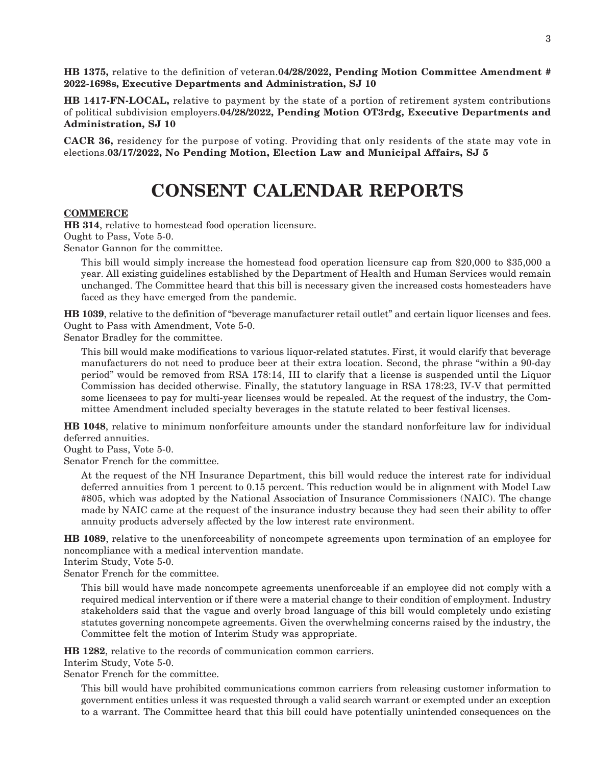**HB 1375,** relative to the definition of veteran.**04/28/2022, Pending Motion Committee Amendment # 2022-1698s, Executive Departments and Administration, SJ 10**

**HB 1417-FN-LOCAL,** relative to payment by the state of a portion of retirement system contributions of political subdivision employers.**04/28/2022, Pending Motion OT3rdg, Executive Departments and Administration, SJ 10**

**CACR 36,** residency for the purpose of voting. Providing that only residents of the state may vote in elections.**03/17/2022, No Pending Motion, Election Law and Municipal Affairs, SJ 5**

## **CONSENT CALENDAR REPORTS**

#### **COMMERCE**

**HB 314**, relative to homestead food operation licensure. Ought to Pass, Vote 5-0.

Senator Gannon for the committee.

This bill would simply increase the homestead food operation licensure cap from \$20,000 to \$35,000 a year. All existing guidelines established by the Department of Health and Human Services would remain unchanged. The Committee heard that this bill is necessary given the increased costs homesteaders have faced as they have emerged from the pandemic.

**HB 1039**, relative to the definition of "beverage manufacturer retail outlet" and certain liquor licenses and fees. Ought to Pass with Amendment, Vote 5-0.

Senator Bradley for the committee.

This bill would make modifications to various liquor-related statutes. First, it would clarify that beverage manufacturers do not need to produce beer at their extra location. Second, the phrase "within a 90-day period" would be removed from RSA 178:14, III to clarify that a license is suspended until the Liquor Commission has decided otherwise. Finally, the statutory language in RSA 178:23, IV-V that permitted some licensees to pay for multi-year licenses would be repealed. At the request of the industry, the Committee Amendment included specialty beverages in the statute related to beer festival licenses.

**HB 1048**, relative to minimum nonforfeiture amounts under the standard nonforfeiture law for individual deferred annuities.

Ought to Pass, Vote 5-0.

Senator French for the committee.

At the request of the NH Insurance Department, this bill would reduce the interest rate for individual deferred annuities from 1 percent to 0.15 percent. This reduction would be in alignment with Model Law #805, which was adopted by the National Association of Insurance Commissioners (NAIC). The change made by NAIC came at the request of the insurance industry because they had seen their ability to offer annuity products adversely affected by the low interest rate environment.

**HB 1089**, relative to the unenforceability of noncompete agreements upon termination of an employee for noncompliance with a medical intervention mandate.

Interim Study, Vote 5-0.

Senator French for the committee.

This bill would have made noncompete agreements unenforceable if an employee did not comply with a required medical intervention or if there were a material change to their condition of employment. Industry stakeholders said that the vague and overly broad language of this bill would completely undo existing statutes governing noncompete agreements. Given the overwhelming concerns raised by the industry, the Committee felt the motion of Interim Study was appropriate.

**HB 1282**, relative to the records of communication common carriers.

Interim Study, Vote 5-0.

Senator French for the committee.

This bill would have prohibited communications common carriers from releasing customer information to government entities unless it was requested through a valid search warrant or exempted under an exception to a warrant. The Committee heard that this bill could have potentially unintended consequences on the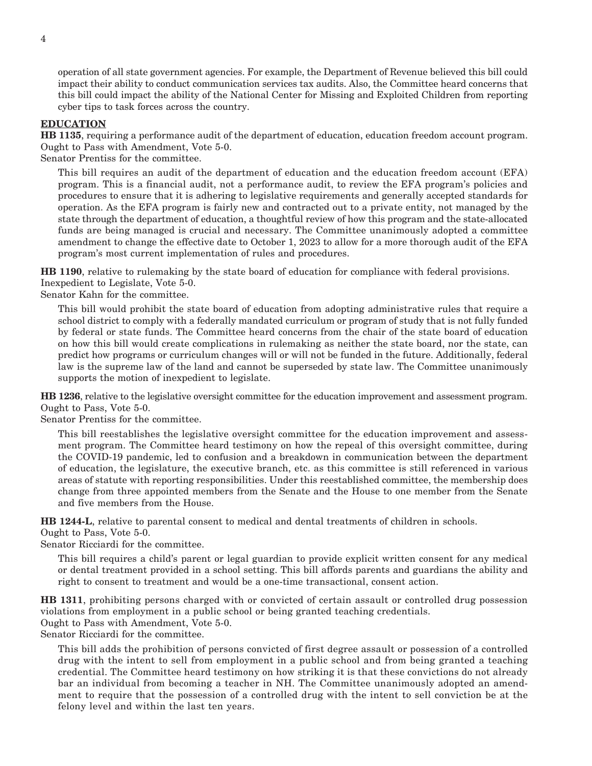operation of all state government agencies. For example, the Department of Revenue believed this bill could impact their ability to conduct communication services tax audits. Also, the Committee heard concerns that this bill could impact the ability of the National Center for Missing and Exploited Children from reporting cyber tips to task forces across the country.

#### **EDUCATION**

**HB 1135**, requiring a performance audit of the department of education, education freedom account program. Ought to Pass with Amendment, Vote 5-0.

Senator Prentiss for the committee.

This bill requires an audit of the department of education and the education freedom account (EFA) program. This is a financial audit, not a performance audit, to review the EFA program's policies and procedures to ensure that it is adhering to legislative requirements and generally accepted standards for operation. As the EFA program is fairly new and contracted out to a private entity, not managed by the state through the department of education, a thoughtful review of how this program and the state-allocated funds are being managed is crucial and necessary. The Committee unanimously adopted a committee amendment to change the effective date to October 1, 2023 to allow for a more thorough audit of the EFA program's most current implementation of rules and procedures.

**HB 1190**, relative to rulemaking by the state board of education for compliance with federal provisions. Inexpedient to Legislate, Vote 5-0.

Senator Kahn for the committee.

This bill would prohibit the state board of education from adopting administrative rules that require a school district to comply with a federally mandated curriculum or program of study that is not fully funded by federal or state funds. The Committee heard concerns from the chair of the state board of education on how this bill would create complications in rulemaking as neither the state board, nor the state, can predict how programs or curriculum changes will or will not be funded in the future. Additionally, federal law is the supreme law of the land and cannot be superseded by state law. The Committee unanimously supports the motion of inexpedient to legislate.

**HB 1236**, relative to the legislative oversight committee for the education improvement and assessment program. Ought to Pass, Vote 5-0.

Senator Prentiss for the committee.

This bill reestablishes the legislative oversight committee for the education improvement and assessment program. The Committee heard testimony on how the repeal of this oversight committee, during the COVID-19 pandemic, led to confusion and a breakdown in communication between the department of education, the legislature, the executive branch, etc. as this committee is still referenced in various areas of statute with reporting responsibilities. Under this reestablished committee, the membership does change from three appointed members from the Senate and the House to one member from the Senate and five members from the House.

**HB 1244-L**, relative to parental consent to medical and dental treatments of children in schools.

Ought to Pass, Vote 5-0.

Senator Ricciardi for the committee.

This bill requires a child's parent or legal guardian to provide explicit written consent for any medical or dental treatment provided in a school setting. This bill affords parents and guardians the ability and right to consent to treatment and would be a one-time transactional, consent action.

**HB 1311**, prohibiting persons charged with or convicted of certain assault or controlled drug possession violations from employment in a public school or being granted teaching credentials.

Ought to Pass with Amendment, Vote 5-0.

Senator Ricciardi for the committee.

This bill adds the prohibition of persons convicted of first degree assault or possession of a controlled drug with the intent to sell from employment in a public school and from being granted a teaching credential. The Committee heard testimony on how striking it is that these convictions do not already bar an individual from becoming a teacher in NH. The Committee unanimously adopted an amendment to require that the possession of a controlled drug with the intent to sell conviction be at the felony level and within the last ten years.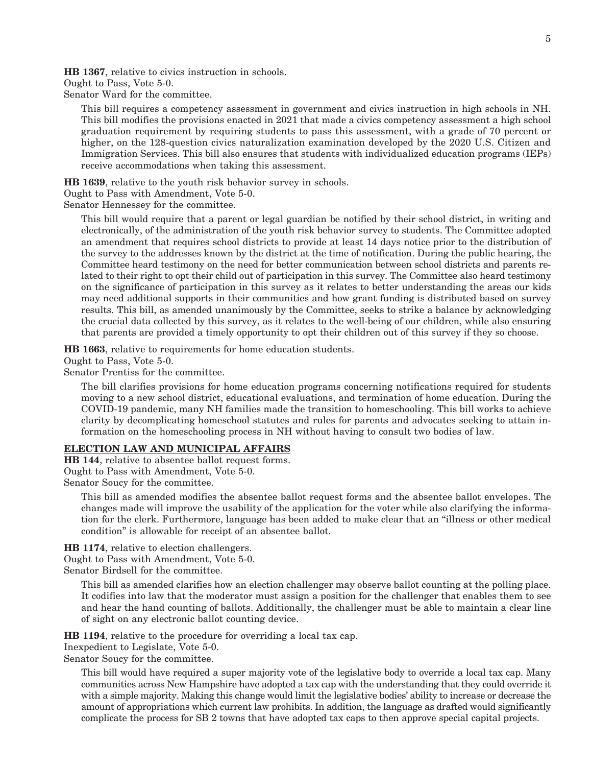**HB 1367**, relative to civics instruction in schools. Ought to Pass, Vote 5-0.

Senator Ward for the committee.

This bill requires a competency assessment in government and civics instruction in high schools in NH. This bill modifies the provisions enacted in 2021 that made a civics competency assessment a high school graduation requirement by requiring students to pass this assessment, with a grade of 70 percent or higher, on the 128-question civics naturalization examination developed by the 2020 U.S. Citizen and Immigration Services. This bill also ensures that students with individualized education programs (IEPs) receive accommodations when taking this assessment.

**HB 1639**, relative to the youth risk behavior survey in schools.

Ought to Pass with Amendment, Vote 5-0.

Senator Hennessey for the committee.

This bill would require that a parent or legal guardian be notified by their school district, in writing and electronically, of the administration of the youth risk behavior survey to students. The Committee adopted an amendment that requires school districts to provide at least 14 days notice prior to the distribution of the survey to the addresses known by the district at the time of notification. During the public hearing, the Committee heard testimony on the need for better communication between school districts and parents related to their right to opt their child out of participation in this survey. The Committee also heard testimony on the significance of participation in this survey as it relates to better understanding the areas our kids may need additional supports in their communities and how grant funding is distributed based on survey results. This bill, as amended unanimously by the Committee, seeks to strike a balance by acknowledging the crucial data collected by this survey, as it relates to the well-being of our children, while also ensuring that parents are provided a timely opportunity to opt their children out of this survey if they so choose.

**HB 1663**, relative to requirements for home education students.

Ought to Pass, Vote 5-0.

Senator Prentiss for the committee.

The bill clarifies provisions for home education programs concerning notifications required for students moving to a new school district, educational evaluations, and termination of home education. During the COVID-19 pandemic, many NH families made the transition to homeschooling. This bill works to achieve clarity by decomplicating homeschool statutes and rules for parents and advocates seeking to attain information on the homeschooling process in NH without having to consult two bodies of law.

#### **ELECTION LAW AND MUNICIPAL AFFAIRS**

**HB 144**, relative to absentee ballot request forms. Ought to Pass with Amendment, Vote 5-0. Senator Soucy for the committee.

This bill as amended modifies the absentee ballot request forms and the absentee ballot envelopes. The changes made will improve the usability of the application for the voter while also clarifying the information for the clerk. Furthermore, language has been added to make clear that an "illness or other medical condition" is allowable for receipt of an absentee ballot.

**HB 1174**, relative to election challengers. Ought to Pass with Amendment, Vote 5-0. Senator Birdsell for the committee.

This bill as amended clarifies how an election challenger may observe ballot counting at the polling place. It codifies into law that the moderator must assign a position for the challenger that enables them to see and hear the hand counting of ballots. Additionally, the challenger must be able to maintain a clear line of sight on any electronic ballot counting device.

**HB 1194**, relative to the procedure for overriding a local tax cap.

Inexpedient to Legislate, Vote 5-0.

Senator Soucy for the committee.

This bill would have required a super majority vote of the legislative body to override a local tax cap. Many communities across New Hampshire have adopted a tax cap with the understanding that they could override it with a simple majority. Making this change would limit the legislative bodies' ability to increase or decrease the amount of appropriations which current law prohibits. In addition, the language as drafted would significantly complicate the process for SB 2 towns that have adopted tax caps to then approve special capital projects.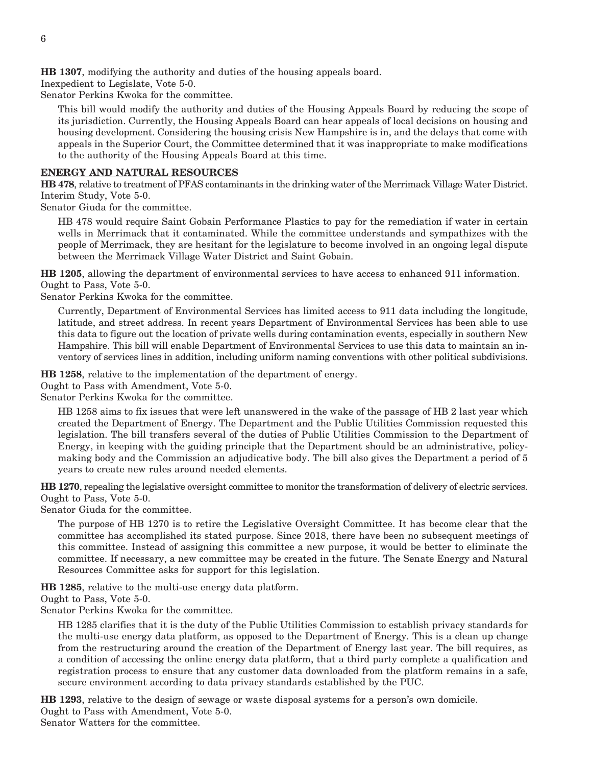**HB 1307**, modifying the authority and duties of the housing appeals board.

Inexpedient to Legislate, Vote 5-0.

Senator Perkins Kwoka for the committee.

This bill would modify the authority and duties of the Housing Appeals Board by reducing the scope of its jurisdiction. Currently, the Housing Appeals Board can hear appeals of local decisions on housing and housing development. Considering the housing crisis New Hampshire is in, and the delays that come with appeals in the Superior Court, the Committee determined that it was inappropriate to make modifications to the authority of the Housing Appeals Board at this time.

#### **ENERGY AND NATURAL RESOURCES**

**HB 478**, relative to treatment of PFAS contaminants in the drinking water of the Merrimack Village Water District. Interim Study, Vote 5-0.

Senator Giuda for the committee.

HB 478 would require Saint Gobain Performance Plastics to pay for the remediation if water in certain wells in Merrimack that it contaminated. While the committee understands and sympathizes with the people of Merrimack, they are hesitant for the legislature to become involved in an ongoing legal dispute between the Merrimack Village Water District and Saint Gobain.

**HB 1205**, allowing the department of environmental services to have access to enhanced 911 information. Ought to Pass, Vote 5-0.

Senator Perkins Kwoka for the committee.

Currently, Department of Environmental Services has limited access to 911 data including the longitude, latitude, and street address. In recent years Department of Environmental Services has been able to use this data to figure out the location of private wells during contamination events, especially in southern New Hampshire. This bill will enable Department of Environmental Services to use this data to maintain an inventory of services lines in addition, including uniform naming conventions with other political subdivisions.

**HB 1258**, relative to the implementation of the department of energy.

Ought to Pass with Amendment, Vote 5-0.

Senator Perkins Kwoka for the committee.

HB 1258 aims to fix issues that were left unanswered in the wake of the passage of HB 2 last year which created the Department of Energy. The Department and the Public Utilities Commission requested this legislation. The bill transfers several of the duties of Public Utilities Commission to the Department of Energy, in keeping with the guiding principle that the Department should be an administrative, policymaking body and the Commission an adjudicative body. The bill also gives the Department a period of 5 years to create new rules around needed elements.

**HB 1270**, repealing the legislative oversight committee to monitor the transformation of delivery of electric services. Ought to Pass, Vote 5-0.

Senator Giuda for the committee.

The purpose of HB 1270 is to retire the Legislative Oversight Committee. It has become clear that the committee has accomplished its stated purpose. Since 2018, there have been no subsequent meetings of this committee. Instead of assigning this committee a new purpose, it would be better to eliminate the committee. If necessary, a new committee may be created in the future. The Senate Energy and Natural Resources Committee asks for support for this legislation.

**HB 1285**, relative to the multi-use energy data platform.

Ought to Pass, Vote 5-0.

Senator Perkins Kwoka for the committee.

HB 1285 clarifies that it is the duty of the Public Utilities Commission to establish privacy standards for the multi-use energy data platform, as opposed to the Department of Energy. This is a clean up change from the restructuring around the creation of the Department of Energy last year. The bill requires, as a condition of accessing the online energy data platform, that a third party complete a qualification and registration process to ensure that any customer data downloaded from the platform remains in a safe, secure environment according to data privacy standards established by the PUC.

**HB 1293**, relative to the design of sewage or waste disposal systems for a person's own domicile. Ought to Pass with Amendment, Vote 5-0. Senator Watters for the committee.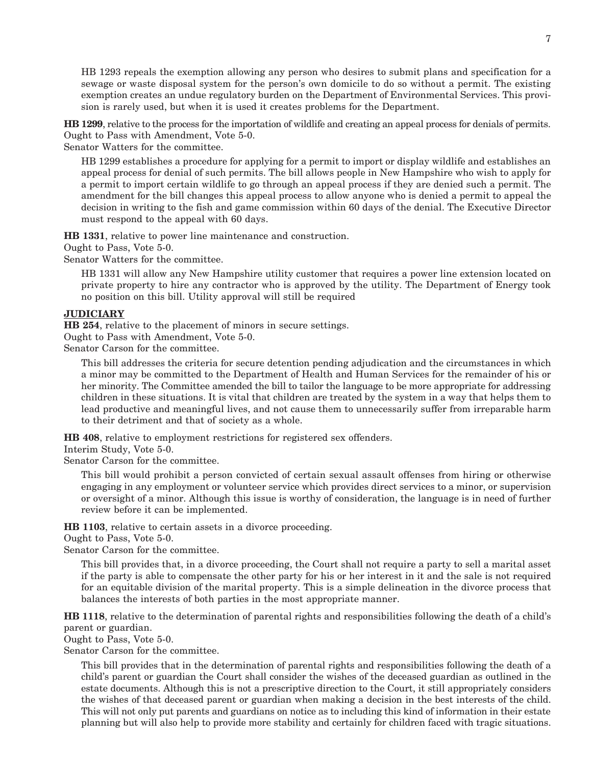HB 1293 repeals the exemption allowing any person who desires to submit plans and specification for a sewage or waste disposal system for the person's own domicile to do so without a permit. The existing exemption creates an undue regulatory burden on the Department of Environmental Services. This provision is rarely used, but when it is used it creates problems for the Department.

**HB 1299**, relative to the process for the importation of wildlife and creating an appeal process for denials of permits. Ought to Pass with Amendment, Vote 5-0.

Senator Watters for the committee.

HB 1299 establishes a procedure for applying for a permit to import or display wildlife and establishes an appeal process for denial of such permits. The bill allows people in New Hampshire who wish to apply for a permit to import certain wildlife to go through an appeal process if they are denied such a permit. The amendment for the bill changes this appeal process to allow anyone who is denied a permit to appeal the decision in writing to the fish and game commission within 60 days of the denial. The Executive Director must respond to the appeal with 60 days.

**HB 1331**, relative to power line maintenance and construction.

Ought to Pass, Vote 5-0.

Senator Watters for the committee.

HB 1331 will allow any New Hampshire utility customer that requires a power line extension located on private property to hire any contractor who is approved by the utility. The Department of Energy took no position on this bill. Utility approval will still be required

#### **JUDICIARY**

**HB 254**, relative to the placement of minors in secure settings.

Ought to Pass with Amendment, Vote 5-0.

Senator Carson for the committee.

This bill addresses the criteria for secure detention pending adjudication and the circumstances in which a minor may be committed to the Department of Health and Human Services for the remainder of his or her minority. The Committee amended the bill to tailor the language to be more appropriate for addressing children in these situations. It is vital that children are treated by the system in a way that helps them to lead productive and meaningful lives, and not cause them to unnecessarily suffer from irreparable harm to their detriment and that of society as a whole.

**HB 408**, relative to employment restrictions for registered sex offenders.

Interim Study, Vote 5-0.

Senator Carson for the committee.

This bill would prohibit a person convicted of certain sexual assault offenses from hiring or otherwise engaging in any employment or volunteer service which provides direct services to a minor, or supervision or oversight of a minor. Although this issue is worthy of consideration, the language is in need of further review before it can be implemented.

**HB 1103**, relative to certain assets in a divorce proceeding.

Ought to Pass, Vote 5-0.

Senator Carson for the committee.

This bill provides that, in a divorce proceeding, the Court shall not require a party to sell a marital asset if the party is able to compensate the other party for his or her interest in it and the sale is not required for an equitable division of the marital property. This is a simple delineation in the divorce process that balances the interests of both parties in the most appropriate manner.

**HB 1118**, relative to the determination of parental rights and responsibilities following the death of a child's parent or guardian.

Ought to Pass, Vote 5-0.

Senator Carson for the committee.

This bill provides that in the determination of parental rights and responsibilities following the death of a child's parent or guardian the Court shall consider the wishes of the deceased guardian as outlined in the estate documents. Although this is not a prescriptive direction to the Court, it still appropriately considers the wishes of that deceased parent or guardian when making a decision in the best interests of the child. This will not only put parents and guardians on notice as to including this kind of information in their estate planning but will also help to provide more stability and certainly for children faced with tragic situations.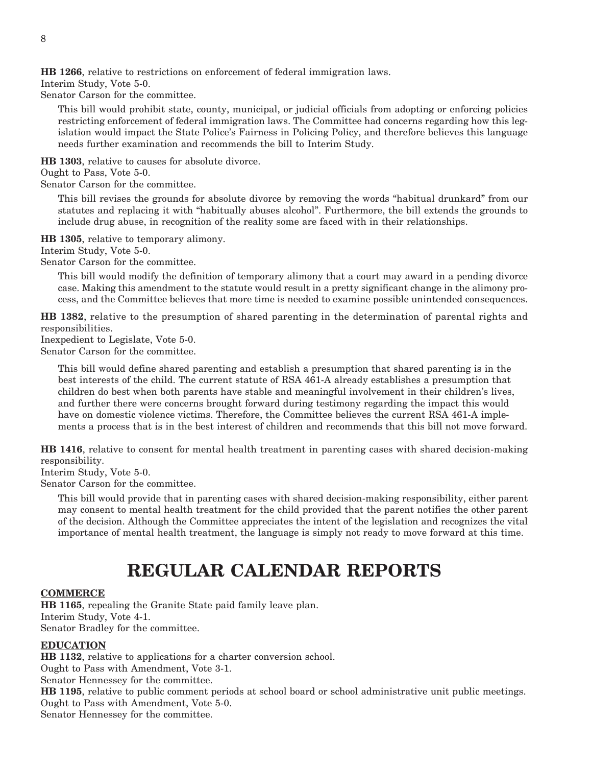**HB 1266**, relative to restrictions on enforcement of federal immigration laws.

Interim Study, Vote 5-0.

Senator Carson for the committee.

This bill would prohibit state, county, municipal, or judicial officials from adopting or enforcing policies restricting enforcement of federal immigration laws. The Committee had concerns regarding how this legislation would impact the State Police's Fairness in Policing Policy, and therefore believes this language needs further examination and recommends the bill to Interim Study.

**HB 1303**, relative to causes for absolute divorce.

Ought to Pass, Vote 5-0.

Senator Carson for the committee.

This bill revises the grounds for absolute divorce by removing the words "habitual drunkard" from our statutes and replacing it with "habitually abuses alcohol". Furthermore, the bill extends the grounds to include drug abuse, in recognition of the reality some are faced with in their relationships.

**HB 1305**, relative to temporary alimony.

Interim Study, Vote 5-0.

Senator Carson for the committee.

This bill would modify the definition of temporary alimony that a court may award in a pending divorce case. Making this amendment to the statute would result in a pretty significant change in the alimony process, and the Committee believes that more time is needed to examine possible unintended consequences.

**HB 1382**, relative to the presumption of shared parenting in the determination of parental rights and responsibilities.

Inexpedient to Legislate, Vote 5-0.

Senator Carson for the committee.

This bill would define shared parenting and establish a presumption that shared parenting is in the best interests of the child. The current statute of RSA 461-A already establishes a presumption that children do best when both parents have stable and meaningful involvement in their children's lives, and further there were concerns brought forward during testimony regarding the impact this would have on domestic violence victims. Therefore, the Committee believes the current RSA 461-A implements a process that is in the best interest of children and recommends that this bill not move forward.

**HB 1416**, relative to consent for mental health treatment in parenting cases with shared decision-making responsibility.

Interim Study, Vote 5-0.

Senator Carson for the committee.

This bill would provide that in parenting cases with shared decision-making responsibility, either parent may consent to mental health treatment for the child provided that the parent notifies the other parent of the decision. Although the Committee appreciates the intent of the legislation and recognizes the vital importance of mental health treatment, the language is simply not ready to move forward at this time.

## **REGULAR CALENDAR REPORTS**

#### **COMMERCE**

**HB 1165**, repealing the Granite State paid family leave plan. Interim Study, Vote 4-1. Senator Bradley for the committee.

#### **EDUCATION**

**HB 1132**, relative to applications for a charter conversion school.

Ought to Pass with Amendment, Vote 3-1.

Senator Hennessey for the committee.

**HB 1195**, relative to public comment periods at school board or school administrative unit public meetings. Ought to Pass with Amendment, Vote 5-0.

Senator Hennessey for the committee.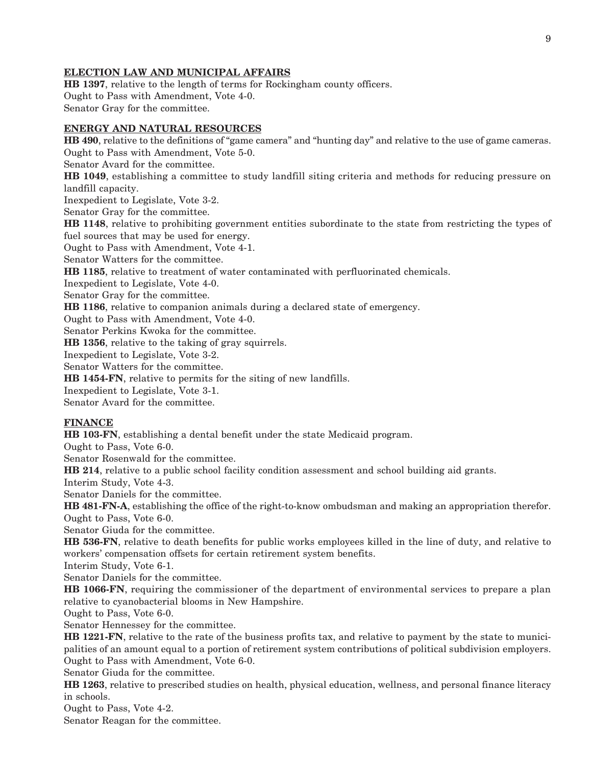#### **ELECTION LAW AND MUNICIPAL AFFAIRS**

**HB 1397**, relative to the length of terms for Rockingham county officers. Ought to Pass with Amendment, Vote 4-0. Senator Gray for the committee.

#### **ENERGY AND NATURAL RESOURCES**

**HB 490**, relative to the definitions of "game camera" and "hunting day" and relative to the use of game cameras. Ought to Pass with Amendment, Vote 5-0. Senator Avard for the committee. **HB 1049**, establishing a committee to study landfill siting criteria and methods for reducing pressure on landfill capacity. Inexpedient to Legislate, Vote 3-2. Senator Gray for the committee. **HB 1148**, relative to prohibiting government entities subordinate to the state from restricting the types of fuel sources that may be used for energy. Ought to Pass with Amendment, Vote 4-1. Senator Watters for the committee. **HB 1185**, relative to treatment of water contaminated with perfluorinated chemicals. Inexpedient to Legislate, Vote 4-0. Senator Gray for the committee. **HB 1186**, relative to companion animals during a declared state of emergency. Ought to Pass with Amendment, Vote 4-0. Senator Perkins Kwoka for the committee. **HB 1356**, relative to the taking of gray squirrels. Inexpedient to Legislate, Vote 3-2. Senator Watters for the committee. **HB 1454-FN**, relative to permits for the siting of new landfills. Inexpedient to Legislate, Vote 3-1. Senator Avard for the committee.

#### **FINANCE**

**HB 103-FN**, establishing a dental benefit under the state Medicaid program.

Ought to Pass, Vote 6-0.

Senator Rosenwald for the committee.

**HB 214**, relative to a public school facility condition assessment and school building aid grants.

Interim Study, Vote 4-3.

Senator Daniels for the committee.

**HB 481-FN-A**, establishing the office of the right-to-know ombudsman and making an appropriation therefor. Ought to Pass, Vote 6-0.

Senator Giuda for the committee.

**HB 536-FN**, relative to death benefits for public works employees killed in the line of duty, and relative to workers' compensation offsets for certain retirement system benefits.

Interim Study, Vote 6-1.

Senator Daniels for the committee.

**HB 1066-FN**, requiring the commissioner of the department of environmental services to prepare a plan relative to cyanobacterial blooms in New Hampshire.

Ought to Pass, Vote 6-0.

Senator Hennessey for the committee.

**HB 1221-FN**, relative to the rate of the business profits tax, and relative to payment by the state to municipalities of an amount equal to a portion of retirement system contributions of political subdivision employers. Ought to Pass with Amendment, Vote 6-0.

Senator Giuda for the committee.

**HB 1263**, relative to prescribed studies on health, physical education, wellness, and personal finance literacy in schools.

Ought to Pass, Vote 4-2.

Senator Reagan for the committee.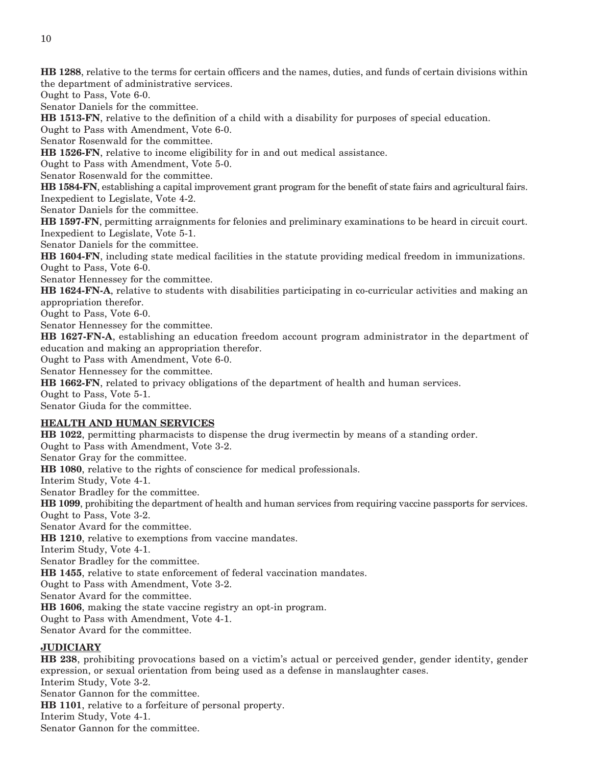**HB 1288**, relative to the terms for certain officers and the names, duties, and funds of certain divisions within the department of administrative services.

Ought to Pass, Vote 6-0.

Senator Daniels for the committee.

**HB 1513-FN**, relative to the definition of a child with a disability for purposes of special education.

Ought to Pass with Amendment, Vote 6-0.

Senator Rosenwald for the committee.

**HB 1526-FN**, relative to income eligibility for in and out medical assistance.

Ought to Pass with Amendment, Vote 5-0.

Senator Rosenwald for the committee.

**HB 1584-FN**, establishing a capital improvement grant program for the benefit of state fairs and agricultural fairs. Inexpedient to Legislate, Vote 4-2.

Senator Daniels for the committee.

**HB 1597-FN**, permitting arraignments for felonies and preliminary examinations to be heard in circuit court. Inexpedient to Legislate, Vote 5-1.

Senator Daniels for the committee.

**HB 1604-FN**, including state medical facilities in the statute providing medical freedom in immunizations. Ought to Pass, Vote 6-0.

Senator Hennessey for the committee.

**HB 1624-FN-A**, relative to students with disabilities participating in co-curricular activities and making an appropriation therefor.

Ought to Pass, Vote 6-0.

Senator Hennessey for the committee.

**HB 1627-FN-A**, establishing an education freedom account program administrator in the department of education and making an appropriation therefor.

Ought to Pass with Amendment, Vote 6-0.

Senator Hennessey for the committee.

**HB 1662-FN**, related to privacy obligations of the department of health and human services.

Ought to Pass, Vote 5-1.

Senator Giuda for the committee.

#### **HEALTH AND HUMAN SERVICES**

**HB 1022**, permitting pharmacists to dispense the drug ivermectin by means of a standing order. Ought to Pass with Amendment, Vote 3-2. Senator Gray for the committee. **HB 1080**, relative to the rights of conscience for medical professionals. Interim Study, Vote 4-1. Senator Bradley for the committee. **HB 1099**, prohibiting the department of health and human services from requiring vaccine passports for services. Ought to Pass, Vote 3-2. Senator Avard for the committee. **HB 1210**, relative to exemptions from vaccine mandates. Interim Study, Vote 4-1. Senator Bradley for the committee. **HB 1455**, relative to state enforcement of federal vaccination mandates. Ought to Pass with Amendment, Vote 3-2. Senator Avard for the committee. **HB 1606**, making the state vaccine registry an opt-in program. Ought to Pass with Amendment, Vote 4-1. Senator Avard for the committee.

#### **JUDICIARY**

**HB 238**, prohibiting provocations based on a victim's actual or perceived gender, gender identity, gender expression, or sexual orientation from being used as a defense in manslaughter cases.

Interim Study, Vote 3-2. Senator Gannon for the committee.

**HB 1101**, relative to a forfeiture of personal property.

Interim Study, Vote 4-1.

Senator Gannon for the committee.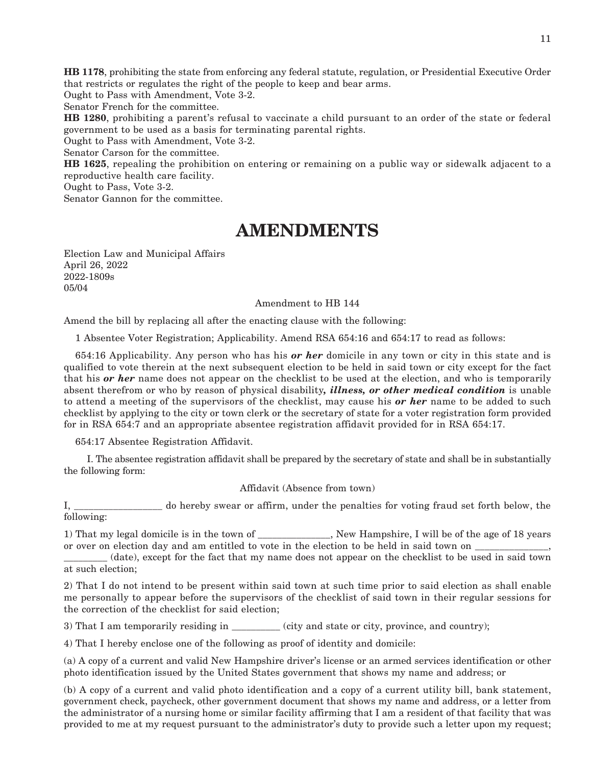**HB 1178**, prohibiting the state from enforcing any federal statute, regulation, or Presidential Executive Order that restricts or regulates the right of the people to keep and bear arms.

Ought to Pass with Amendment, Vote 3-2.

Senator French for the committee.

**HB 1280**, prohibiting a parent's refusal to vaccinate a child pursuant to an order of the state or federal government to be used as a basis for terminating parental rights.

Ought to Pass with Amendment, Vote 3-2.

Senator Carson for the committee.

**HB 1625**, repealing the prohibition on entering or remaining on a public way or sidewalk adjacent to a reproductive health care facility.

Ought to Pass, Vote 3-2.

Senator Gannon for the committee.

## **AMENDMENTS**

Election Law and Municipal Affairs April 26, 2022 2022-1809s 05/04

#### Amendment to HB 144

Amend the bill by replacing all after the enacting clause with the following:

1 Absentee Voter Registration; Applicability. Amend RSA 654:16 and 654:17 to read as follows:

654:16 Applicability. Any person who has his *or her* domicile in any town or city in this state and is qualified to vote therein at the next subsequent election to be held in said town or city except for the fact that his *or her* name does not appear on the checklist to be used at the election, and who is temporarily absent therefrom or who by reason of physical disability*, illness, or other medical condition* is unable to attend a meeting of the supervisors of the checklist, may cause his *or her* name to be added to such checklist by applying to the city or town clerk or the secretary of state for a voter registration form provided for in RSA 654:7 and an appropriate absentee registration affidavit provided for in RSA 654:17.

654:17 Absentee Registration Affidavit.

 I. The absentee registration affidavit shall be prepared by the secretary of state and shall be in substantially the following form:

Affidavit (Absence from town)

I, \_\_\_\_\_\_\_\_\_\_\_\_\_\_\_\_\_\_ do hereby swear or affirm, under the penalties for voting fraud set forth below, the following:

1) That my legal domicile is in the town of \_\_\_\_\_\_\_\_\_\_\_\_\_\_\_, New Hampshire, I will be of the age of 18 years or over on election day and am entitled to vote in the election to be held in said town on

\_\_\_\_\_\_\_\_\_ (date), except for the fact that my name does not appear on the checklist to be used in said town at such election;

2) That I do not intend to be present within said town at such time prior to said election as shall enable me personally to appear before the supervisors of the checklist of said town in their regular sessions for the correction of the checklist for said election;

3) That I am temporarily residing in \_\_\_\_\_\_\_\_\_\_ (city and state or city, province, and country);

4) That I hereby enclose one of the following as proof of identity and domicile:

(a) A copy of a current and valid New Hampshire driver's license or an armed services identification or other photo identification issued by the United States government that shows my name and address; or

(b) A copy of a current and valid photo identification and a copy of a current utility bill, bank statement, government check, paycheck, other government document that shows my name and address, or a letter from the administrator of a nursing home or similar facility affirming that I am a resident of that facility that was provided to me at my request pursuant to the administrator's duty to provide such a letter upon my request;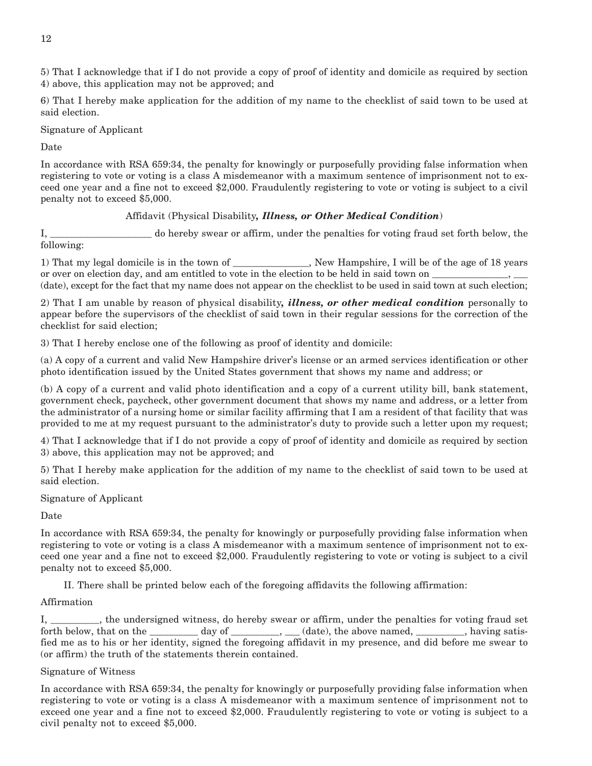5) That I acknowledge that if I do not provide a copy of proof of identity and domicile as required by section 4) above, this application may not be approved; and

6) That I hereby make application for the addition of my name to the checklist of said town to be used at said election.

Signature of Applicant

Date

In accordance with RSA 659:34, the penalty for knowingly or purposefully providing false information when registering to vote or voting is a class A misdemeanor with a maximum sentence of imprisonment not to exceed one year and a fine not to exceed \$2,000. Fraudulently registering to vote or voting is subject to a civil penalty not to exceed \$5,000.

#### Affidavit (Physical Disability*, Illness, or Other Medical Condition*)

I, \_\_\_\_\_\_\_\_\_\_\_\_\_\_\_\_\_\_\_\_\_ do hereby swear or affirm, under the penalties for voting fraud set forth below, the following:

1) That my legal domicile is in the town of \_\_\_\_\_\_\_\_\_\_\_\_\_\_\_\_, New Hampshire, I will be of the age of 18 years or over on election day, and am entitled to vote in the election to be held in said town on  $\equiv$ (date), except for the fact that my name does not appear on the checklist to be used in said town at such election;

2) That I am unable by reason of physical disability*, illness, or other medical condition* personally to appear before the supervisors of the checklist of said town in their regular sessions for the correction of the checklist for said election;

3) That I hereby enclose one of the following as proof of identity and domicile:

(a) A copy of a current and valid New Hampshire driver's license or an armed services identification or other photo identification issued by the United States government that shows my name and address; or

(b) A copy of a current and valid photo identification and a copy of a current utility bill, bank statement, government check, paycheck, other government document that shows my name and address, or a letter from the administrator of a nursing home or similar facility affirming that I am a resident of that facility that was provided to me at my request pursuant to the administrator's duty to provide such a letter upon my request;

4) That I acknowledge that if I do not provide a copy of proof of identity and domicile as required by section 3) above, this application may not be approved; and

5) That I hereby make application for the addition of my name to the checklist of said town to be used at said election.

Signature of Applicant

Date

In accordance with RSA 659:34, the penalty for knowingly or purposefully providing false information when registering to vote or voting is a class A misdemeanor with a maximum sentence of imprisonment not to exceed one year and a fine not to exceed \$2,000. Fraudulently registering to vote or voting is subject to a civil penalty not to exceed \$5,000.

II. There shall be printed below each of the foregoing affidavits the following affirmation:

#### Affirmation

I, \_\_\_\_\_\_\_\_\_\_, the undersigned witness, do hereby swear or affirm, under the penalties for voting fraud set forth below, that on the \_\_\_\_\_\_\_\_ day of \_\_\_\_\_\_\_, \_\_(date), the above named, \_\_\_\_\_\_\_, having satisfied me as to his or her identity, signed the foregoing affidavit in my presence, and did before me swear to (or affirm) the truth of the statements therein contained.

#### Signature of Witness

In accordance with RSA 659:34, the penalty for knowingly or purposefully providing false information when registering to vote or voting is a class A misdemeanor with a maximum sentence of imprisonment not to exceed one year and a fine not to exceed \$2,000. Fraudulently registering to vote or voting is subject to a civil penalty not to exceed \$5,000.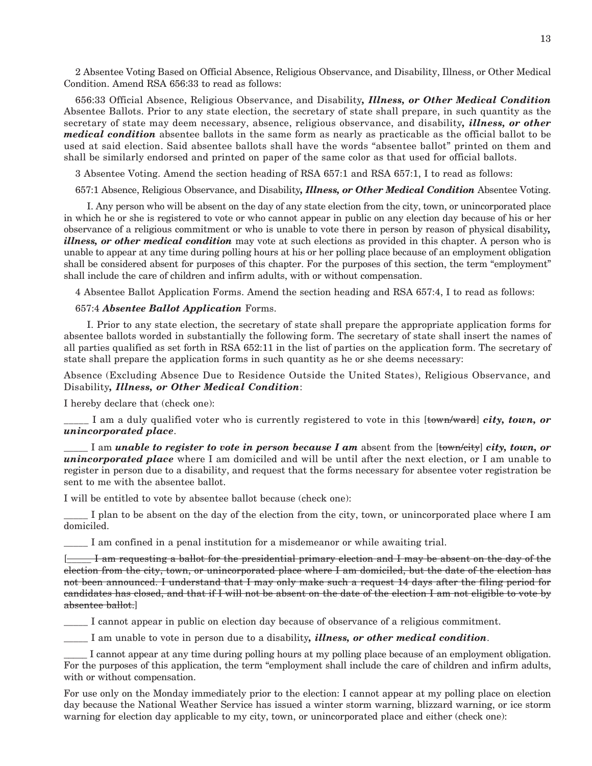2 Absentee Voting Based on Official Absence, Religious Observance, and Disability, Illness, or Other Medical Condition. Amend RSA 656:33 to read as follows:

656:33 Official Absence, Religious Observance, and Disability*, Illness, or Other Medical Condition* Absentee Ballots. Prior to any state election, the secretary of state shall prepare, in such quantity as the secretary of state may deem necessary, absence, religious observance, and disability*, illness, or other medical condition* absentee ballots in the same form as nearly as practicable as the official ballot to be used at said election. Said absentee ballots shall have the words "absentee ballot" printed on them and shall be similarly endorsed and printed on paper of the same color as that used for official ballots.

3 Absentee Voting. Amend the section heading of RSA 657:1 and RSA 657:1, I to read as follows:

657:1 Absence, Religious Observance, and Disability*, Illness, or Other Medical Condition* Absentee Voting.

 I. Any person who will be absent on the day of any state election from the city, town, or unincorporated place in which he or she is registered to vote or who cannot appear in public on any election day because of his or her observance of a religious commitment or who is unable to vote there in person by reason of physical disability*, illness, or other medical condition* may vote at such elections as provided in this chapter. A person who is unable to appear at any time during polling hours at his or her polling place because of an employment obligation shall be considered absent for purposes of this chapter. For the purposes of this section, the term "employment" shall include the care of children and infirm adults, with or without compensation.

4 Absentee Ballot Application Forms. Amend the section heading and RSA 657:4, I to read as follows:

#### 657:4 *Absentee Ballot Application* Forms.

 I. Prior to any state election, the secretary of state shall prepare the appropriate application forms for absentee ballots worded in substantially the following form. The secretary of state shall insert the names of all parties qualified as set forth in RSA 652:11 in the list of parties on the application form. The secretary of state shall prepare the application forms in such quantity as he or she deems necessary:

Absence (Excluding Absence Due to Residence Outside the United States), Religious Observance, and Disability*, Illness, or Other Medical Condition*:

I hereby declare that (check one):

\_\_\_\_\_ I am a duly qualified voter who is currently registered to vote in this [town/ward] *city, town, or unincorporated place*.

\_\_\_\_\_ I am *unable to register to vote in person because I am* absent from the [town/city] *city, town, or unincorporated place* where I am domiciled and will be until after the next election, or I am unable to register in person due to a disability, and request that the forms necessary for absentee voter registration be sent to me with the absentee ballot.

I will be entitled to vote by absentee ballot because (check one):

I plan to be absent on the day of the election from the city, town, or unincorporated place where I am domiciled.

\_\_\_\_\_ I am confined in a penal institution for a misdemeanor or while awaiting trial.

[\_\_\_\_\_ I am requesting a ballot for the presidential primary election and I may be absent on the day of the election from the city, town, or unincorporated place where I am domiciled, but the date of the election has not been announced. I understand that I may only make such a request 14 days after the filing period for candidates has closed, and that if I will not be absent on the date of the election I am not eligible to vote by absentee ballot.]

\_\_\_\_\_ I cannot appear in public on election day because of observance of a religious commitment.

\_\_\_\_\_ I am unable to vote in person due to a disability*, illness, or other medical condition*.

I cannot appear at any time during polling hours at my polling place because of an employment obligation. For the purposes of this application, the term "employment shall include the care of children and infirm adults, with or without compensation.

For use only on the Monday immediately prior to the election: I cannot appear at my polling place on election day because the National Weather Service has issued a winter storm warning, blizzard warning, or ice storm warning for election day applicable to my city, town, or unincorporated place and either (check one):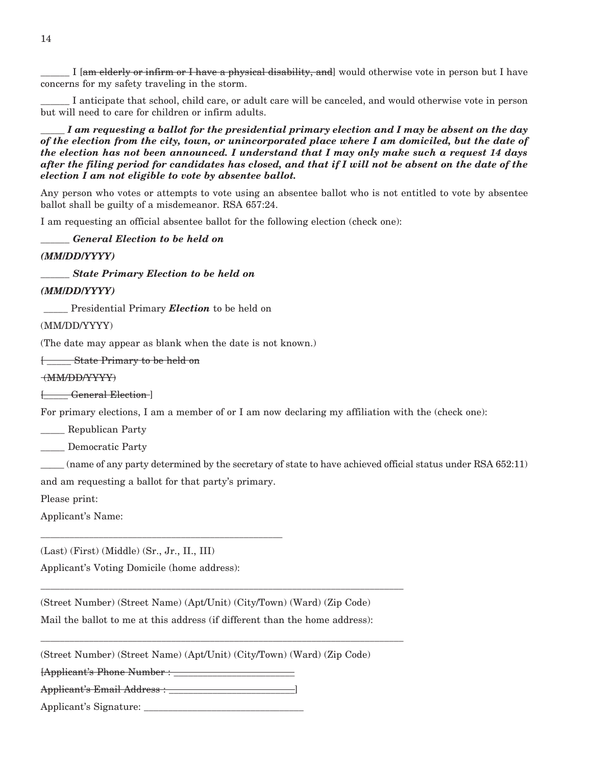I [am elderly or infirm or I have a physical disability, and] would otherwise vote in person but I have concerns for my safety traveling in the storm.

\_\_\_\_\_\_ I anticipate that school, child care, or adult care will be canceled, and would otherwise vote in person but will need to care for children or infirm adults.

*\_\_\_\_\_ I am requesting a ballot for the presidential primary election and I may be absent on the day of the election from the city, town, or unincorporated place where I am domiciled, but the date of the election has not been announced. I understand that I may only make such a request 14 days after the filing period for candidates has closed, and that if I will not be absent on the date of the election I am not eligible to vote by absentee ballot.*

Any person who votes or attempts to vote using an absentee ballot who is not entitled to vote by absentee ballot shall be guilty of a misdemeanor. RSA 657:24.

I am requesting an official absentee ballot for the following election (check one):

*\_\_\_\_\_\_ General Election to be held on*

*(MM/DD/YYYY)*

*\_\_\_\_\_\_ State Primary Election to be held on*

*(MM/DD/YYYY)*

Presidential Primary *Election* to be held on

(MM/DD/YYYY)

(The date may appear as blank when the date is not known.)

[ \_\_\_\_\_ State Primary to be held on

#### (MM/DD/YYYY)

[\_\_\_\_\_ General Election ]

For primary elections, I am a member of or I am now declaring my affiliation with the (check one):

\_\_\_\_\_ Republican Party

\_\_\_\_\_ Democratic Party

\_\_\_\_\_ (name of any party determined by the secretary of state to have achieved official status under RSA 652:11) and am requesting a ballot for that party's primary.

Please print:

Applicant's Name:

(Last) (First) (Middle) (Sr., Jr., II., III)

Applicant's Voting Domicile (home address):

\_\_\_\_\_\_\_\_\_\_\_\_\_\_\_\_\_\_\_\_\_\_\_\_\_\_\_\_\_\_\_\_\_\_\_\_\_\_\_\_\_\_\_\_\_\_\_\_\_\_

(Street Number) (Street Name) (Apt/Unit) (City/Town) (Ward) (Zip Code) Mail the ballot to me at this address (if different than the home address):

\_\_\_\_\_\_\_\_\_\_\_\_\_\_\_\_\_\_\_\_\_\_\_\_\_\_\_\_\_\_\_\_\_\_\_\_\_\_\_\_\_\_\_\_\_\_\_\_\_\_\_\_\_\_\_\_\_\_\_\_\_\_\_\_\_\_\_\_\_\_\_\_\_\_\_

\_\_\_\_\_\_\_\_\_\_\_\_\_\_\_\_\_\_\_\_\_\_\_\_\_\_\_\_\_\_\_\_\_\_\_\_\_\_\_\_\_\_\_\_\_\_\_\_\_\_\_\_\_\_\_\_\_\_\_\_\_\_\_\_\_\_\_\_\_\_\_\_\_\_\_

(Street Number) (Street Name) (Apt/Unit) (City/Town) (Ward) (Zip Code)

[Applicant's Phone Number : \_\_\_\_\_\_\_\_\_\_\_\_\_\_\_\_\_\_\_\_\_\_\_\_\_

Applicant's Email Address : \_\_\_\_\_\_\_\_\_\_\_\_\_\_\_\_\_\_\_\_\_\_\_\_\_\_]

Applicant's Signature: \_\_\_\_\_\_\_\_\_\_\_\_\_\_\_\_\_\_\_\_\_\_\_\_\_\_\_\_\_\_\_\_\_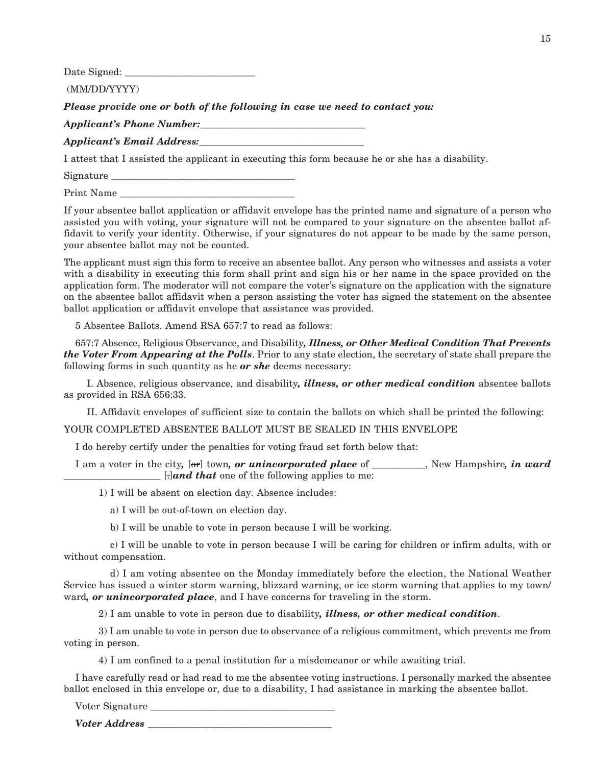Date Signed: \_\_\_\_\_\_\_\_\_\_\_\_\_\_\_\_\_\_\_\_\_\_\_\_\_\_\_

(MM/DD/YYYY)

*Please provide one or both of the following in case we need to contact you:*

*Applicant's Phone Number:* 

*Applicant's Email Address:\_\_\_\_\_\_\_\_\_\_\_\_\_\_\_\_\_\_\_\_\_\_\_\_\_\_\_\_\_\_\_\_\_\_*

I attest that I assisted the applicant in executing this form because he or she has a disability.

Signature

Print Name

If your absentee ballot application or affidavit envelope has the printed name and signature of a person who assisted you with voting, your signature will not be compared to your signature on the absentee ballot affidavit to verify your identity. Otherwise, if your signatures do not appear to be made by the same person, your absentee ballot may not be counted.

The applicant must sign this form to receive an absentee ballot. Any person who witnesses and assists a voter with a disability in executing this form shall print and sign his or her name in the space provided on the application form. The moderator will not compare the voter's signature on the application with the signature on the absentee ballot affidavit when a person assisting the voter has signed the statement on the absentee ballot application or affidavit envelope that assistance was provided.

5 Absentee Ballots. Amend RSA 657:7 to read as follows:

657:7 Absence, Religious Observance, and Disability*, Illness, or Other Medical Condition That Prevents the Voter From Appearing at the Polls*. Prior to any state election, the secretary of state shall prepare the following forms in such quantity as he *or she* deems necessary:

 I. Absence, religious observance, and disability*, illness, or other medical condition* absentee ballots as provided in RSA 656:33.

II. Affidavit envelopes of sufficient size to contain the ballots on which shall be printed the following:

YOUR COMPLETED ABSENTEE BALLOT MUST BE SEALED IN THIS ENVELOPE

I do hereby certify under the penalties for voting fraud set forth below that:

I am a voter in the city, [or] town, *or unincorporated place* of  $\qquad \qquad$  . New Hampshire, *in ward*  $\Box$ *and that* one of the following applies to me:

1) I will be absent on election day. Absence includes:

a) I will be out-of-town on election day.

b) I will be unable to vote in person because I will be working.

 c) I will be unable to vote in person because I will be caring for children or infirm adults, with or without compensation.

 d) I am voting absentee on the Monday immediately before the election, the National Weather Service has issued a winter storm warning, blizzard warning, or ice storm warning that applies to my town/ ward*, or unincorporated place*, and I have concerns for traveling in the storm.

2) I am unable to vote in person due to disability*, illness, or other medical condition*.

 3) I am unable to vote in person due to observance of a religious commitment, which prevents me from voting in person.

4) I am confined to a penal institution for a misdemeanor or while awaiting trial.

I have carefully read or had read to me the absentee voting instructions. I personally marked the absentee ballot enclosed in this envelope or, due to a disability, I had assistance in marking the absentee ballot.

Voter Signature

*Voter Address* \_\_\_\_\_\_\_\_\_\_\_\_\_\_\_\_\_\_\_\_\_\_\_\_\_\_\_\_\_\_\_\_\_\_\_\_\_\_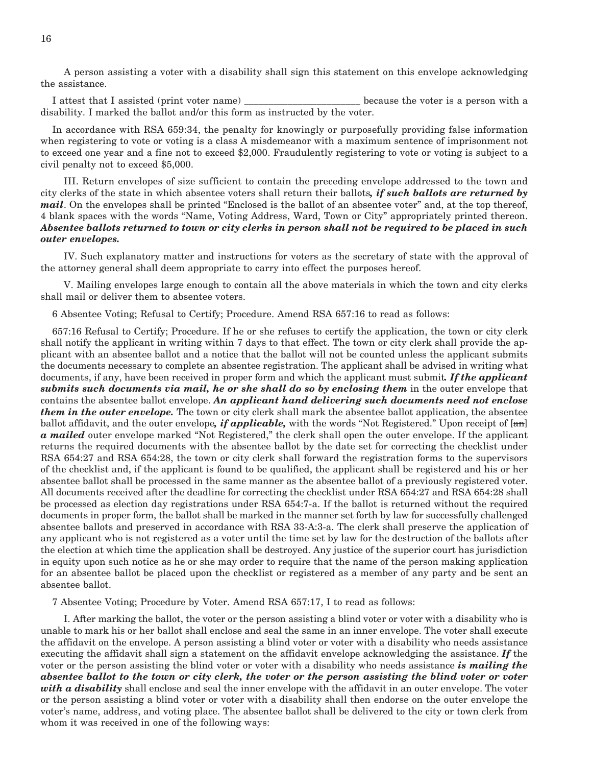A person assisting a voter with a disability shall sign this statement on this envelope acknowledging the assistance.

I attest that I assisted (print voter name) \_\_\_\_\_\_\_\_\_\_\_\_\_\_\_\_\_\_\_\_\_\_\_\_ because the voter is a person with a disability. I marked the ballot and/or this form as instructed by the voter.

In accordance with RSA 659:34, the penalty for knowingly or purposefully providing false information when registering to vote or voting is a class A misdemeanor with a maximum sentence of imprisonment not to exceed one year and a fine not to exceed \$2,000. Fraudulently registering to vote or voting is subject to a civil penalty not to exceed \$5,000.

 III. Return envelopes of size sufficient to contain the preceding envelope addressed to the town and city clerks of the state in which absentee voters shall return their ballots*, if such ballots are returned by mail*. On the envelopes shall be printed "Enclosed is the ballot of an absentee voter" and, at the top thereof, 4 blank spaces with the words "Name, Voting Address, Ward, Town or City" appropriately printed thereon. *Absentee ballots returned to town or city clerks in person shall not be required to be placed in such outer envelopes.*

 IV. Such explanatory matter and instructions for voters as the secretary of state with the approval of the attorney general shall deem appropriate to carry into effect the purposes hereof.

 V. Mailing envelopes large enough to contain all the above materials in which the town and city clerks shall mail or deliver them to absentee voters.

6 Absentee Voting; Refusal to Certify; Procedure. Amend RSA 657:16 to read as follows:

657:16 Refusal to Certify; Procedure. If he or she refuses to certify the application, the town or city clerk shall notify the applicant in writing within 7 days to that effect. The town or city clerk shall provide the applicant with an absentee ballot and a notice that the ballot will not be counted unless the applicant submits the documents necessary to complete an absentee registration. The applicant shall be advised in writing what documents, if any, have been received in proper form and which the applicant must submit*. If the applicant submits such documents via mail, he or she shall do so by enclosing them* in the outer envelope that contains the absentee ballot envelope. *An applicant hand delivering such documents need not enclose them in the outer envelope.* The town or city clerk shall mark the absentee ballot application, the absentee ballot affidavit, and the outer envelope, *if applicable*, with the words "Not Registered." Upon receipt of [an] *a mailed* outer envelope marked "Not Registered," the clerk shall open the outer envelope. If the applicant returns the required documents with the absentee ballot by the date set for correcting the checklist under RSA 654:27 and RSA 654:28, the town or city clerk shall forward the registration forms to the supervisors of the checklist and, if the applicant is found to be qualified, the applicant shall be registered and his or her absentee ballot shall be processed in the same manner as the absentee ballot of a previously registered voter. All documents received after the deadline for correcting the checklist under RSA 654:27 and RSA 654:28 shall be processed as election day registrations under RSA 654:7-a. If the ballot is returned without the required documents in proper form, the ballot shall be marked in the manner set forth by law for successfully challenged absentee ballots and preserved in accordance with RSA 33-A:3-a. The clerk shall preserve the application of any applicant who is not registered as a voter until the time set by law for the destruction of the ballots after the election at which time the application shall be destroyed. Any justice of the superior court has jurisdiction in equity upon such notice as he or she may order to require that the name of the person making application for an absentee ballot be placed upon the checklist or registered as a member of any party and be sent an absentee ballot.

7 Absentee Voting; Procedure by Voter. Amend RSA 657:17, I to read as follows:

 I. After marking the ballot, the voter or the person assisting a blind voter or voter with a disability who is unable to mark his or her ballot shall enclose and seal the same in an inner envelope. The voter shall execute the affidavit on the envelope. A person assisting a blind voter or voter with a disability who needs assistance executing the affidavit shall sign a statement on the affidavit envelope acknowledging the assistance. *If* the voter or the person assisting the blind voter or voter with a disability who needs assistance *is mailing the absentee ballot to the town or city clerk, the voter or the person assisting the blind voter or voter with a disability* shall enclose and seal the inner envelope with the affidavit in an outer envelope. The voter or the person assisting a blind voter or voter with a disability shall then endorse on the outer envelope the voter's name, address, and voting place. The absentee ballot shall be delivered to the city or town clerk from whom it was received in one of the following ways: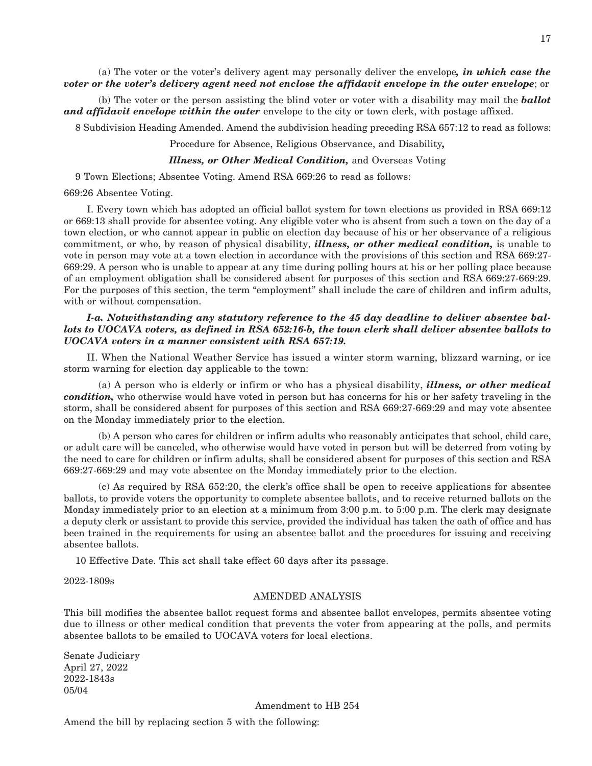(a) The voter or the voter's delivery agent may personally deliver the envelope*, in which case the voter or the voter's delivery agent need not enclose the affidavit envelope in the outer envelope*; or

 (b) The voter or the person assisting the blind voter or voter with a disability may mail the *ballot and affidavit envelope within the outer* envelope to the city or town clerk, with postage affixed.

8 Subdivision Heading Amended. Amend the subdivision heading preceding RSA 657:12 to read as follows:

Procedure for Absence, Religious Observance, and Disability*,*

#### *Illness, or Other Medical Condition,* and Overseas Voting

9 Town Elections; Absentee Voting. Amend RSA 669:26 to read as follows:

669:26 Absentee Voting.

 I. Every town which has adopted an official ballot system for town elections as provided in RSA 669:12 or 669:13 shall provide for absentee voting. Any eligible voter who is absent from such a town on the day of a town election, or who cannot appear in public on election day because of his or her observance of a religious commitment, or who, by reason of physical disability, *illness, or other medical condition,* is unable to vote in person may vote at a town election in accordance with the provisions of this section and RSA 669:27- 669:29. A person who is unable to appear at any time during polling hours at his or her polling place because of an employment obligation shall be considered absent for purposes of this section and RSA 669:27-669:29. For the purposes of this section, the term "employment" shall include the care of children and infirm adults, with or without compensation.

#### *I-a. Notwithstanding any statutory reference to the 45 day deadline to deliver absentee ballots to UOCAVA voters, as defined in RSA 652:16-b, the town clerk shall deliver absentee ballots to UOCAVA voters in a manner consistent with RSA 657:19.*

 II. When the National Weather Service has issued a winter storm warning, blizzard warning, or ice storm warning for election day applicable to the town:

 (a) A person who is elderly or infirm or who has a physical disability, *illness, or other medical condition,* who otherwise would have voted in person but has concerns for his or her safety traveling in the storm, shall be considered absent for purposes of this section and RSA 669:27-669:29 and may vote absentee on the Monday immediately prior to the election.

 (b) A person who cares for children or infirm adults who reasonably anticipates that school, child care, or adult care will be canceled, who otherwise would have voted in person but will be deterred from voting by the need to care for children or infirm adults, shall be considered absent for purposes of this section and RSA 669:27-669:29 and may vote absentee on the Monday immediately prior to the election.

 (c) As required by RSA 652:20, the clerk's office shall be open to receive applications for absentee ballots, to provide voters the opportunity to complete absentee ballots, and to receive returned ballots on the Monday immediately prior to an election at a minimum from 3:00 p.m. to 5:00 p.m. The clerk may designate a deputy clerk or assistant to provide this service, provided the individual has taken the oath of office and has been trained in the requirements for using an absentee ballot and the procedures for issuing and receiving absentee ballots.

10 Effective Date. This act shall take effect 60 days after its passage.

2022-1809s

#### AMENDED ANALYSIS

This bill modifies the absentee ballot request forms and absentee ballot envelopes, permits absentee voting due to illness or other medical condition that prevents the voter from appearing at the polls, and permits absentee ballots to be emailed to UOCAVA voters for local elections.

Senate Judiciary April 27, 2022 2022-1843s 05/04

Amendment to HB 254

Amend the bill by replacing section 5 with the following: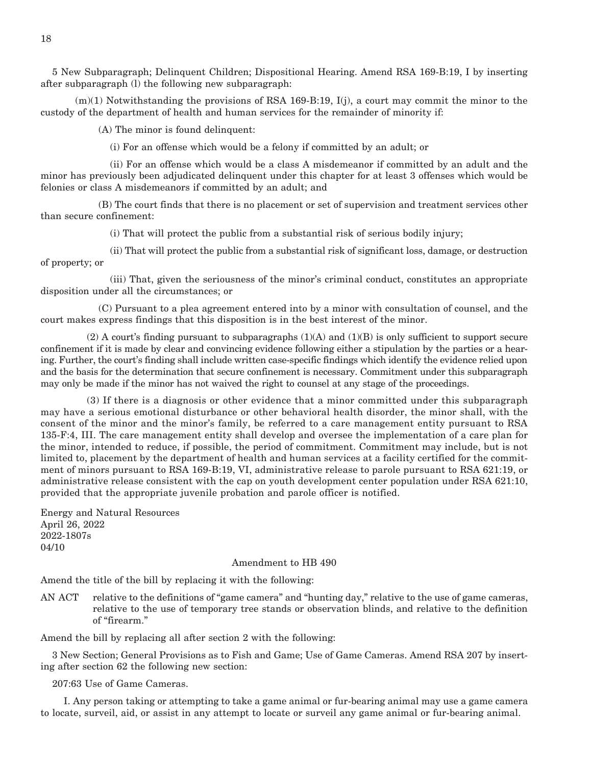5 New Subparagraph; Delinquent Children; Dispositional Hearing. Amend RSA 169-B:19, I by inserting after subparagraph (l) the following new subparagraph:

 $(m)(1)$  Notwithstanding the provisions of RSA 169-B:19, I(j), a court may commit the minor to the custody of the department of health and human services for the remainder of minority if:

(A) The minor is found delinquent:

(i) For an offense which would be a felony if committed by an adult; or

 (ii) For an offense which would be a class A misdemeanor if committed by an adult and the minor has previously been adjudicated delinquent under this chapter for at least 3 offenses which would be felonies or class A misdemeanors if committed by an adult; and

 (B) The court finds that there is no placement or set of supervision and treatment services other than secure confinement:

(i) That will protect the public from a substantial risk of serious bodily injury;

 (ii) That will protect the public from a substantial risk of significant loss, damage, or destruction of property; or

 (iii) That, given the seriousness of the minor's criminal conduct, constitutes an appropriate disposition under all the circumstances; or

 (C) Pursuant to a plea agreement entered into by a minor with consultation of counsel, and the court makes express findings that this disposition is in the best interest of the minor.

 $(2)$  A court's finding pursuant to subparagraphs  $(1)(A)$  and  $(1)(B)$  is only sufficient to support secure confinement if it is made by clear and convincing evidence following either a stipulation by the parties or a hearing. Further, the court's finding shall include written case-specific findings which identify the evidence relied upon and the basis for the determination that secure confinement is necessary. Commitment under this subparagraph may only be made if the minor has not waived the right to counsel at any stage of the proceedings.

 (3) If there is a diagnosis or other evidence that a minor committed under this subparagraph may have a serious emotional disturbance or other behavioral health disorder, the minor shall, with the consent of the minor and the minor's family, be referred to a care management entity pursuant to RSA 135-F:4, III. The care management entity shall develop and oversee the implementation of a care plan for the minor, intended to reduce, if possible, the period of commitment. Commitment may include, but is not limited to, placement by the department of health and human services at a facility certified for the commitment of minors pursuant to RSA 169-B:19, VI, administrative release to parole pursuant to RSA 621:19, or administrative release consistent with the cap on youth development center population under RSA 621:10, provided that the appropriate juvenile probation and parole officer is notified.

Energy and Natural Resources April 26, 2022 2022-1807s 04/10

#### Amendment to HB 490

Amend the title of the bill by replacing it with the following:

AN ACT relative to the definitions of "game camera" and "hunting day," relative to the use of game cameras, relative to the use of temporary tree stands or observation blinds, and relative to the definition of "firearm."

Amend the bill by replacing all after section 2 with the following:

3 New Section; General Provisions as to Fish and Game; Use of Game Cameras. Amend RSA 207 by inserting after section 62 the following new section:

#### 207:63 Use of Game Cameras.

 I. Any person taking or attempting to take a game animal or fur-bearing animal may use a game camera to locate, surveil, aid, or assist in any attempt to locate or surveil any game animal or fur-bearing animal.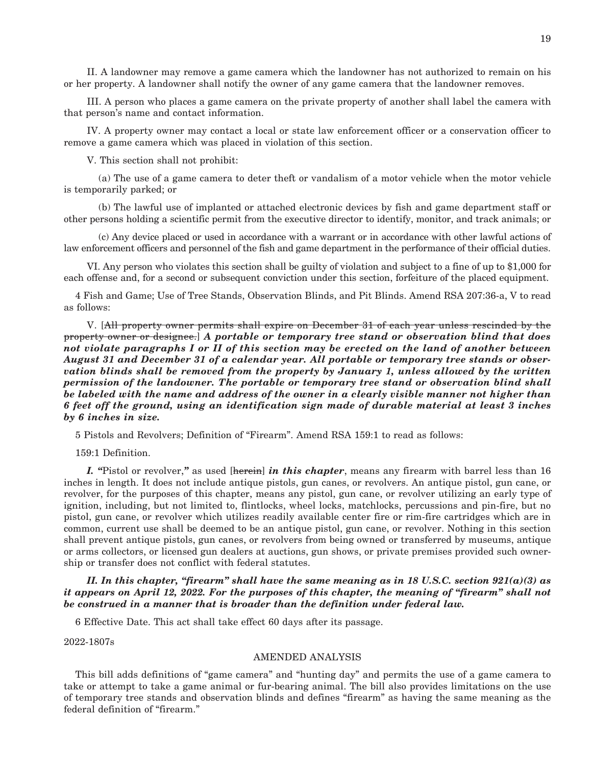II. A landowner may remove a game camera which the landowner has not authorized to remain on his or her property. A landowner shall notify the owner of any game camera that the landowner removes.

 III. A person who places a game camera on the private property of another shall label the camera with that person's name and contact information.

 IV. A property owner may contact a local or state law enforcement officer or a conservation officer to remove a game camera which was placed in violation of this section.

V. This section shall not prohibit:

 (a) The use of a game camera to deter theft or vandalism of a motor vehicle when the motor vehicle is temporarily parked; or

 (b) The lawful use of implanted or attached electronic devices by fish and game department staff or other persons holding a scientific permit from the executive director to identify, monitor, and track animals; or

 (c) Any device placed or used in accordance with a warrant or in accordance with other lawful actions of law enforcement officers and personnel of the fish and game department in the performance of their official duties.

 VI. Any person who violates this section shall be guilty of violation and subject to a fine of up to \$1,000 for each offense and, for a second or subsequent conviction under this section, forfeiture of the placed equipment.

4 Fish and Game; Use of Tree Stands, Observation Blinds, and Pit Blinds. Amend RSA 207:36-a, V to read as follows:

 V. [All property owner permits shall expire on December 31 of each year unless rescinded by the property owner or designee.] *A portable or temporary tree stand or observation blind that does not violate paragraphs I or II of this section may be erected on the land of another between August 31 and December 31 of a calendar year. All portable or temporary tree stands or observation blinds shall be removed from the property by January 1, unless allowed by the written permission of the landowner. The portable or temporary tree stand or observation blind shall be labeled with the name and address of the owner in a clearly visible manner not higher than 6 feet off the ground, using an identification sign made of durable material at least 3 inches by 6 inches in size.*

5 Pistols and Revolvers; Definition of "Firearm". Amend RSA 159:1 to read as follows:

159:1 Definition.

 *I. "*Pistol or revolver,*"* as used [herein] *in this chapter*, means any firearm with barrel less than 16 inches in length. It does not include antique pistols, gun canes, or revolvers. An antique pistol, gun cane, or revolver, for the purposes of this chapter, means any pistol, gun cane, or revolver utilizing an early type of ignition, including, but not limited to, flintlocks, wheel locks, matchlocks, percussions and pin-fire, but no pistol, gun cane, or revolver which utilizes readily available center fire or rim-fire cartridges which are in common, current use shall be deemed to be an antique pistol, gun cane, or revolver. Nothing in this section shall prevent antique pistols, gun canes, or revolvers from being owned or transferred by museums, antique or arms collectors, or licensed gun dealers at auctions, gun shows, or private premises provided such ownership or transfer does not conflict with federal statutes.

 *II. In this chapter, "firearm" shall have the same meaning as in 18 U.S.C. section 921(a)(3) as it appears on April 12, 2022. For the purposes of this chapter, the meaning of "firearm" shall not be construed in a manner that is broader than the definition under federal law.*

6 Effective Date. This act shall take effect 60 days after its passage.

2022-1807s

#### AMENDED ANALYSIS

This bill adds definitions of "game camera" and "hunting day" and permits the use of a game camera to take or attempt to take a game animal or fur-bearing animal. The bill also provides limitations on the use of temporary tree stands and observation blinds and defines "firearm" as having the same meaning as the federal definition of "firearm."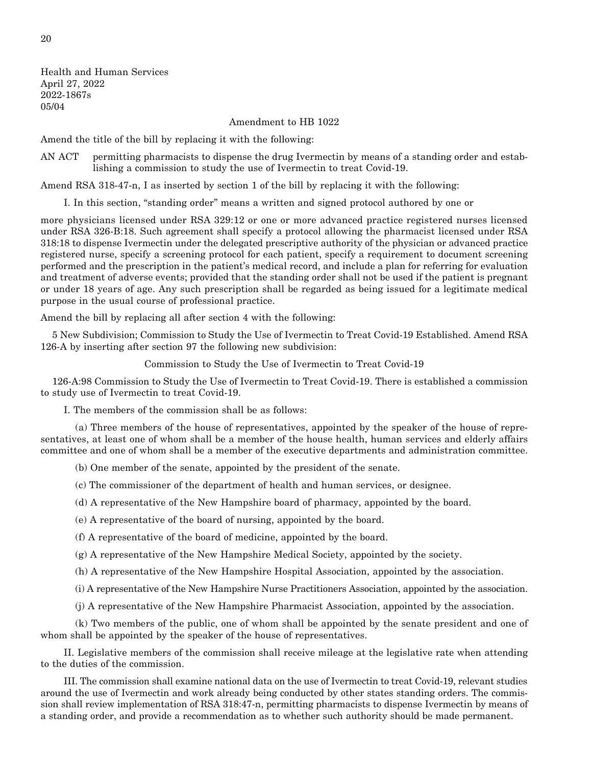Health and Human Services April 27, 2022 2022-1867s 05/04

Amendment to HB 1022

Amend the title of the bill by replacing it with the following:

AN ACT permitting pharmacists to dispense the drug Ivermectin by means of a standing order and establishing a commission to study the use of Ivermectin to treat Covid-19.

Amend RSA 318-47-n, I as inserted by section 1 of the bill by replacing it with the following:

I. In this section, "standing order" means a written and signed protocol authored by one or

more physicians licensed under RSA 329:12 or one or more advanced practice registered nurses licensed under RSA 326-B:18. Such agreement shall specify a protocol allowing the pharmacist licensed under RSA 318:18 to dispense Ivermectin under the delegated prescriptive authority of the physician or advanced practice registered nurse, specify a screening protocol for each patient, specify a requirement to document screening performed and the prescription in the patient's medical record, and include a plan for referring for evaluation and treatment of adverse events; provided that the standing order shall not be used if the patient is pregnant or under 18 years of age. Any such prescription shall be regarded as being issued for a legitimate medical purpose in the usual course of professional practice.

Amend the bill by replacing all after section 4 with the following:

5 New Subdivision; Commission to Study the Use of Ivermectin to Treat Covid-19 Established. Amend RSA 126-A by inserting after section 97 the following new subdivision:

Commission to Study the Use of Ivermectin to Treat Covid-19

126-A:98 Commission to Study the Use of Ivermectin to Treat Covid-19. There is established a commission to study use of Ivermectin to treat Covid-19.

I. The members of the commission shall be as follows:

 (a) Three members of the house of representatives, appointed by the speaker of the house of representatives, at least one of whom shall be a member of the house health, human services and elderly affairs committee and one of whom shall be a member of the executive departments and administration committee.

(b) One member of the senate, appointed by the president of the senate.

(c) The commissioner of the department of health and human services, or designee.

(d) A representative of the New Hampshire board of pharmacy, appointed by the board.

(e) A representative of the board of nursing, appointed by the board.

(f) A representative of the board of medicine, appointed by the board.

(g) A representative of the New Hampshire Medical Society, appointed by the society.

(h) A representative of the New Hampshire Hospital Association, appointed by the association.

(i) A representative of the New Hampshire Nurse Practitioners Association, appointed by the association.

(j) A representative of the New Hampshire Pharmacist Association, appointed by the association.

 (k) Two members of the public, one of whom shall be appointed by the senate president and one of whom shall be appointed by the speaker of the house of representatives.

 II. Legislative members of the commission shall receive mileage at the legislative rate when attending to the duties of the commission.

 III. The commission shall examine national data on the use of Ivermectin to treat Covid-19, relevant studies around the use of Ivermectin and work already being conducted by other states standing orders. The commission shall review implementation of RSA 318:47-n, permitting pharmacists to dispense Ivermectin by means of a standing order, and provide a recommendation as to whether such authority should be made permanent.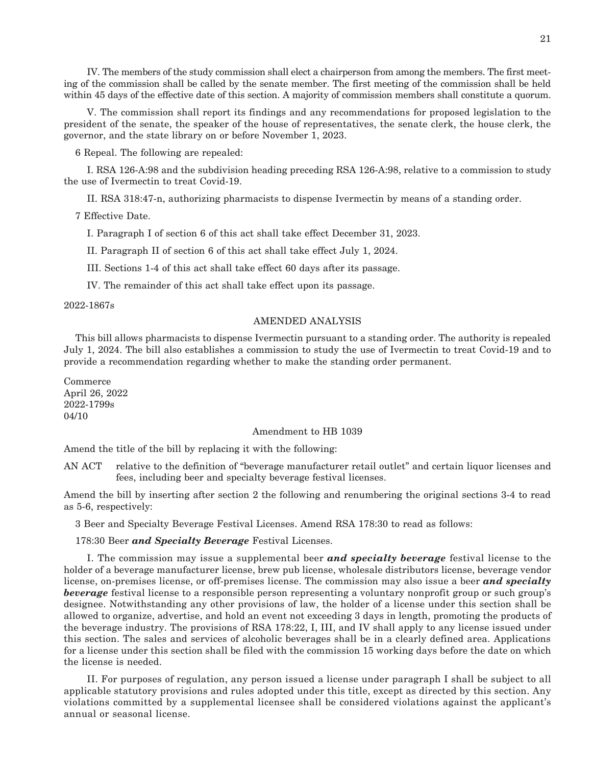IV. The members of the study commission shall elect a chairperson from among the members. The first meeting of the commission shall be called by the senate member. The first meeting of the commission shall be held within 45 days of the effective date of this section. A majority of commission members shall constitute a quorum.

 V. The commission shall report its findings and any recommendations for proposed legislation to the president of the senate, the speaker of the house of representatives, the senate clerk, the house clerk, the governor, and the state library on or before November 1, 2023.

6 Repeal. The following are repealed:

 I. RSA 126-A:98 and the subdivision heading preceding RSA 126-A:98, relative to a commission to study the use of Ivermectin to treat Covid-19.

II. RSA 318:47-n, authorizing pharmacists to dispense Ivermectin by means of a standing order.

7 Effective Date.

I. Paragraph I of section 6 of this act shall take effect December 31, 2023.

II. Paragraph II of section 6 of this act shall take effect July 1, 2024.

III. Sections 1-4 of this act shall take effect 60 days after its passage.

IV. The remainder of this act shall take effect upon its passage.

2022-1867s

#### AMENDED ANALYSIS

This bill allows pharmacists to dispense Ivermectin pursuant to a standing order. The authority is repealed July 1, 2024. The bill also establishes a commission to study the use of Ivermectin to treat Covid-19 and to provide a recommendation regarding whether to make the standing order permanent.

Commerce April 26, 2022 2022-1799s 04/10

#### Amendment to HB 1039

Amend the title of the bill by replacing it with the following:

AN ACT relative to the definition of "beverage manufacturer retail outlet" and certain liquor licenses and fees, including beer and specialty beverage festival licenses.

Amend the bill by inserting after section 2 the following and renumbering the original sections 3-4 to read as 5-6, respectively:

3 Beer and Specialty Beverage Festival Licenses. Amend RSA 178:30 to read as follows:

178:30 Beer *and Specialty Beverage* Festival Licenses.

 I. The commission may issue a supplemental beer *and specialty beverage* festival license to the holder of a beverage manufacturer license, brew pub license, wholesale distributors license, beverage vendor license, on-premises license, or off-premises license. The commission may also issue a beer *and specialty beverage* festival license to a responsible person representing a voluntary nonprofit group or such group's designee. Notwithstanding any other provisions of law, the holder of a license under this section shall be allowed to organize, advertise, and hold an event not exceeding 3 days in length, promoting the products of the beverage industry. The provisions of RSA 178:22, I, III, and IV shall apply to any license issued under this section. The sales and services of alcoholic beverages shall be in a clearly defined area. Applications for a license under this section shall be filed with the commission 15 working days before the date on which the license is needed.

 II. For purposes of regulation, any person issued a license under paragraph I shall be subject to all applicable statutory provisions and rules adopted under this title, except as directed by this section. Any violations committed by a supplemental licensee shall be considered violations against the applicant's annual or seasonal license.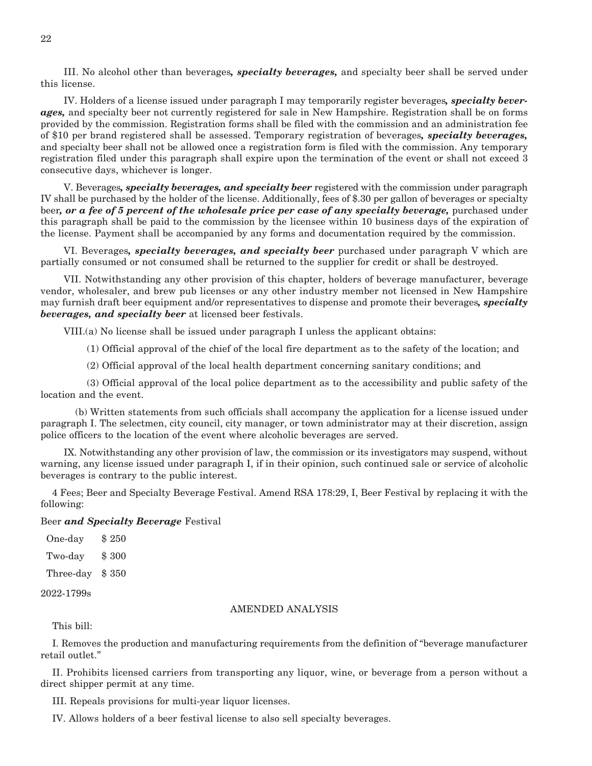III. No alcohol other than beverages*, specialty beverages,* and specialty beer shall be served under this license.

 IV. Holders of a license issued under paragraph I may temporarily register beverages*, specialty beverages,* and specialty beer not currently registered for sale in New Hampshire. Registration shall be on forms provided by the commission. Registration forms shall be filed with the commission and an administration fee of \$10 per brand registered shall be assessed. Temporary registration of beverages*, specialty beverages,*  and specialty beer shall not be allowed once a registration form is filed with the commission. Any temporary registration filed under this paragraph shall expire upon the termination of the event or shall not exceed 3 consecutive days, whichever is longer.

 V. Beverages*, specialty beverages, and specialty beer* registered with the commission under paragraph IV shall be purchased by the holder of the license. Additionally, fees of \$.30 per gallon of beverages or specialty beer*, or a fee of 5 percent of the wholesale price per case of any specialty beverage,* purchased under this paragraph shall be paid to the commission by the licensee within 10 business days of the expiration of the license. Payment shall be accompanied by any forms and documentation required by the commission.

 VI. Beverages*, specialty beverages, and specialty beer* purchased under paragraph V which are partially consumed or not consumed shall be returned to the supplier for credit or shall be destroyed.

 VII. Notwithstanding any other provision of this chapter, holders of beverage manufacturer, beverage vendor, wholesaler, and brew pub licenses or any other industry member not licensed in New Hampshire may furnish draft beer equipment and/or representatives to dispense and promote their beverages*, specialty beverages, and specialty beer* at licensed beer festivals.

VIII.(a) No license shall be issued under paragraph I unless the applicant obtains:

(1) Official approval of the chief of the local fire department as to the safety of the location; and

(2) Official approval of the local health department concerning sanitary conditions; and

 (3) Official approval of the local police department as to the accessibility and public safety of the location and the event.

 (b) Written statements from such officials shall accompany the application for a license issued under paragraph I. The selectmen, city council, city manager, or town administrator may at their discretion, assign police officers to the location of the event where alcoholic beverages are served.

 IX. Notwithstanding any other provision of law, the commission or its investigators may suspend, without warning, any license issued under paragraph I, if in their opinion, such continued sale or service of alcoholic beverages is contrary to the public interest.

4 Fees; Beer and Specialty Beverage Festival. Amend RSA 178:29, I, Beer Festival by replacing it with the following:

#### Beer *and Specialty Beverage* Festival

One-day \$250 Two-day \$ 300 Three-day \$ 350

2022-1799s

#### AMENDED ANALYSIS

This bill:

I. Removes the production and manufacturing requirements from the definition of "beverage manufacturer retail outlet."

II. Prohibits licensed carriers from transporting any liquor, wine, or beverage from a person without a direct shipper permit at any time.

III. Repeals provisions for multi-year liquor licenses.

IV. Allows holders of a beer festival license to also sell specialty beverages.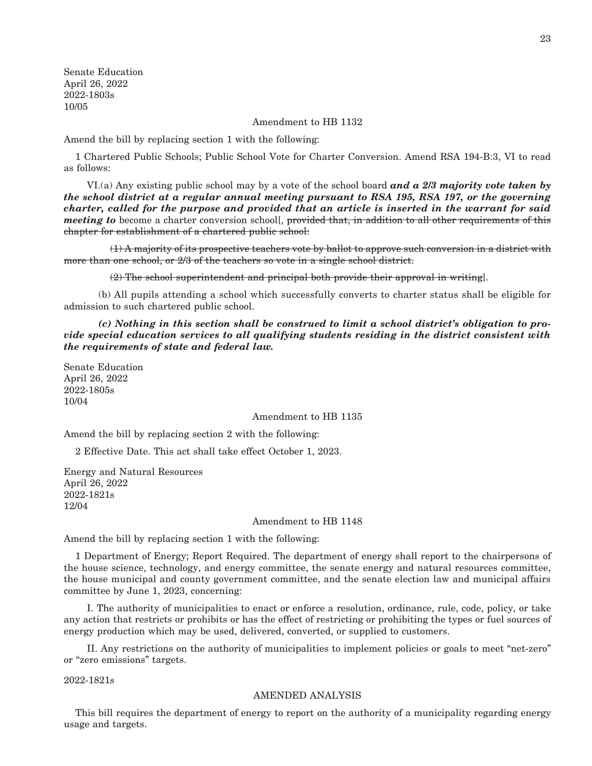Senate Education April 26, 2022 2022-1803s 10/05

Amendment to HB 1132

Amend the bill by replacing section 1 with the following:

1 Chartered Public Schools; Public School Vote for Charter Conversion. Amend RSA 194-B:3, VI to read as follows:

 VI.(a) Any existing public school may by a vote of the school board *and a 2/3 majority vote taken by the school district at a regular annual meeting pursuant to RSA 195, RSA 197, or the governing charter, called for the purpose and provided that an article is inserted in the warrant for said meeting to* become a charter conversion school[, provided that, in addition to all other requirements of this chapter for establishment of a chartered public school:

 $(1)$  A majority of its prospective teachers vote by ballot to approve such conversion in a district with more than one school, or 2/3 of the teachers so vote in a single school district.

(2) The school superintendent and principal both provide their approval in writing].

 (b) All pupils attending a school which successfully converts to charter status shall be eligible for admission to such chartered public school.

 *(c) Nothing in this section shall be construed to limit a school district's obligation to provide special education services to all qualifying students residing in the district consistent with the requirements of state and federal law.*

Senate Education April 26, 2022 2022-1805s 10/04

Amendment to HB 1135

Amend the bill by replacing section 2 with the following:

2 Effective Date. This act shall take effect October 1, 2023.

Energy and Natural Resources April 26, 2022 2022-1821s 12/04

#### Amendment to HB 1148

Amend the bill by replacing section 1 with the following:

1 Department of Energy; Report Required. The department of energy shall report to the chairpersons of the house science, technology, and energy committee, the senate energy and natural resources committee, the house municipal and county government committee, and the senate election law and municipal affairs committee by June 1, 2023, concerning:

 I. The authority of municipalities to enact or enforce a resolution, ordinance, rule, code, policy, or take any action that restricts or prohibits or has the effect of restricting or prohibiting the types or fuel sources of energy production which may be used, delivered, converted, or supplied to customers.

 II. Any restrictions on the authority of municipalities to implement policies or goals to meet "net-zero" or "zero emissions" targets.

2022-1821s

#### AMENDED ANALYSIS

This bill requires the department of energy to report on the authority of a municipality regarding energy usage and targets.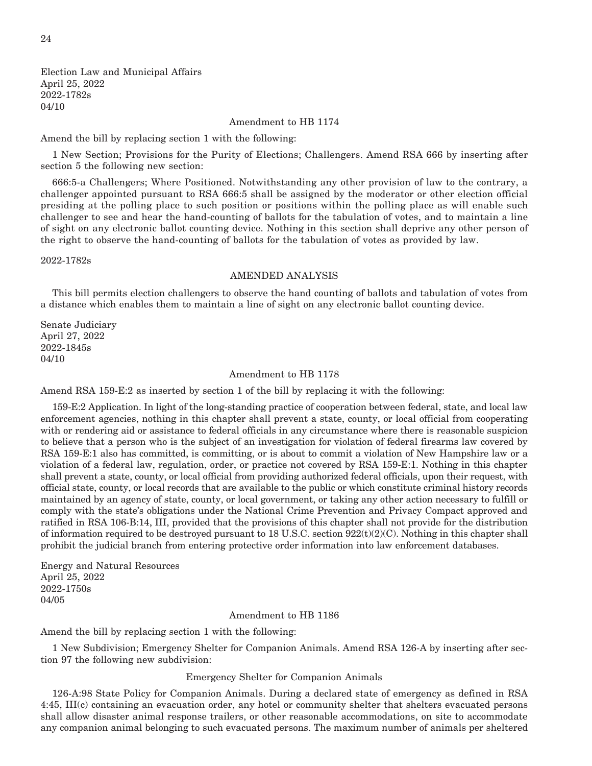Election Law and Municipal Affairs April 25, 2022 2022-1782s 04/10

#### Amendment to HB 1174

Amend the bill by replacing section 1 with the following:

1 New Section; Provisions for the Purity of Elections; Challengers. Amend RSA 666 by inserting after section 5 the following new section:

666:5-a Challengers; Where Positioned. Notwithstanding any other provision of law to the contrary, a challenger appointed pursuant to RSA 666:5 shall be assigned by the moderator or other election official presiding at the polling place to such position or positions within the polling place as will enable such challenger to see and hear the hand-counting of ballots for the tabulation of votes, and to maintain a line of sight on any electronic ballot counting device. Nothing in this section shall deprive any other person of the right to observe the hand-counting of ballots for the tabulation of votes as provided by law.

2022-1782s

#### AMENDED ANALYSIS

This bill permits election challengers to observe the hand counting of ballots and tabulation of votes from a distance which enables them to maintain a line of sight on any electronic ballot counting device.

Senate Judiciary April 27, 2022 2022-1845s 04/10

#### Amendment to HB 1178

Amend RSA 159-E:2 as inserted by section 1 of the bill by replacing it with the following:

159-E:2 Application. In light of the long-standing practice of cooperation between federal, state, and local law enforcement agencies, nothing in this chapter shall prevent a state, county, or local official from cooperating with or rendering aid or assistance to federal officials in any circumstance where there is reasonable suspicion to believe that a person who is the subject of an investigation for violation of federal firearms law covered by RSA 159-E:1 also has committed, is committing, or is about to commit a violation of New Hampshire law or a violation of a federal law, regulation, order, or practice not covered by RSA 159-E:1. Nothing in this chapter shall prevent a state, county, or local official from providing authorized federal officials, upon their request, with official state, county, or local records that are available to the public or which constitute criminal history records maintained by an agency of state, county, or local government, or taking any other action necessary to fulfill or comply with the state's obligations under the National Crime Prevention and Privacy Compact approved and ratified in RSA 106-B:14, III, provided that the provisions of this chapter shall not provide for the distribution of information required to be destroyed pursuant to 18 U.S.C. section  $922(t)(2)(C)$ . Nothing in this chapter shall prohibit the judicial branch from entering protective order information into law enforcement databases.

Energy and Natural Resources April 25, 2022 2022-1750s 04/05

#### Amendment to HB 1186

Amend the bill by replacing section 1 with the following:

1 New Subdivision; Emergency Shelter for Companion Animals. Amend RSA 126-A by inserting after section 97 the following new subdivision:

#### Emergency Shelter for Companion Animals

126-A:98 State Policy for Companion Animals. During a declared state of emergency as defined in RSA 4:45, III(c) containing an evacuation order, any hotel or community shelter that shelters evacuated persons shall allow disaster animal response trailers, or other reasonable accommodations, on site to accommodate any companion animal belonging to such evacuated persons. The maximum number of animals per sheltered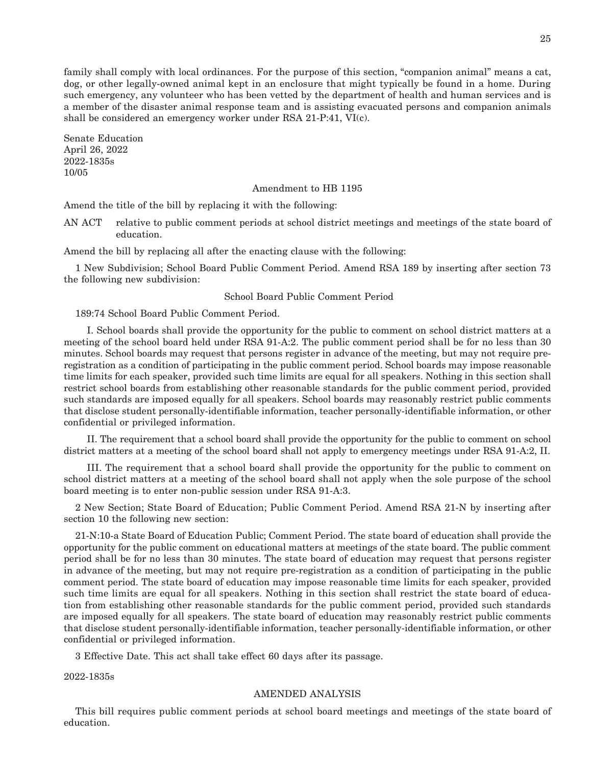family shall comply with local ordinances. For the purpose of this section, "companion animal" means a cat, dog, or other legally-owned animal kept in an enclosure that might typically be found in a home. During such emergency, any volunteer who has been vetted by the department of health and human services and is a member of the disaster animal response team and is assisting evacuated persons and companion animals shall be considered an emergency worker under RSA 21-P:41, VI(c).

Senate Education April 26, 2022 2022-1835s 10/05

#### Amendment to HB 1195

Amend the title of the bill by replacing it with the following:

AN ACT relative to public comment periods at school district meetings and meetings of the state board of education.

Amend the bill by replacing all after the enacting clause with the following:

1 New Subdivision; School Board Public Comment Period. Amend RSA 189 by inserting after section 73 the following new subdivision:

#### School Board Public Comment Period

189:74 School Board Public Comment Period.

 I. School boards shall provide the opportunity for the public to comment on school district matters at a meeting of the school board held under RSA 91-A:2. The public comment period shall be for no less than 30 minutes. School boards may request that persons register in advance of the meeting, but may not require preregistration as a condition of participating in the public comment period. School boards may impose reasonable time limits for each speaker, provided such time limits are equal for all speakers. Nothing in this section shall restrict school boards from establishing other reasonable standards for the public comment period, provided such standards are imposed equally for all speakers. School boards may reasonably restrict public comments that disclose student personally-identifiable information, teacher personally-identifiable information, or other confidential or privileged information.

 II. The requirement that a school board shall provide the opportunity for the public to comment on school district matters at a meeting of the school board shall not apply to emergency meetings under RSA 91-A:2, II.

 III. The requirement that a school board shall provide the opportunity for the public to comment on school district matters at a meeting of the school board shall not apply when the sole purpose of the school board meeting is to enter non-public session under RSA 91-A:3.

2 New Section; State Board of Education; Public Comment Period. Amend RSA 21-N by inserting after section 10 the following new section:

21-N:10-a State Board of Education Public; Comment Period. The state board of education shall provide the opportunity for the public comment on educational matters at meetings of the state board. The public comment period shall be for no less than 30 minutes. The state board of education may request that persons register in advance of the meeting, but may not require pre-registration as a condition of participating in the public comment period. The state board of education may impose reasonable time limits for each speaker, provided such time limits are equal for all speakers. Nothing in this section shall restrict the state board of education from establishing other reasonable standards for the public comment period, provided such standards are imposed equally for all speakers. The state board of education may reasonably restrict public comments that disclose student personally-identifiable information, teacher personally-identifiable information, or other confidential or privileged information.

3 Effective Date. This act shall take effect 60 days after its passage.

2022-1835s

#### AMENDED ANALYSIS

This bill requires public comment periods at school board meetings and meetings of the state board of education.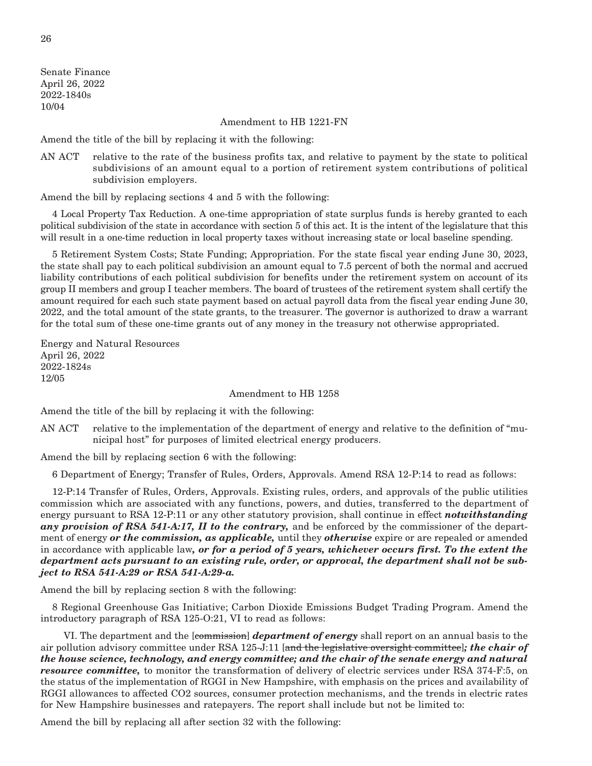Senate Finance April 26, 2022 2022-1840s 10/04

#### Amendment to HB 1221-FN

Amend the title of the bill by replacing it with the following:

AN ACT relative to the rate of the business profits tax, and relative to payment by the state to political subdivisions of an amount equal to a portion of retirement system contributions of political subdivision employers.

Amend the bill by replacing sections 4 and 5 with the following:

4 Local Property Tax Reduction. A one-time appropriation of state surplus funds is hereby granted to each political subdivision of the state in accordance with section 5 of this act. It is the intent of the legislature that this will result in a one-time reduction in local property taxes without increasing state or local baseline spending.

5 Retirement System Costs; State Funding; Appropriation. For the state fiscal year ending June 30, 2023, the state shall pay to each political subdivision an amount equal to 7.5 percent of both the normal and accrued liability contributions of each political subdivision for benefits under the retirement system on account of its group II members and group I teacher members. The board of trustees of the retirement system shall certify the amount required for each such state payment based on actual payroll data from the fiscal year ending June 30, 2022, and the total amount of the state grants, to the treasurer. The governor is authorized to draw a warrant for the total sum of these one-time grants out of any money in the treasury not otherwise appropriated.

Energy and Natural Resources April 26, 2022 2022-1824s 12/05

#### Amendment to HB 1258

Amend the title of the bill by replacing it with the following:

AN ACT relative to the implementation of the department of energy and relative to the definition of "municipal host" for purposes of limited electrical energy producers.

Amend the bill by replacing section 6 with the following:

6 Department of Energy; Transfer of Rules, Orders, Approvals. Amend RSA 12-P:14 to read as follows:

12-P:14 Transfer of Rules, Orders, Approvals. Existing rules, orders, and approvals of the public utilities commission which are associated with any functions, powers, and duties, transferred to the department of energy pursuant to RSA 12-P:11 or any other statutory provision, shall continue in effect *notwithstanding any provision of RSA 541-A:17, II to the contrary,* and be enforced by the commissioner of the department of energy *or the commission, as applicable,* until they *otherwise* expire or are repealed or amended in accordance with applicable law*, or for a period of 5 years, whichever occurs first. To the extent the department acts pursuant to an existing rule, order, or approval, the department shall not be subject to RSA 541-A:29 or RSA 541-A:29-a.*

Amend the bill by replacing section 8 with the following:

8 Regional Greenhouse Gas Initiative; Carbon Dioxide Emissions Budget Trading Program. Amend the introductory paragraph of RSA 125-O:21, VI to read as follows:

 VI. The department and the [commission] *department of energy* shall report on an annual basis to the air pollution advisory committee under RSA 125-J:11 [and the legislative oversight committee]*; the chair of the house science, technology, and energy committee; and the chair of the senate energy and natural resource committee,* to monitor the transformation of delivery of electric services under RSA 374-F:5, on the status of the implementation of RGGI in New Hampshire, with emphasis on the prices and availability of RGGI allowances to affected CO2 sources, consumer protection mechanisms, and the trends in electric rates for New Hampshire businesses and ratepayers. The report shall include but not be limited to:

Amend the bill by replacing all after section 32 with the following: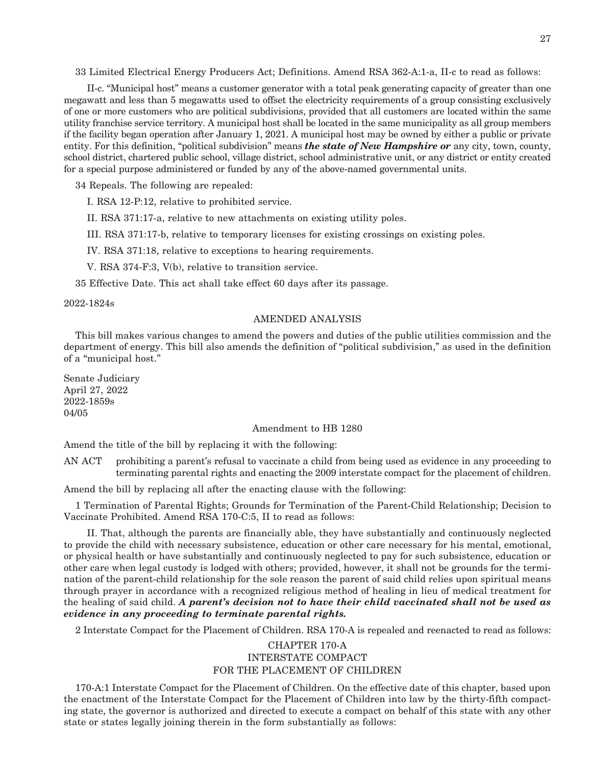33 Limited Electrical Energy Producers Act; Definitions. Amend RSA 362-A:1-a, II-c to read as follows:

 II-c. "Municipal host" means a customer generator with a total peak generating capacity of greater than one megawatt and less than 5 megawatts used to offset the electricity requirements of a group consisting exclusively of one or more customers who are political subdivisions, provided that all customers are located within the same utility franchise service territory. A municipal host shall be located in the same municipality as all group members if the facility began operation after January 1, 2021. A municipal host may be owned by either a public or private entity. For this definition, "political subdivision" means *the state of New Hampshire or* any city, town, county, school district, chartered public school, village district, school administrative unit, or any district or entity created for a special purpose administered or funded by any of the above-named governmental units.

34 Repeals. The following are repealed:

I. RSA 12-P:12, relative to prohibited service.

II. RSA 371:17-a, relative to new attachments on existing utility poles.

III. RSA 371:17-b, relative to temporary licenses for existing crossings on existing poles.

IV. RSA 371:18, relative to exceptions to hearing requirements.

V. RSA 374-F:3, V(b), relative to transition service.

35 Effective Date. This act shall take effect 60 days after its passage.

2022-1824s

#### AMENDED ANALYSIS

This bill makes various changes to amend the powers and duties of the public utilities commission and the department of energy. This bill also amends the definition of "political subdivision," as used in the definition of a "municipal host."

Senate Judiciary April 27, 2022 2022-1859s 04/05

#### Amendment to HB 1280

Amend the title of the bill by replacing it with the following:

AN ACT prohibiting a parent's refusal to vaccinate a child from being used as evidence in any proceeding to terminating parental rights and enacting the 2009 interstate compact for the placement of children.

Amend the bill by replacing all after the enacting clause with the following:

1 Termination of Parental Rights; Grounds for Termination of the Parent-Child Relationship; Decision to Vaccinate Prohibited. Amend RSA 170-C:5, II to read as follows:

 II. That, although the parents are financially able, they have substantially and continuously neglected to provide the child with necessary subsistence, education or other care necessary for his mental, emotional, or physical health or have substantially and continuously neglected to pay for such subsistence, education or other care when legal custody is lodged with others; provided, however, it shall not be grounds for the termination of the parent-child relationship for the sole reason the parent of said child relies upon spiritual means through prayer in accordance with a recognized religious method of healing in lieu of medical treatment for the healing of said child. *A parent's decision not to have their child vaccinated shall not be used as evidence in any proceeding to terminate parental rights.*

2 Interstate Compact for the Placement of Children. RSA 170-A is repealed and reenacted to read as follows:

#### CHAPTER 170-A INTERSTATE COMPACT FOR THE PLACEMENT OF CHILDREN

170-A:1 Interstate Compact for the Placement of Children. On the effective date of this chapter, based upon the enactment of the Interstate Compact for the Placement of Children into law by the thirty-fifth compacting state, the governor is authorized and directed to execute a compact on behalf of this state with any other state or states legally joining therein in the form substantially as follows: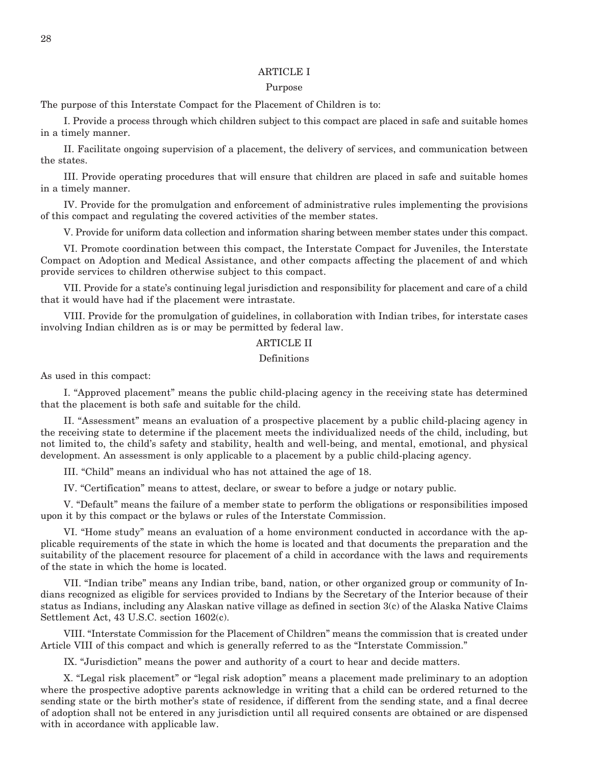#### ARTICLE I

#### Purpose

The purpose of this Interstate Compact for the Placement of Children is to:

 I. Provide a process through which children subject to this compact are placed in safe and suitable homes in a timely manner.

 II. Facilitate ongoing supervision of a placement, the delivery of services, and communication between the states.

 III. Provide operating procedures that will ensure that children are placed in safe and suitable homes in a timely manner.

 IV. Provide for the promulgation and enforcement of administrative rules implementing the provisions of this compact and regulating the covered activities of the member states.

V. Provide for uniform data collection and information sharing between member states under this compact.

 VI. Promote coordination between this compact, the Interstate Compact for Juveniles, the Interstate Compact on Adoption and Medical Assistance, and other compacts affecting the placement of and which provide services to children otherwise subject to this compact.

 VII. Provide for a state's continuing legal jurisdiction and responsibility for placement and care of a child that it would have had if the placement were intrastate.

 VIII. Provide for the promulgation of guidelines, in collaboration with Indian tribes, for interstate cases involving Indian children as is or may be permitted by federal law.

#### ARTICLE II

#### Definitions

As used in this compact:

 I. "Approved placement" means the public child-placing agency in the receiving state has determined that the placement is both safe and suitable for the child.

 II. "Assessment" means an evaluation of a prospective placement by a public child-placing agency in the receiving state to determine if the placement meets the individualized needs of the child, including, but not limited to, the child's safety and stability, health and well-being, and mental, emotional, and physical development. An assessment is only applicable to a placement by a public child-placing agency.

III. "Child" means an individual who has not attained the age of 18.

IV. "Certification" means to attest, declare, or swear to before a judge or notary public.

 V. "Default" means the failure of a member state to perform the obligations or responsibilities imposed upon it by this compact or the bylaws or rules of the Interstate Commission.

 VI. "Home study" means an evaluation of a home environment conducted in accordance with the applicable requirements of the state in which the home is located and that documents the preparation and the suitability of the placement resource for placement of a child in accordance with the laws and requirements of the state in which the home is located.

 VII. "Indian tribe" means any Indian tribe, band, nation, or other organized group or community of Indians recognized as eligible for services provided to Indians by the Secretary of the Interior because of their status as Indians, including any Alaskan native village as defined in section 3(c) of the Alaska Native Claims Settlement Act, 43 U.S.C. section 1602(c).

 VIII. "Interstate Commission for the Placement of Children" means the commission that is created under Article VIII of this compact and which is generally referred to as the "Interstate Commission."

IX. "Jurisdiction" means the power and authority of a court to hear and decide matters.

 X. "Legal risk placement" or "legal risk adoption" means a placement made preliminary to an adoption where the prospective adoptive parents acknowledge in writing that a child can be ordered returned to the sending state or the birth mother's state of residence, if different from the sending state, and a final decree of adoption shall not be entered in any jurisdiction until all required consents are obtained or are dispensed with in accordance with applicable law.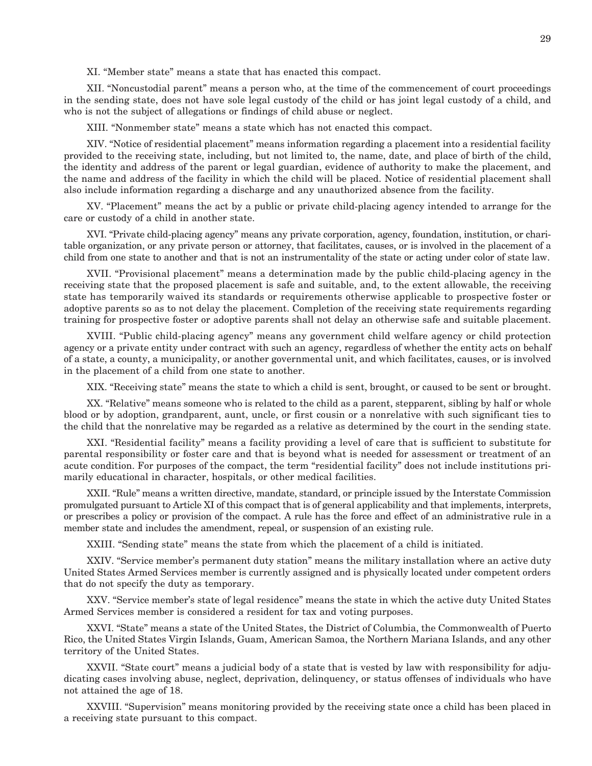XI. "Member state" means a state that has enacted this compact.

 XII. "Noncustodial parent" means a person who, at the time of the commencement of court proceedings in the sending state, does not have sole legal custody of the child or has joint legal custody of a child, and who is not the subject of allegations or findings of child abuse or neglect.

XIII. "Nonmember state" means a state which has not enacted this compact.

 XIV. "Notice of residential placement" means information regarding a placement into a residential facility provided to the receiving state, including, but not limited to, the name, date, and place of birth of the child, the identity and address of the parent or legal guardian, evidence of authority to make the placement, and the name and address of the facility in which the child will be placed. Notice of residential placement shall also include information regarding a discharge and any unauthorized absence from the facility.

 XV. "Placement" means the act by a public or private child-placing agency intended to arrange for the care or custody of a child in another state.

 XVI. "Private child-placing agency" means any private corporation, agency, foundation, institution, or charitable organization, or any private person or attorney, that facilitates, causes, or is involved in the placement of a child from one state to another and that is not an instrumentality of the state or acting under color of state law.

 XVII. "Provisional placement" means a determination made by the public child-placing agency in the receiving state that the proposed placement is safe and suitable, and, to the extent allowable, the receiving state has temporarily waived its standards or requirements otherwise applicable to prospective foster or adoptive parents so as to not delay the placement. Completion of the receiving state requirements regarding training for prospective foster or adoptive parents shall not delay an otherwise safe and suitable placement.

 XVIII. "Public child-placing agency" means any government child welfare agency or child protection agency or a private entity under contract with such an agency, regardless of whether the entity acts on behalf of a state, a county, a municipality, or another governmental unit, and which facilitates, causes, or is involved in the placement of a child from one state to another.

XIX. "Receiving state" means the state to which a child is sent, brought, or caused to be sent or brought.

 XX. "Relative" means someone who is related to the child as a parent, stepparent, sibling by half or whole blood or by adoption, grandparent, aunt, uncle, or first cousin or a nonrelative with such significant ties to the child that the nonrelative may be regarded as a relative as determined by the court in the sending state.

 XXI. "Residential facility" means a facility providing a level of care that is sufficient to substitute for parental responsibility or foster care and that is beyond what is needed for assessment or treatment of an acute condition. For purposes of the compact, the term "residential facility" does not include institutions primarily educational in character, hospitals, or other medical facilities.

 XXII. "Rule" means a written directive, mandate, standard, or principle issued by the Interstate Commission promulgated pursuant to Article XI of this compact that is of general applicability and that implements, interprets, or prescribes a policy or provision of the compact. A rule has the force and effect of an administrative rule in a member state and includes the amendment, repeal, or suspension of an existing rule.

XXIII. "Sending state" means the state from which the placement of a child is initiated.

 XXIV. "Service member's permanent duty station" means the military installation where an active duty United States Armed Services member is currently assigned and is physically located under competent orders that do not specify the duty as temporary.

 XXV. "Service member's state of legal residence" means the state in which the active duty United States Armed Services member is considered a resident for tax and voting purposes.

 XXVI. "State" means a state of the United States, the District of Columbia, the Commonwealth of Puerto Rico, the United States Virgin Islands, Guam, American Samoa, the Northern Mariana Islands, and any other territory of the United States.

 XXVII. "State court" means a judicial body of a state that is vested by law with responsibility for adjudicating cases involving abuse, neglect, deprivation, delinquency, or status offenses of individuals who have not attained the age of 18.

 XXVIII. "Supervision" means monitoring provided by the receiving state once a child has been placed in a receiving state pursuant to this compact.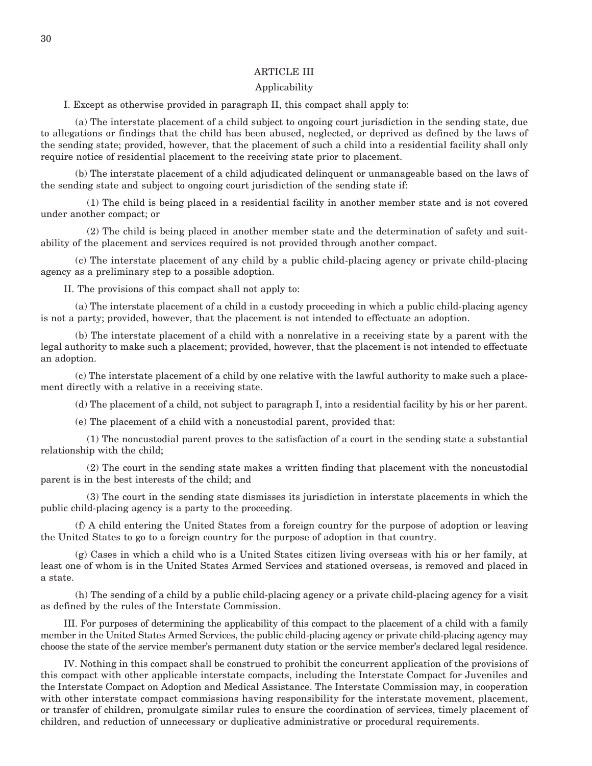#### ARTICLE III

#### Applicability

I. Except as otherwise provided in paragraph II, this compact shall apply to:

 (a) The interstate placement of a child subject to ongoing court jurisdiction in the sending state, due to allegations or findings that the child has been abused, neglected, or deprived as defined by the laws of the sending state; provided, however, that the placement of such a child into a residential facility shall only require notice of residential placement to the receiving state prior to placement.

 (b) The interstate placement of a child adjudicated delinquent or unmanageable based on the laws of the sending state and subject to ongoing court jurisdiction of the sending state if:

 (1) The child is being placed in a residential facility in another member state and is not covered under another compact; or

 (2) The child is being placed in another member state and the determination of safety and suitability of the placement and services required is not provided through another compact.

 (c) The interstate placement of any child by a public child-placing agency or private child-placing agency as a preliminary step to a possible adoption.

II. The provisions of this compact shall not apply to:

 (a) The interstate placement of a child in a custody proceeding in which a public child-placing agency is not a party; provided, however, that the placement is not intended to effectuate an adoption.

 (b) The interstate placement of a child with a nonrelative in a receiving state by a parent with the legal authority to make such a placement; provided, however, that the placement is not intended to effectuate an adoption.

 (c) The interstate placement of a child by one relative with the lawful authority to make such a placement directly with a relative in a receiving state.

(d) The placement of a child, not subject to paragraph I, into a residential facility by his or her parent.

(e) The placement of a child with a noncustodial parent, provided that:

 (1) The noncustodial parent proves to the satisfaction of a court in the sending state a substantial relationship with the child;

 (2) The court in the sending state makes a written finding that placement with the noncustodial parent is in the best interests of the child; and

 (3) The court in the sending state dismisses its jurisdiction in interstate placements in which the public child-placing agency is a party to the proceeding.

 (f) A child entering the United States from a foreign country for the purpose of adoption or leaving the United States to go to a foreign country for the purpose of adoption in that country.

 (g) Cases in which a child who is a United States citizen living overseas with his or her family, at least one of whom is in the United States Armed Services and stationed overseas, is removed and placed in a state.

 (h) The sending of a child by a public child-placing agency or a private child-placing agency for a visit as defined by the rules of the Interstate Commission.

 III. For purposes of determining the applicability of this compact to the placement of a child with a family member in the United States Armed Services, the public child-placing agency or private child-placing agency may choose the state of the service member's permanent duty station or the service member's declared legal residence.

 IV. Nothing in this compact shall be construed to prohibit the concurrent application of the provisions of this compact with other applicable interstate compacts, including the Interstate Compact for Juveniles and the Interstate Compact on Adoption and Medical Assistance. The Interstate Commission may, in cooperation with other interstate compact commissions having responsibility for the interstate movement, placement, or transfer of children, promulgate similar rules to ensure the coordination of services, timely placement of children, and reduction of unnecessary or duplicative administrative or procedural requirements.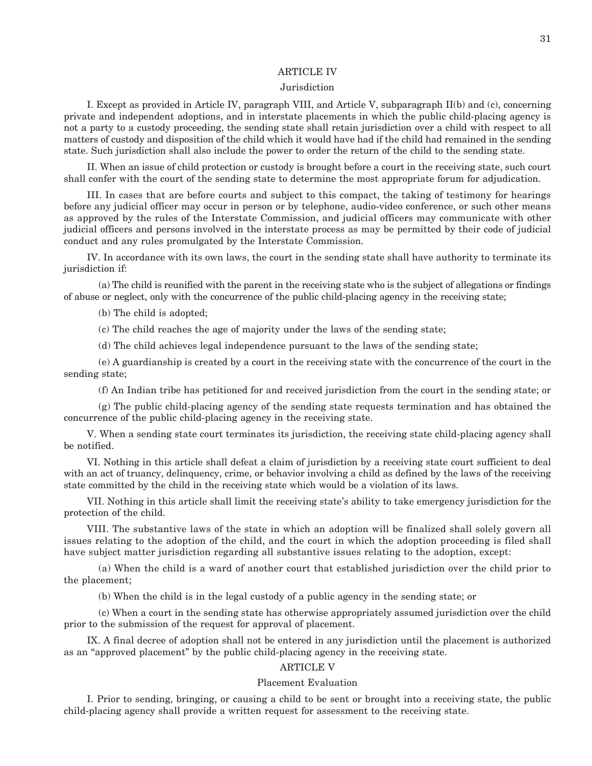#### ARTICLE IV

#### **Jurisdiction**

 I. Except as provided in Article IV, paragraph VIII, and Article V, subparagraph II(b) and (c), concerning private and independent adoptions, and in interstate placements in which the public child-placing agency is not a party to a custody proceeding, the sending state shall retain jurisdiction over a child with respect to all matters of custody and disposition of the child which it would have had if the child had remained in the sending state. Such jurisdiction shall also include the power to order the return of the child to the sending state.

 II. When an issue of child protection or custody is brought before a court in the receiving state, such court shall confer with the court of the sending state to determine the most appropriate forum for adjudication.

 III. In cases that are before courts and subject to this compact, the taking of testimony for hearings before any judicial officer may occur in person or by telephone, audio-video conference, or such other means as approved by the rules of the Interstate Commission, and judicial officers may communicate with other judicial officers and persons involved in the interstate process as may be permitted by their code of judicial conduct and any rules promulgated by the Interstate Commission.

 IV. In accordance with its own laws, the court in the sending state shall have authority to terminate its jurisdiction if:

 (a) The child is reunified with the parent in the receiving state who is the subject of allegations or findings of abuse or neglect, only with the concurrence of the public child-placing agency in the receiving state;

(b) The child is adopted;

(c) The child reaches the age of majority under the laws of the sending state;

(d) The child achieves legal independence pursuant to the laws of the sending state;

 (e) A guardianship is created by a court in the receiving state with the concurrence of the court in the sending state;

(f) An Indian tribe has petitioned for and received jurisdiction from the court in the sending state; or

 (g) The public child-placing agency of the sending state requests termination and has obtained the concurrence of the public child-placing agency in the receiving state.

 V. When a sending state court terminates its jurisdiction, the receiving state child-placing agency shall be notified.

 VI. Nothing in this article shall defeat a claim of jurisdiction by a receiving state court sufficient to deal with an act of truancy, delinquency, crime, or behavior involving a child as defined by the laws of the receiving state committed by the child in the receiving state which would be a violation of its laws.

 VII. Nothing in this article shall limit the receiving state's ability to take emergency jurisdiction for the protection of the child.

 VIII. The substantive laws of the state in which an adoption will be finalized shall solely govern all issues relating to the adoption of the child, and the court in which the adoption proceeding is filed shall have subject matter jurisdiction regarding all substantive issues relating to the adoption, except:

 (a) When the child is a ward of another court that established jurisdiction over the child prior to the placement;

(b) When the child is in the legal custody of a public agency in the sending state; or

 (c) When a court in the sending state has otherwise appropriately assumed jurisdiction over the child prior to the submission of the request for approval of placement.

 IX. A final decree of adoption shall not be entered in any jurisdiction until the placement is authorized as an "approved placement" by the public child-placing agency in the receiving state.

#### ARTICLE V

#### Placement Evaluation

 I. Prior to sending, bringing, or causing a child to be sent or brought into a receiving state, the public child-placing agency shall provide a written request for assessment to the receiving state.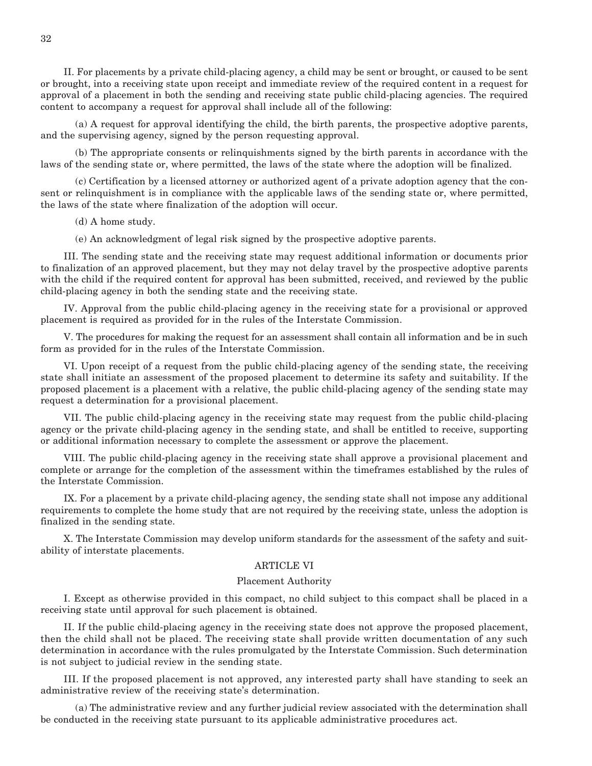II. For placements by a private child-placing agency, a child may be sent or brought, or caused to be sent or brought, into a receiving state upon receipt and immediate review of the required content in a request for approval of a placement in both the sending and receiving state public child-placing agencies. The required content to accompany a request for approval shall include all of the following:

 (a) A request for approval identifying the child, the birth parents, the prospective adoptive parents, and the supervising agency, signed by the person requesting approval.

 (b) The appropriate consents or relinquishments signed by the birth parents in accordance with the laws of the sending state or, where permitted, the laws of the state where the adoption will be finalized.

 (c) Certification by a licensed attorney or authorized agent of a private adoption agency that the consent or relinquishment is in compliance with the applicable laws of the sending state or, where permitted, the laws of the state where finalization of the adoption will occur.

(d) A home study.

(e) An acknowledgment of legal risk signed by the prospective adoptive parents.

 III. The sending state and the receiving state may request additional information or documents prior to finalization of an approved placement, but they may not delay travel by the prospective adoptive parents with the child if the required content for approval has been submitted, received, and reviewed by the public child-placing agency in both the sending state and the receiving state.

 IV. Approval from the public child-placing agency in the receiving state for a provisional or approved placement is required as provided for in the rules of the Interstate Commission.

 V. The procedures for making the request for an assessment shall contain all information and be in such form as provided for in the rules of the Interstate Commission.

 VI. Upon receipt of a request from the public child-placing agency of the sending state, the receiving state shall initiate an assessment of the proposed placement to determine its safety and suitability. If the proposed placement is a placement with a relative, the public child-placing agency of the sending state may request a determination for a provisional placement.

 VII. The public child-placing agency in the receiving state may request from the public child-placing agency or the private child-placing agency in the sending state, and shall be entitled to receive, supporting or additional information necessary to complete the assessment or approve the placement.

 VIII. The public child-placing agency in the receiving state shall approve a provisional placement and complete or arrange for the completion of the assessment within the timeframes established by the rules of the Interstate Commission.

 IX. For a placement by a private child-placing agency, the sending state shall not impose any additional requirements to complete the home study that are not required by the receiving state, unless the adoption is finalized in the sending state.

 X. The Interstate Commission may develop uniform standards for the assessment of the safety and suitability of interstate placements.

#### ARTICLE VI

#### Placement Authority

 I. Except as otherwise provided in this compact, no child subject to this compact shall be placed in a receiving state until approval for such placement is obtained.

 II. If the public child-placing agency in the receiving state does not approve the proposed placement, then the child shall not be placed. The receiving state shall provide written documentation of any such determination in accordance with the rules promulgated by the Interstate Commission. Such determination is not subject to judicial review in the sending state.

 III. If the proposed placement is not approved, any interested party shall have standing to seek an administrative review of the receiving state's determination.

 (a) The administrative review and any further judicial review associated with the determination shall be conducted in the receiving state pursuant to its applicable administrative procedures act.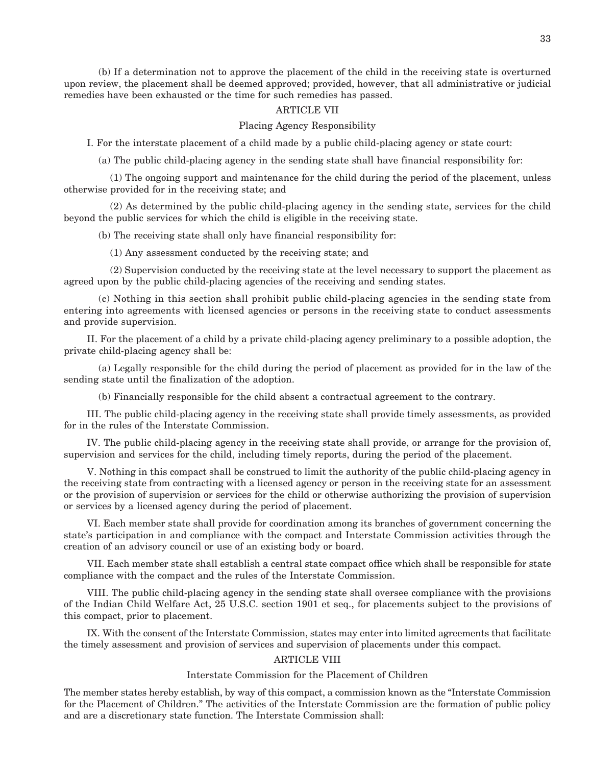(b) If a determination not to approve the placement of the child in the receiving state is overturned upon review, the placement shall be deemed approved; provided, however, that all administrative or judicial remedies have been exhausted or the time for such remedies has passed.

#### ARTICLE VII

Placing Agency Responsibility

I. For the interstate placement of a child made by a public child-placing agency or state court:

(a) The public child-placing agency in the sending state shall have financial responsibility for:

 (1) The ongoing support and maintenance for the child during the period of the placement, unless otherwise provided for in the receiving state; and

 (2) As determined by the public child-placing agency in the sending state, services for the child beyond the public services for which the child is eligible in the receiving state.

(b) The receiving state shall only have financial responsibility for:

(1) Any assessment conducted by the receiving state; and

 (2) Supervision conducted by the receiving state at the level necessary to support the placement as agreed upon by the public child-placing agencies of the receiving and sending states.

 (c) Nothing in this section shall prohibit public child-placing agencies in the sending state from entering into agreements with licensed agencies or persons in the receiving state to conduct assessments and provide supervision.

 II. For the placement of a child by a private child-placing agency preliminary to a possible adoption, the private child-placing agency shall be:

 (a) Legally responsible for the child during the period of placement as provided for in the law of the sending state until the finalization of the adoption.

(b) Financially responsible for the child absent a contractual agreement to the contrary.

 III. The public child-placing agency in the receiving state shall provide timely assessments, as provided for in the rules of the Interstate Commission.

 IV. The public child-placing agency in the receiving state shall provide, or arrange for the provision of, supervision and services for the child, including timely reports, during the period of the placement.

 V. Nothing in this compact shall be construed to limit the authority of the public child-placing agency in the receiving state from contracting with a licensed agency or person in the receiving state for an assessment or the provision of supervision or services for the child or otherwise authorizing the provision of supervision or services by a licensed agency during the period of placement.

 VI. Each member state shall provide for coordination among its branches of government concerning the state's participation in and compliance with the compact and Interstate Commission activities through the creation of an advisory council or use of an existing body or board.

 VII. Each member state shall establish a central state compact office which shall be responsible for state compliance with the compact and the rules of the Interstate Commission.

 VIII. The public child-placing agency in the sending state shall oversee compliance with the provisions of the Indian Child Welfare Act, 25 U.S.C. section 1901 et seq., for placements subject to the provisions of this compact, prior to placement.

 IX. With the consent of the Interstate Commission, states may enter into limited agreements that facilitate the timely assessment and provision of services and supervision of placements under this compact.

#### ARTICLE VIII

#### Interstate Commission for the Placement of Children

The member states hereby establish, by way of this compact, a commission known as the "Interstate Commission for the Placement of Children." The activities of the Interstate Commission are the formation of public policy and are a discretionary state function. The Interstate Commission shall: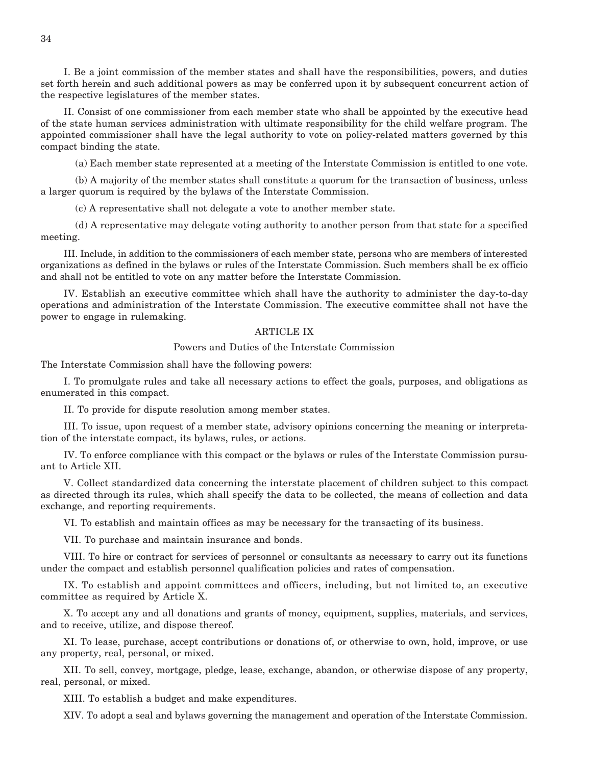I. Be a joint commission of the member states and shall have the responsibilities, powers, and duties set forth herein and such additional powers as may be conferred upon it by subsequent concurrent action of the respective legislatures of the member states.

 II. Consist of one commissioner from each member state who shall be appointed by the executive head of the state human services administration with ultimate responsibility for the child welfare program. The appointed commissioner shall have the legal authority to vote on policy-related matters governed by this compact binding the state.

(a) Each member state represented at a meeting of the Interstate Commission is entitled to one vote.

 (b) A majority of the member states shall constitute a quorum for the transaction of business, unless a larger quorum is required by the bylaws of the Interstate Commission.

(c) A representative shall not delegate a vote to another member state.

 (d) A representative may delegate voting authority to another person from that state for a specified meeting.

 III. Include, in addition to the commissioners of each member state, persons who are members of interested organizations as defined in the bylaws or rules of the Interstate Commission. Such members shall be ex officio and shall not be entitled to vote on any matter before the Interstate Commission.

 IV. Establish an executive committee which shall have the authority to administer the day-to-day operations and administration of the Interstate Commission. The executive committee shall not have the power to engage in rulemaking.

#### ARTICLE IX

#### Powers and Duties of the Interstate Commission

The Interstate Commission shall have the following powers:

 I. To promulgate rules and take all necessary actions to effect the goals, purposes, and obligations as enumerated in this compact.

II. To provide for dispute resolution among member states.

 III. To issue, upon request of a member state, advisory opinions concerning the meaning or interpretation of the interstate compact, its bylaws, rules, or actions.

 IV. To enforce compliance with this compact or the bylaws or rules of the Interstate Commission pursuant to Article XII.

 V. Collect standardized data concerning the interstate placement of children subject to this compact as directed through its rules, which shall specify the data to be collected, the means of collection and data exchange, and reporting requirements.

VI. To establish and maintain offices as may be necessary for the transacting of its business.

VII. To purchase and maintain insurance and bonds.

 VIII. To hire or contract for services of personnel or consultants as necessary to carry out its functions under the compact and establish personnel qualification policies and rates of compensation.

 IX. To establish and appoint committees and officers, including, but not limited to, an executive committee as required by Article X.

 X. To accept any and all donations and grants of money, equipment, supplies, materials, and services, and to receive, utilize, and dispose thereof.

 XI. To lease, purchase, accept contributions or donations of, or otherwise to own, hold, improve, or use any property, real, personal, or mixed.

 XII. To sell, convey, mortgage, pledge, lease, exchange, abandon, or otherwise dispose of any property, real, personal, or mixed.

XIII. To establish a budget and make expenditures.

XIV. To adopt a seal and bylaws governing the management and operation of the Interstate Commission.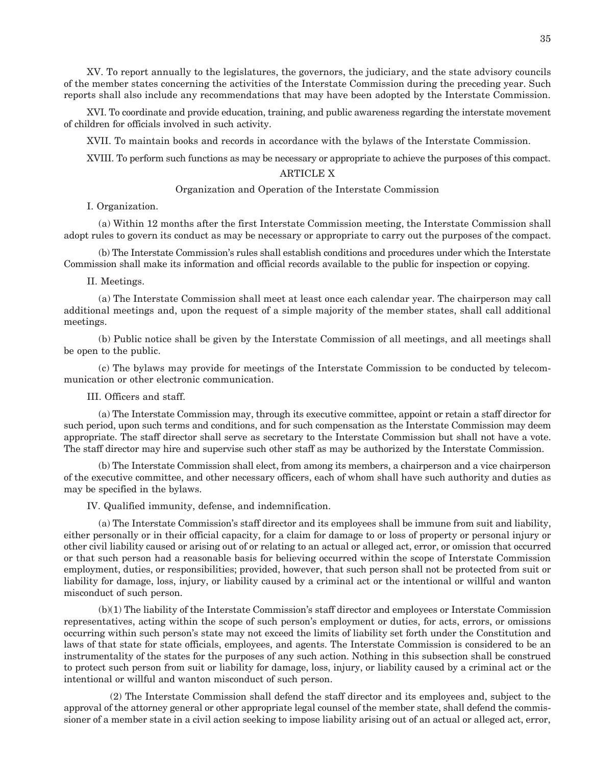XV. To report annually to the legislatures, the governors, the judiciary, and the state advisory councils of the member states concerning the activities of the Interstate Commission during the preceding year. Such reports shall also include any recommendations that may have been adopted by the Interstate Commission.

 XVI. To coordinate and provide education, training, and public awareness regarding the interstate movement of children for officials involved in such activity.

XVII. To maintain books and records in accordance with the bylaws of the Interstate Commission.

XVIII. To perform such functions as may be necessary or appropriate to achieve the purposes of this compact.

#### ARTICLE X

#### Organization and Operation of the Interstate Commission

I. Organization.

 (a) Within 12 months after the first Interstate Commission meeting, the Interstate Commission shall adopt rules to govern its conduct as may be necessary or appropriate to carry out the purposes of the compact.

 (b) The Interstate Commission's rules shall establish conditions and procedures under which the Interstate Commission shall make its information and official records available to the public for inspection or copying.

#### II. Meetings.

 (a) The Interstate Commission shall meet at least once each calendar year. The chairperson may call additional meetings and, upon the request of a simple majority of the member states, shall call additional meetings.

 (b) Public notice shall be given by the Interstate Commission of all meetings, and all meetings shall be open to the public.

 (c) The bylaws may provide for meetings of the Interstate Commission to be conducted by telecommunication or other electronic communication.

III. Officers and staff.

 (a) The Interstate Commission may, through its executive committee, appoint or retain a staff director for such period, upon such terms and conditions, and for such compensation as the Interstate Commission may deem appropriate. The staff director shall serve as secretary to the Interstate Commission but shall not have a vote. The staff director may hire and supervise such other staff as may be authorized by the Interstate Commission.

 (b) The Interstate Commission shall elect, from among its members, a chairperson and a vice chairperson of the executive committee, and other necessary officers, each of whom shall have such authority and duties as may be specified in the bylaws.

IV. Qualified immunity, defense, and indemnification.

 (a) The Interstate Commission's staff director and its employees shall be immune from suit and liability, either personally or in their official capacity, for a claim for damage to or loss of property or personal injury or other civil liability caused or arising out of or relating to an actual or alleged act, error, or omission that occurred or that such person had a reasonable basis for believing occurred within the scope of Interstate Commission employment, duties, or responsibilities; provided, however, that such person shall not be protected from suit or liability for damage, loss, injury, or liability caused by a criminal act or the intentional or willful and wanton misconduct of such person.

 (b)(1) The liability of the Interstate Commission's staff director and employees or Interstate Commission representatives, acting within the scope of such person's employment or duties, for acts, errors, or omissions occurring within such person's state may not exceed the limits of liability set forth under the Constitution and laws of that state for state officials, employees, and agents. The Interstate Commission is considered to be an instrumentality of the states for the purposes of any such action. Nothing in this subsection shall be construed to protect such person from suit or liability for damage, loss, injury, or liability caused by a criminal act or the intentional or willful and wanton misconduct of such person.

 (2) The Interstate Commission shall defend the staff director and its employees and, subject to the approval of the attorney general or other appropriate legal counsel of the member state, shall defend the commissioner of a member state in a civil action seeking to impose liability arising out of an actual or alleged act, error,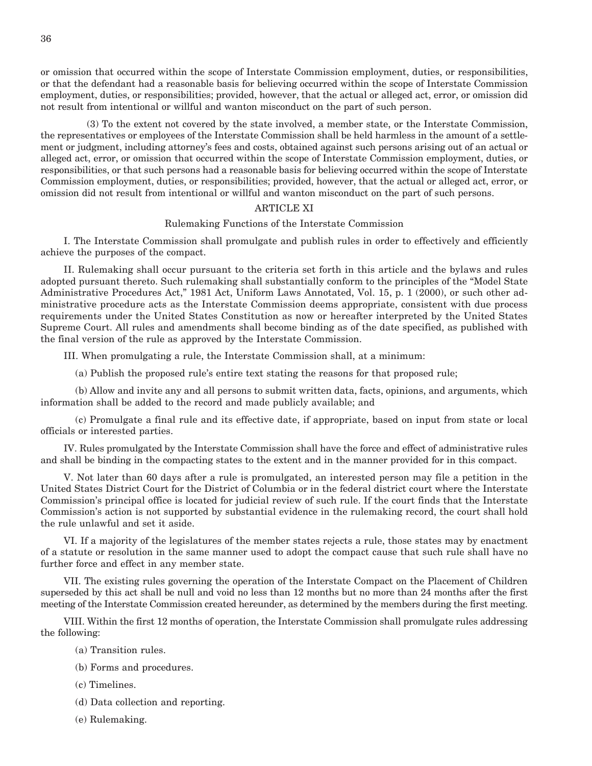or omission that occurred within the scope of Interstate Commission employment, duties, or responsibilities, or that the defendant had a reasonable basis for believing occurred within the scope of Interstate Commission employment, duties, or responsibilities; provided, however, that the actual or alleged act, error, or omission did not result from intentional or willful and wanton misconduct on the part of such person.

 (3) To the extent not covered by the state involved, a member state, or the Interstate Commission, the representatives or employees of the Interstate Commission shall be held harmless in the amount of a settlement or judgment, including attorney's fees and costs, obtained against such persons arising out of an actual or alleged act, error, or omission that occurred within the scope of Interstate Commission employment, duties, or responsibilities, or that such persons had a reasonable basis for believing occurred within the scope of Interstate Commission employment, duties, or responsibilities; provided, however, that the actual or alleged act, error, or omission did not result from intentional or willful and wanton misconduct on the part of such persons.

#### ARTICLE XI

#### Rulemaking Functions of the Interstate Commission

 I. The Interstate Commission shall promulgate and publish rules in order to effectively and efficiently achieve the purposes of the compact.

 II. Rulemaking shall occur pursuant to the criteria set forth in this article and the bylaws and rules adopted pursuant thereto. Such rulemaking shall substantially conform to the principles of the "Model State Administrative Procedures Act," 1981 Act, Uniform Laws Annotated, Vol. 15, p. 1 (2000), or such other administrative procedure acts as the Interstate Commission deems appropriate, consistent with due process requirements under the United States Constitution as now or hereafter interpreted by the United States Supreme Court. All rules and amendments shall become binding as of the date specified, as published with the final version of the rule as approved by the Interstate Commission.

III. When promulgating a rule, the Interstate Commission shall, at a minimum:

(a) Publish the proposed rule's entire text stating the reasons for that proposed rule;

 (b) Allow and invite any and all persons to submit written data, facts, opinions, and arguments, which information shall be added to the record and made publicly available; and

 (c) Promulgate a final rule and its effective date, if appropriate, based on input from state or local officials or interested parties.

 IV. Rules promulgated by the Interstate Commission shall have the force and effect of administrative rules and shall be binding in the compacting states to the extent and in the manner provided for in this compact.

 V. Not later than 60 days after a rule is promulgated, an interested person may file a petition in the United States District Court for the District of Columbia or in the federal district court where the Interstate Commission's principal office is located for judicial review of such rule. If the court finds that the Interstate Commission's action is not supported by substantial evidence in the rulemaking record, the court shall hold the rule unlawful and set it aside.

 VI. If a majority of the legislatures of the member states rejects a rule, those states may by enactment of a statute or resolution in the same manner used to adopt the compact cause that such rule shall have no further force and effect in any member state.

 VII. The existing rules governing the operation of the Interstate Compact on the Placement of Children superseded by this act shall be null and void no less than 12 months but no more than 24 months after the first meeting of the Interstate Commission created hereunder, as determined by the members during the first meeting.

 VIII. Within the first 12 months of operation, the Interstate Commission shall promulgate rules addressing the following:

- (a) Transition rules.
- (b) Forms and procedures.
- (c) Timelines.
- (d) Data collection and reporting.
- (e) Rulemaking.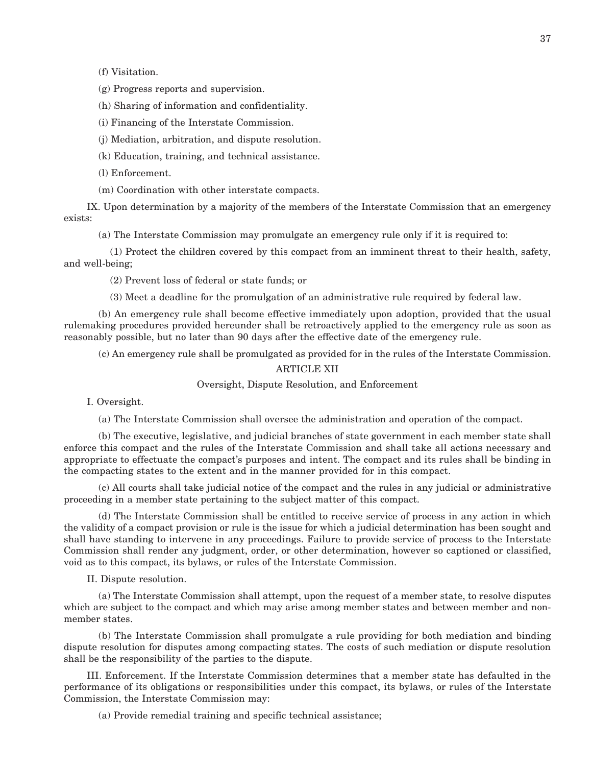(f) Visitation.

(g) Progress reports and supervision.

(h) Sharing of information and confidentiality.

(i) Financing of the Interstate Commission.

(j) Mediation, arbitration, and dispute resolution.

(k) Education, training, and technical assistance.

(l) Enforcement.

(m) Coordination with other interstate compacts.

 IX. Upon determination by a majority of the members of the Interstate Commission that an emergency exists:

(a) The Interstate Commission may promulgate an emergency rule only if it is required to:

 (1) Protect the children covered by this compact from an imminent threat to their health, safety, and well-being;

(2) Prevent loss of federal or state funds; or

(3) Meet a deadline for the promulgation of an administrative rule required by federal law.

 (b) An emergency rule shall become effective immediately upon adoption, provided that the usual rulemaking procedures provided hereunder shall be retroactively applied to the emergency rule as soon as reasonably possible, but no later than 90 days after the effective date of the emergency rule.

(c) An emergency rule shall be promulgated as provided for in the rules of the Interstate Commission.

#### ARTICLE XII

Oversight, Dispute Resolution, and Enforcement

I. Oversight.

(a) The Interstate Commission shall oversee the administration and operation of the compact.

 (b) The executive, legislative, and judicial branches of state government in each member state shall enforce this compact and the rules of the Interstate Commission and shall take all actions necessary and appropriate to effectuate the compact's purposes and intent. The compact and its rules shall be binding in the compacting states to the extent and in the manner provided for in this compact.

 (c) All courts shall take judicial notice of the compact and the rules in any judicial or administrative proceeding in a member state pertaining to the subject matter of this compact.

 (d) The Interstate Commission shall be entitled to receive service of process in any action in which the validity of a compact provision or rule is the issue for which a judicial determination has been sought and shall have standing to intervene in any proceedings. Failure to provide service of process to the Interstate Commission shall render any judgment, order, or other determination, however so captioned or classified, void as to this compact, its bylaws, or rules of the Interstate Commission.

II. Dispute resolution.

 (a) The Interstate Commission shall attempt, upon the request of a member state, to resolve disputes which are subject to the compact and which may arise among member states and between member and nonmember states.

 (b) The Interstate Commission shall promulgate a rule providing for both mediation and binding dispute resolution for disputes among compacting states. The costs of such mediation or dispute resolution shall be the responsibility of the parties to the dispute.

 III. Enforcement. If the Interstate Commission determines that a member state has defaulted in the performance of its obligations or responsibilities under this compact, its bylaws, or rules of the Interstate Commission, the Interstate Commission may:

(a) Provide remedial training and specific technical assistance;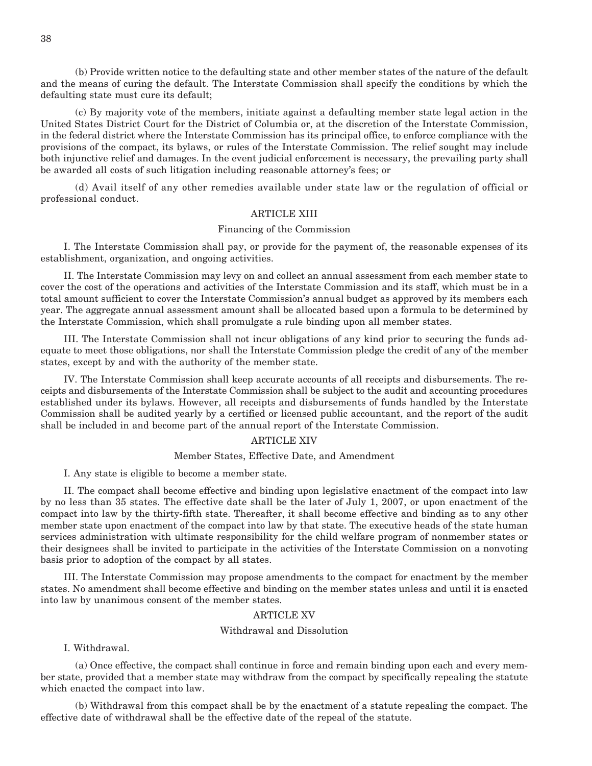(b) Provide written notice to the defaulting state and other member states of the nature of the default and the means of curing the default. The Interstate Commission shall specify the conditions by which the defaulting state must cure its default;

 (c) By majority vote of the members, initiate against a defaulting member state legal action in the United States District Court for the District of Columbia or, at the discretion of the Interstate Commission, in the federal district where the Interstate Commission has its principal office, to enforce compliance with the provisions of the compact, its bylaws, or rules of the Interstate Commission. The relief sought may include both injunctive relief and damages. In the event judicial enforcement is necessary, the prevailing party shall be awarded all costs of such litigation including reasonable attorney's fees; or

 (d) Avail itself of any other remedies available under state law or the regulation of official or professional conduct.

#### ARTICLE XIII

#### Financing of the Commission

 I. The Interstate Commission shall pay, or provide for the payment of, the reasonable expenses of its establishment, organization, and ongoing activities.

 II. The Interstate Commission may levy on and collect an annual assessment from each member state to cover the cost of the operations and activities of the Interstate Commission and its staff, which must be in a total amount sufficient to cover the Interstate Commission's annual budget as approved by its members each year. The aggregate annual assessment amount shall be allocated based upon a formula to be determined by the Interstate Commission, which shall promulgate a rule binding upon all member states.

 III. The Interstate Commission shall not incur obligations of any kind prior to securing the funds adequate to meet those obligations, nor shall the Interstate Commission pledge the credit of any of the member states, except by and with the authority of the member state.

 IV. The Interstate Commission shall keep accurate accounts of all receipts and disbursements. The receipts and disbursements of the Interstate Commission shall be subject to the audit and accounting procedures established under its bylaws. However, all receipts and disbursements of funds handled by the Interstate Commission shall be audited yearly by a certified or licensed public accountant, and the report of the audit shall be included in and become part of the annual report of the Interstate Commission.

#### ARTICLE XIV

#### Member States, Effective Date, and Amendment

I. Any state is eligible to become a member state.

 II. The compact shall become effective and binding upon legislative enactment of the compact into law by no less than 35 states. The effective date shall be the later of July 1, 2007, or upon enactment of the compact into law by the thirty-fifth state. Thereafter, it shall become effective and binding as to any other member state upon enactment of the compact into law by that state. The executive heads of the state human services administration with ultimate responsibility for the child welfare program of nonmember states or their designees shall be invited to participate in the activities of the Interstate Commission on a nonvoting basis prior to adoption of the compact by all states.

 III. The Interstate Commission may propose amendments to the compact for enactment by the member states. No amendment shall become effective and binding on the member states unless and until it is enacted into law by unanimous consent of the member states.

#### ARTICLE XV

#### Withdrawal and Dissolution

I. Withdrawal.

 (a) Once effective, the compact shall continue in force and remain binding upon each and every member state, provided that a member state may withdraw from the compact by specifically repealing the statute which enacted the compact into law.

 (b) Withdrawal from this compact shall be by the enactment of a statute repealing the compact. The effective date of withdrawal shall be the effective date of the repeal of the statute.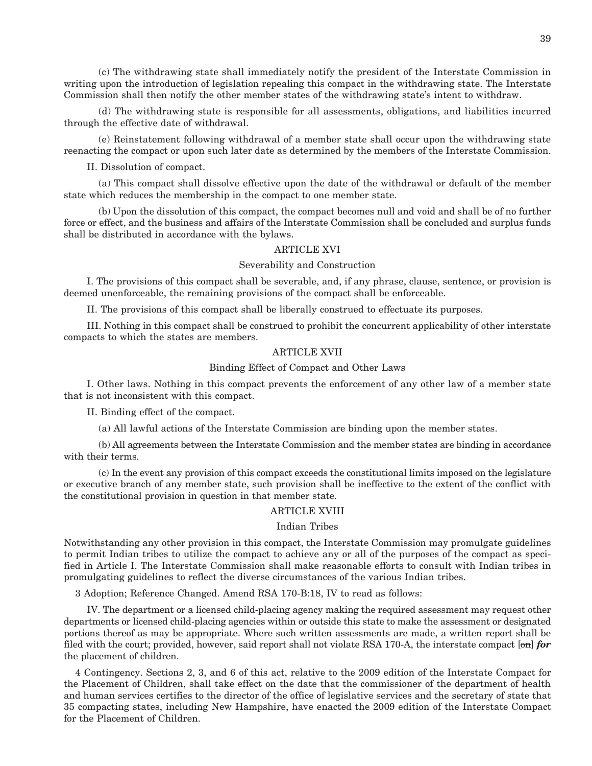(c) The withdrawing state shall immediately notify the president of the Interstate Commission in writing upon the introduction of legislation repealing this compact in the withdrawing state. The Interstate Commission shall then notify the other member states of the withdrawing state's intent to withdraw.

 (d) The withdrawing state is responsible for all assessments, obligations, and liabilities incurred through the effective date of withdrawal.

 (e) Reinstatement following withdrawal of a member state shall occur upon the withdrawing state reenacting the compact or upon such later date as determined by the members of the Interstate Commission.

II. Dissolution of compact.

 (a) This compact shall dissolve effective upon the date of the withdrawal or default of the member state which reduces the membership in the compact to one member state.

 (b) Upon the dissolution of this compact, the compact becomes null and void and shall be of no further force or effect, and the business and affairs of the Interstate Commission shall be concluded and surplus funds shall be distributed in accordance with the bylaws.

#### ARTICLE XVI

#### Severability and Construction

 I. The provisions of this compact shall be severable, and, if any phrase, clause, sentence, or provision is deemed unenforceable, the remaining provisions of the compact shall be enforceable.

II. The provisions of this compact shall be liberally construed to effectuate its purposes.

 III. Nothing in this compact shall be construed to prohibit the concurrent applicability of other interstate compacts to which the states are members.

#### ARTICLE XVII

#### Binding Effect of Compact and Other Laws

 I. Other laws. Nothing in this compact prevents the enforcement of any other law of a member state that is not inconsistent with this compact.

II. Binding effect of the compact.

(a) All lawful actions of the Interstate Commission are binding upon the member states.

 (b) All agreements between the Interstate Commission and the member states are binding in accordance with their terms.

 (c) In the event any provision of this compact exceeds the constitutional limits imposed on the legislature or executive branch of any member state, such provision shall be ineffective to the extent of the conflict with the constitutional provision in question in that member state.

#### ARTICLE XVIII

#### Indian Tribes

Notwithstanding any other provision in this compact, the Interstate Commission may promulgate guidelines to permit Indian tribes to utilize the compact to achieve any or all of the purposes of the compact as specified in Article I. The Interstate Commission shall make reasonable efforts to consult with Indian tribes in promulgating guidelines to reflect the diverse circumstances of the various Indian tribes.

3 Adoption; Reference Changed. Amend RSA 170-B:18, IV to read as follows:

 IV. The department or a licensed child-placing agency making the required assessment may request other departments or licensed child-placing agencies within or outside this state to make the assessment or designated portions thereof as may be appropriate. Where such written assessments are made, a written report shall be filed with the court; provided, however, said report shall not violate RSA 170-A, the interstate compact [on] *for*  the placement of children.

4 Contingency. Sections 2, 3, and 6 of this act, relative to the 2009 edition of the Interstate Compact for the Placement of Children, shall take effect on the date that the commissioner of the department of health and human services certifies to the director of the office of legislative services and the secretary of state that 35 compacting states, including New Hampshire, have enacted the 2009 edition of the Interstate Compact for the Placement of Children.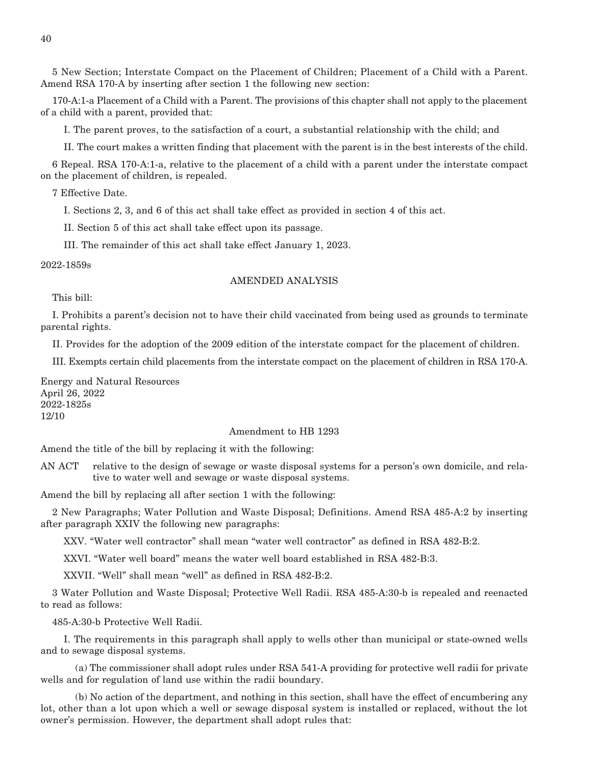5 New Section; Interstate Compact on the Placement of Children; Placement of a Child with a Parent. Amend RSA 170-A by inserting after section 1 the following new section:

170-A:1-a Placement of a Child with a Parent. The provisions of this chapter shall not apply to the placement of a child with a parent, provided that:

I. The parent proves, to the satisfaction of a court, a substantial relationship with the child; and

II. The court makes a written finding that placement with the parent is in the best interests of the child.

6 Repeal. RSA 170-A:1-a, relative to the placement of a child with a parent under the interstate compact on the placement of children, is repealed.

7 Effective Date.

I. Sections 2, 3, and 6 of this act shall take effect as provided in section 4 of this act.

II. Section 5 of this act shall take effect upon its passage.

III. The remainder of this act shall take effect January 1, 2023.

2022-1859s

#### AMENDED ANALYSIS

This bill:

I. Prohibits a parent's decision not to have their child vaccinated from being used as grounds to terminate parental rights.

II. Provides for the adoption of the 2009 edition of the interstate compact for the placement of children.

III. Exempts certain child placements from the interstate compact on the placement of children in RSA 170-A.

Energy and Natural Resources April 26, 2022 2022-1825s 12/10

#### Amendment to HB 1293

Amend the title of the bill by replacing it with the following:

AN ACT relative to the design of sewage or waste disposal systems for a person's own domicile, and relative to water well and sewage or waste disposal systems.

Amend the bill by replacing all after section 1 with the following:

2 New Paragraphs; Water Pollution and Waste Disposal; Definitions. Amend RSA 485-A:2 by inserting after paragraph XXIV the following new paragraphs:

XXV. "Water well contractor" shall mean "water well contractor" as defined in RSA 482-B:2.

XXVI. "Water well board" means the water well board established in RSA 482-B:3.

XXVII. "Well" shall mean "well" as defined in RSA 482-B:2.

3 Water Pollution and Waste Disposal; Protective Well Radii. RSA 485-A:30-b is repealed and reenacted to read as follows:

485-A:30-b Protective Well Radii.

 I. The requirements in this paragraph shall apply to wells other than municipal or state-owned wells and to sewage disposal systems.

 (a) The commissioner shall adopt rules under RSA 541-A providing for protective well radii for private wells and for regulation of land use within the radii boundary.

 (b) No action of the department, and nothing in this section, shall have the effect of encumbering any lot, other than a lot upon which a well or sewage disposal system is installed or replaced, without the lot owner's permission. However, the department shall adopt rules that: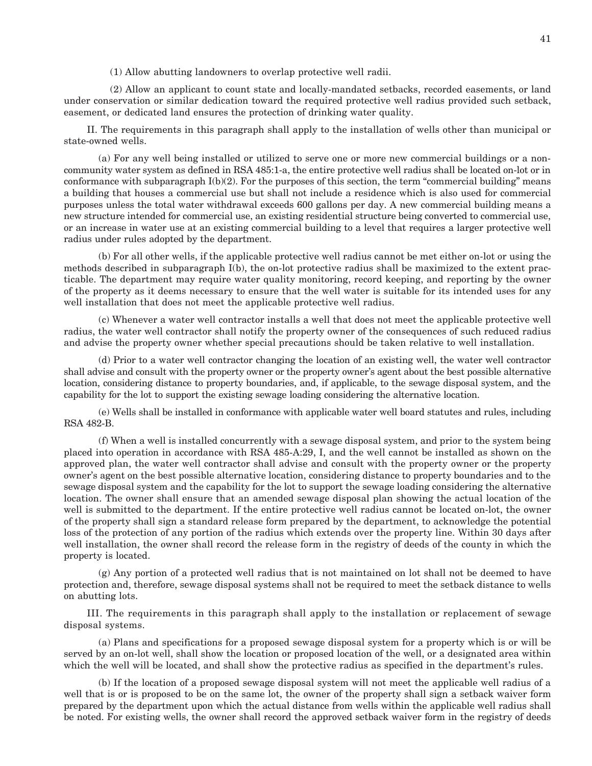(1) Allow abutting landowners to overlap protective well radii.

 (2) Allow an applicant to count state and locally-mandated setbacks, recorded easements, or land under conservation or similar dedication toward the required protective well radius provided such setback, easement, or dedicated land ensures the protection of drinking water quality.

 II. The requirements in this paragraph shall apply to the installation of wells other than municipal or state-owned wells.

 (a) For any well being installed or utilized to serve one or more new commercial buildings or a noncommunity water system as defined in RSA 485:1-a, the entire protective well radius shall be located on-lot or in conformance with subparagraph  $I(b)(2)$ . For the purposes of this section, the term "commercial building" means a building that houses a commercial use but shall not include a residence which is also used for commercial purposes unless the total water withdrawal exceeds 600 gallons per day. A new commercial building means a new structure intended for commercial use, an existing residential structure being converted to commercial use, or an increase in water use at an existing commercial building to a level that requires a larger protective well radius under rules adopted by the department.

 (b) For all other wells, if the applicable protective well radius cannot be met either on-lot or using the methods described in subparagraph I(b), the on-lot protective radius shall be maximized to the extent practicable. The department may require water quality monitoring, record keeping, and reporting by the owner of the property as it deems necessary to ensure that the well water is suitable for its intended uses for any well installation that does not meet the applicable protective well radius.

 (c) Whenever a water well contractor installs a well that does not meet the applicable protective well radius, the water well contractor shall notify the property owner of the consequences of such reduced radius and advise the property owner whether special precautions should be taken relative to well installation.

 (d) Prior to a water well contractor changing the location of an existing well, the water well contractor shall advise and consult with the property owner or the property owner's agent about the best possible alternative location, considering distance to property boundaries, and, if applicable, to the sewage disposal system, and the capability for the lot to support the existing sewage loading considering the alternative location.

 (e) Wells shall be installed in conformance with applicable water well board statutes and rules, including RSA 482-B.

 (f) When a well is installed concurrently with a sewage disposal system, and prior to the system being placed into operation in accordance with RSA 485-A:29, I, and the well cannot be installed as shown on the approved plan, the water well contractor shall advise and consult with the property owner or the property owner's agent on the best possible alternative location, considering distance to property boundaries and to the sewage disposal system and the capability for the lot to support the sewage loading considering the alternative location. The owner shall ensure that an amended sewage disposal plan showing the actual location of the well is submitted to the department. If the entire protective well radius cannot be located on-lot, the owner of the property shall sign a standard release form prepared by the department, to acknowledge the potential loss of the protection of any portion of the radius which extends over the property line. Within 30 days after well installation, the owner shall record the release form in the registry of deeds of the county in which the property is located.

 (g) Any portion of a protected well radius that is not maintained on lot shall not be deemed to have protection and, therefore, sewage disposal systems shall not be required to meet the setback distance to wells on abutting lots.

 III. The requirements in this paragraph shall apply to the installation or replacement of sewage disposal systems.

 (a) Plans and specifications for a proposed sewage disposal system for a property which is or will be served by an on-lot well, shall show the location or proposed location of the well, or a designated area within which the well will be located, and shall show the protective radius as specified in the department's rules.

 (b) If the location of a proposed sewage disposal system will not meet the applicable well radius of a well that is or is proposed to be on the same lot, the owner of the property shall sign a setback waiver form prepared by the department upon which the actual distance from wells within the applicable well radius shall be noted. For existing wells, the owner shall record the approved setback waiver form in the registry of deeds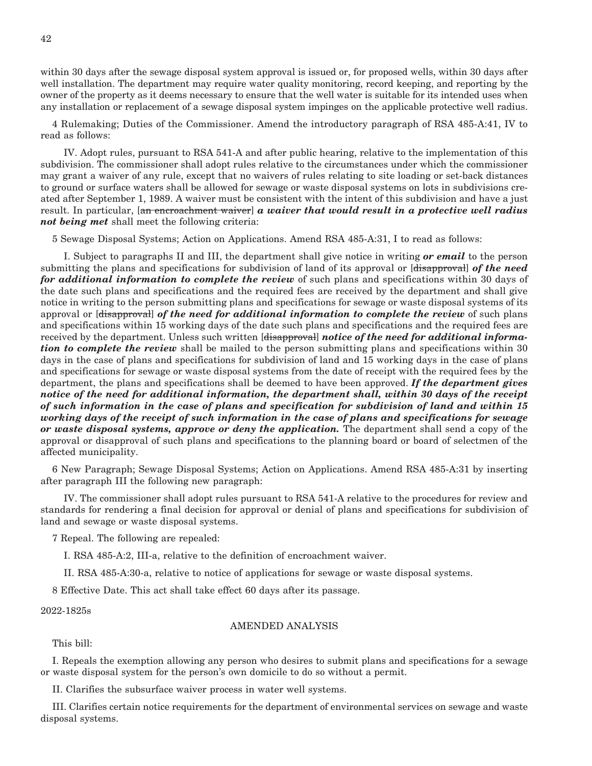within 30 days after the sewage disposal system approval is issued or, for proposed wells, within 30 days after well installation. The department may require water quality monitoring, record keeping, and reporting by the owner of the property as it deems necessary to ensure that the well water is suitable for its intended uses when any installation or replacement of a sewage disposal system impinges on the applicable protective well radius.

4 Rulemaking; Duties of the Commissioner. Amend the introductory paragraph of RSA 485-A:41, IV to read as follows:

 IV. Adopt rules, pursuant to RSA 541-A and after public hearing, relative to the implementation of this subdivision. The commissioner shall adopt rules relative to the circumstances under which the commissioner may grant a waiver of any rule, except that no waivers of rules relating to site loading or set-back distances to ground or surface waters shall be allowed for sewage or waste disposal systems on lots in subdivisions created after September 1, 1989. A waiver must be consistent with the intent of this subdivision and have a just result. In particular, [an encroachment waiver] *a waiver that would result in a protective well radius not being met* shall meet the following criteria:

5 Sewage Disposal Systems; Action on Applications. Amend RSA 485-A:31, I to read as follows:

 I. Subject to paragraphs II and III, the department shall give notice in writing *or email* to the person submitting the plans and specifications for subdivision of land of its approval or [disapproval] of the need *for additional information to complete the review* of such plans and specifications within 30 days of the date such plans and specifications and the required fees are received by the department and shall give notice in writing to the person submitting plans and specifications for sewage or waste disposal systems of its approval or [disapproval] *of the need for additional information to complete the review* of such plans and specifications within 15 working days of the date such plans and specifications and the required fees are received by the department. Unless such written [disapproval] *notice of the need for additional information to complete the review* shall be mailed to the person submitting plans and specifications within 30 days in the case of plans and specifications for subdivision of land and 15 working days in the case of plans and specifications for sewage or waste disposal systems from the date of receipt with the required fees by the department, the plans and specifications shall be deemed to have been approved. *If the department gives notice of the need for additional information, the department shall, within 30 days of the receipt of such information in the case of plans and specification for subdivision of land and within 15 working days of the receipt of such information in the case of plans and specifications for sewage or waste disposal systems, approve or deny the application.* The department shall send a copy of the approval or disapproval of such plans and specifications to the planning board or board of selectmen of the affected municipality.

6 New Paragraph; Sewage Disposal Systems; Action on Applications. Amend RSA 485-A:31 by inserting after paragraph III the following new paragraph:

 IV. The commissioner shall adopt rules pursuant to RSA 541-A relative to the procedures for review and standards for rendering a final decision for approval or denial of plans and specifications for subdivision of land and sewage or waste disposal systems.

7 Repeal. The following are repealed:

I. RSA 485-A:2, III-a, relative to the definition of encroachment waiver.

II. RSA 485-A:30-a, relative to notice of applications for sewage or waste disposal systems.

8 Effective Date. This act shall take effect 60 days after its passage.

2022-1825s

#### AMENDED ANALYSIS

This bill:

I. Repeals the exemption allowing any person who desires to submit plans and specifications for a sewage or waste disposal system for the person's own domicile to do so without a permit.

II. Clarifies the subsurface waiver process in water well systems.

III. Clarifies certain notice requirements for the department of environmental services on sewage and waste disposal systems.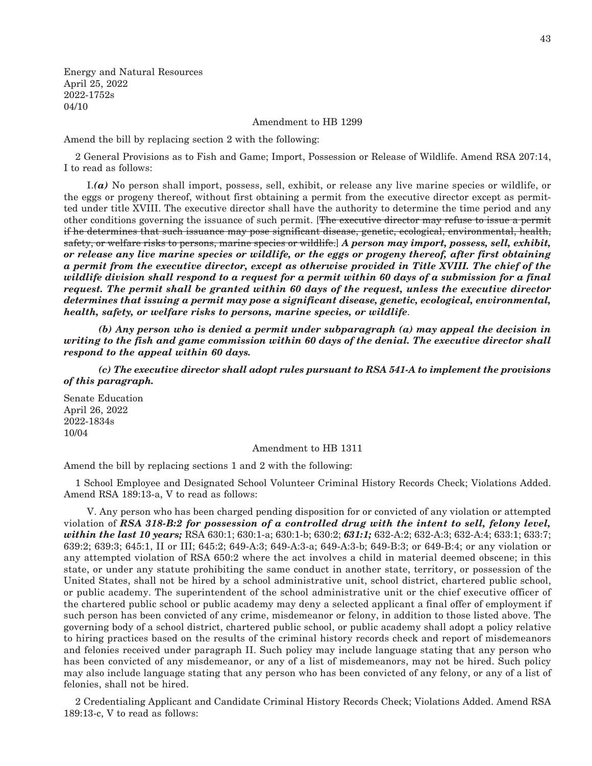Energy and Natural Resources April 25, 2022 2022-1752s 04/10

Amendment to HB 1299

Amend the bill by replacing section 2 with the following:

2 General Provisions as to Fish and Game; Import, Possession or Release of Wildlife. Amend RSA 207:14, I to read as follows:

 I.*(a)* No person shall import, possess, sell, exhibit, or release any live marine species or wildlife, or the eggs or progeny thereof, without first obtaining a permit from the executive director except as permitted under title XVIII. The executive director shall have the authority to determine the time period and any other conditions governing the issuance of such permit. [The executive director may refuse to issue a permit if he determines that such issuance may pose significant disease, genetic, ecological, environmental, health, safety, or welfare risks to persons, marine species or wildlife.] *A person may import, possess, sell, exhibit, or release any live marine species or wildlife, or the eggs or progeny thereof, after first obtaining a permit from the executive director, except as otherwise provided in Title XVIII. The chief of the wildlife division shall respond to a request for a permit within 60 days of a submission for a final request. The permit shall be granted within 60 days of the request, unless the executive director determines that issuing a permit may pose a significant disease, genetic, ecological, environmental, health, safety, or welfare risks to persons, marine species, or wildlife*.

 *(b) Any person who is denied a permit under subparagraph (a) may appeal the decision in writing to the fish and game commission within 60 days of the denial. The executive director shall respond to the appeal within 60 days.*

 *(c) The executive director shall adopt rules pursuant to RSA 541-A to implement the provisions of this paragraph.*

Senate Education April 26, 2022 2022-1834s 10/04

#### Amendment to HB 1311

Amend the bill by replacing sections 1 and 2 with the following:

1 School Employee and Designated School Volunteer Criminal History Records Check; Violations Added. Amend RSA 189:13-a, V to read as follows:

 V. Any person who has been charged pending disposition for or convicted of any violation or attempted violation of *RSA 318-B:2 for possession of a controlled drug with the intent to sell, felony level, within the last 10 years;* RSA 630:1; 630:1-a; 630:1-b; 630:2; *631:1;* 632-A:2; 632-A:3; 632-A:4; 633:1; 633:7; 639:2; 639:3; 645:1, II or III; 645:2; 649-A:3; 649-A:3-a; 649-A:3-b; 649-B:3; or 649-B:4; or any violation or any attempted violation of RSA 650:2 where the act involves a child in material deemed obscene; in this state, or under any statute prohibiting the same conduct in another state, territory, or possession of the United States, shall not be hired by a school administrative unit, school district, chartered public school, or public academy. The superintendent of the school administrative unit or the chief executive officer of the chartered public school or public academy may deny a selected applicant a final offer of employment if such person has been convicted of any crime, misdemeanor or felony, in addition to those listed above. The governing body of a school district, chartered public school, or public academy shall adopt a policy relative to hiring practices based on the results of the criminal history records check and report of misdemeanors and felonies received under paragraph II. Such policy may include language stating that any person who has been convicted of any misdemeanor, or any of a list of misdemeanors, may not be hired. Such policy may also include language stating that any person who has been convicted of any felony, or any of a list of felonies, shall not be hired.

2 Credentialing Applicant and Candidate Criminal History Records Check; Violations Added. Amend RSA 189:13-c, V to read as follows: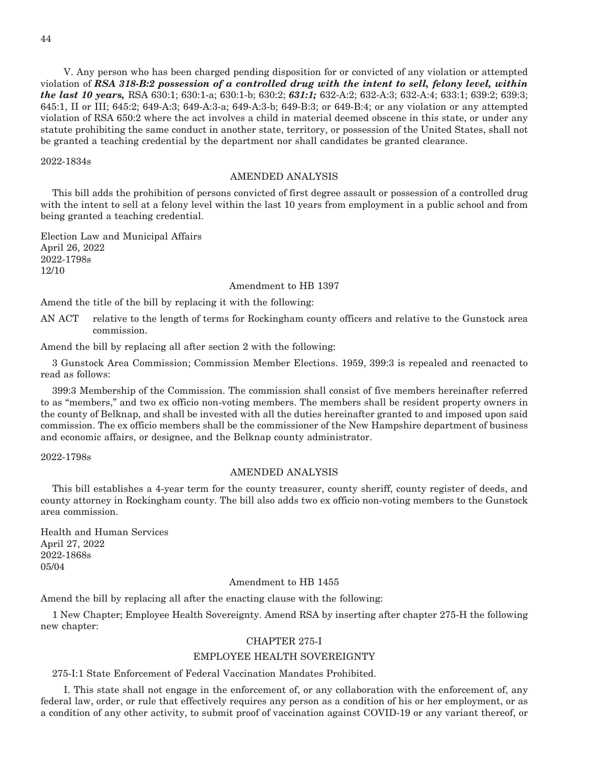V. Any person who has been charged pending disposition for or convicted of any violation or attempted violation of *RSA 318-B:2 possession of a controlled drug with the intent to sell, felony level, within the last 10 years,* RSA 630:1; 630:1-a; 630:1-b; 630:2; *631:1;* 632-A:2; 632-A:3; 632-A:4; 633:1; 639:2; 639:3; 645:1, II or III; 645:2; 649-A:3; 649-A:3-a; 649-A:3-b; 649-B:3; or 649-B:4; or any violation or any attempted violation of RSA 650:2 where the act involves a child in material deemed obscene in this state, or under any statute prohibiting the same conduct in another state, territory, or possession of the United States, shall not be granted a teaching credential by the department nor shall candidates be granted clearance.

2022-1834s

#### AMENDED ANALYSIS

This bill adds the prohibition of persons convicted of first degree assault or possession of a controlled drug with the intent to sell at a felony level within the last 10 years from employment in a public school and from being granted a teaching credential.

Election Law and Municipal Affairs April 26, 2022 2022-1798s 12/10

#### Amendment to HB 1397

Amend the title of the bill by replacing it with the following:

AN ACT relative to the length of terms for Rockingham county officers and relative to the Gunstock area commission.

Amend the bill by replacing all after section 2 with the following:

3 Gunstock Area Commission; Commission Member Elections. 1959, 399:3 is repealed and reenacted to read as follows:

399:3 Membership of the Commission. The commission shall consist of five members hereinafter referred to as "members," and two ex officio non-voting members. The members shall be resident property owners in the county of Belknap, and shall be invested with all the duties hereinafter granted to and imposed upon said commission. The ex officio members shall be the commissioner of the New Hampshire department of business and economic affairs, or designee, and the Belknap county administrator.

2022-1798s

#### AMENDED ANALYSIS

This bill establishes a 4-year term for the county treasurer, county sheriff, county register of deeds, and county attorney in Rockingham county. The bill also adds two ex officio non-voting members to the Gunstock area commission.

Health and Human Services April 27, 2022 2022-1868s 05/04

#### Amendment to HB 1455

Amend the bill by replacing all after the enacting clause with the following:

1 New Chapter; Employee Health Sovereignty. Amend RSA by inserting after chapter 275-H the following new chapter:

#### CHAPTER 275-I

#### EMPLOYEE HEALTH SOVEREIGNTY

275-I:1 State Enforcement of Federal Vaccination Mandates Prohibited.

 I. This state shall not engage in the enforcement of, or any collaboration with the enforcement of, any federal law, order, or rule that effectively requires any person as a condition of his or her employment, or as a condition of any other activity, to submit proof of vaccination against COVID-19 or any variant thereof, or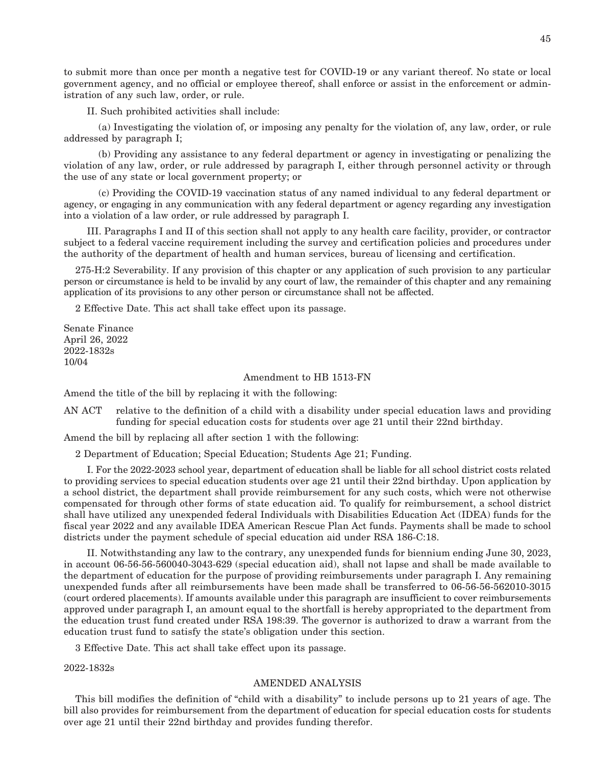to submit more than once per month a negative test for COVID-19 or any variant thereof. No state or local government agency, and no official or employee thereof, shall enforce or assist in the enforcement or administration of any such law, order, or rule.

II. Such prohibited activities shall include:

 (a) Investigating the violation of, or imposing any penalty for the violation of, any law, order, or rule addressed by paragraph I;

 (b) Providing any assistance to any federal department or agency in investigating or penalizing the violation of any law, order, or rule addressed by paragraph I, either through personnel activity or through the use of any state or local government property; or

 (c) Providing the COVID-19 vaccination status of any named individual to any federal department or agency, or engaging in any communication with any federal department or agency regarding any investigation into a violation of a law order, or rule addressed by paragraph I.

 III. Paragraphs I and II of this section shall not apply to any health care facility, provider, or contractor subject to a federal vaccine requirement including the survey and certification policies and procedures under the authority of the department of health and human services, bureau of licensing and certification.

275-H:2 Severability. If any provision of this chapter or any application of such provision to any particular person or circumstance is held to be invalid by any court of law, the remainder of this chapter and any remaining application of its provisions to any other person or circumstance shall not be affected.

2 Effective Date. This act shall take effect upon its passage.

Senate Finance April 26, 2022 2022-1832s 10/04

#### Amendment to HB 1513-FN

Amend the title of the bill by replacing it with the following:

AN ACT relative to the definition of a child with a disability under special education laws and providing funding for special education costs for students over age 21 until their 22nd birthday.

Amend the bill by replacing all after section 1 with the following:

2 Department of Education; Special Education; Students Age 21; Funding.

 I. For the 2022-2023 school year, department of education shall be liable for all school district costs related to providing services to special education students over age 21 until their 22nd birthday. Upon application by a school district, the department shall provide reimbursement for any such costs, which were not otherwise compensated for through other forms of state education aid. To qualify for reimbursement, a school district shall have utilized any unexpended federal Individuals with Disabilities Education Act (IDEA) funds for the fiscal year 2022 and any available IDEA American Rescue Plan Act funds. Payments shall be made to school districts under the payment schedule of special education aid under RSA 186-C:18.

 II. Notwithstanding any law to the contrary, any unexpended funds for biennium ending June 30, 2023, in account 06-56-56-560040-3043-629 (special education aid), shall not lapse and shall be made available to the department of education for the purpose of providing reimbursements under paragraph I. Any remaining unexpended funds after all reimbursements have been made shall be transferred to 06-56-56-562010-3015 (court ordered placements). If amounts available under this paragraph are insufficient to cover reimbursements approved under paragraph I, an amount equal to the shortfall is hereby appropriated to the department from the education trust fund created under RSA 198:39. The governor is authorized to draw a warrant from the education trust fund to satisfy the state's obligation under this section.

3 Effective Date. This act shall take effect upon its passage.

2022-1832s

#### AMENDED ANALYSIS

This bill modifies the definition of "child with a disability" to include persons up to 21 years of age. The bill also provides for reimbursement from the department of education for special education costs for students over age 21 until their 22nd birthday and provides funding therefor.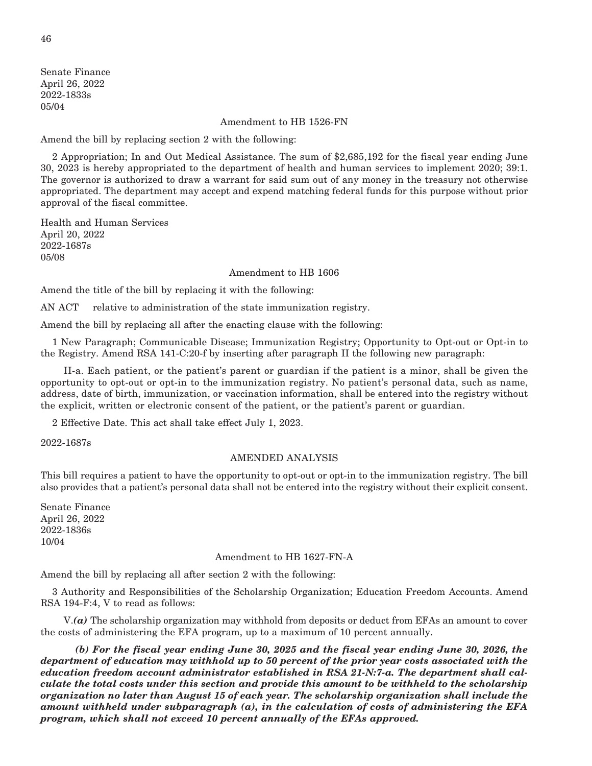Senate Finance April 26, 2022 2022-1833s 05/04

#### Amendment to HB 1526-FN

Amend the bill by replacing section 2 with the following:

2 Appropriation; In and Out Medical Assistance. The sum of \$2,685,192 for the fiscal year ending June 30, 2023 is hereby appropriated to the department of health and human services to implement 2020; 39:1. The governor is authorized to draw a warrant for said sum out of any money in the treasury not otherwise appropriated. The department may accept and expend matching federal funds for this purpose without prior approval of the fiscal committee.

Health and Human Services April 20, 2022 2022-1687s 05/08

#### Amendment to HB 1606

Amend the title of the bill by replacing it with the following:

AN ACT relative to administration of the state immunization registry.

Amend the bill by replacing all after the enacting clause with the following:

1 New Paragraph; Communicable Disease; Immunization Registry; Opportunity to Opt-out or Opt-in to the Registry. Amend RSA 141-C:20-f by inserting after paragraph II the following new paragraph:

 II-a. Each patient, or the patient's parent or guardian if the patient is a minor, shall be given the opportunity to opt-out or opt-in to the immunization registry. No patient's personal data, such as name, address, date of birth, immunization, or vaccination information, shall be entered into the registry without the explicit, written or electronic consent of the patient, or the patient's parent or guardian.

2 Effective Date. This act shall take effect July 1, 2023.

2022-1687s

#### AMENDED ANALYSIS

This bill requires a patient to have the opportunity to opt-out or opt-in to the immunization registry. The bill also provides that a patient's personal data shall not be entered into the registry without their explicit consent.

Senate Finance April 26, 2022 2022-1836s 10/04

#### Amendment to HB 1627-FN-A

Amend the bill by replacing all after section 2 with the following:

3 Authority and Responsibilities of the Scholarship Organization; Education Freedom Accounts. Amend RSA 194-F:4, V to read as follows:

 V.*(a)* The scholarship organization may withhold from deposits or deduct from EFAs an amount to cover the costs of administering the EFA program, up to a maximum of 10 percent annually.

 *(b) For the fiscal year ending June 30, 2025 and the fiscal year ending June 30, 2026, the department of education may withhold up to 50 percent of the prior year costs associated with the education freedom account administrator established in RSA 21-N:7-a. The department shall calculate the total costs under this section and provide this amount to be withheld to the scholarship organization no later than August 15 of each year. The scholarship organization shall include the amount withheld under subparagraph (a), in the calculation of costs of administering the EFA program, which shall not exceed 10 percent annually of the EFAs approved.*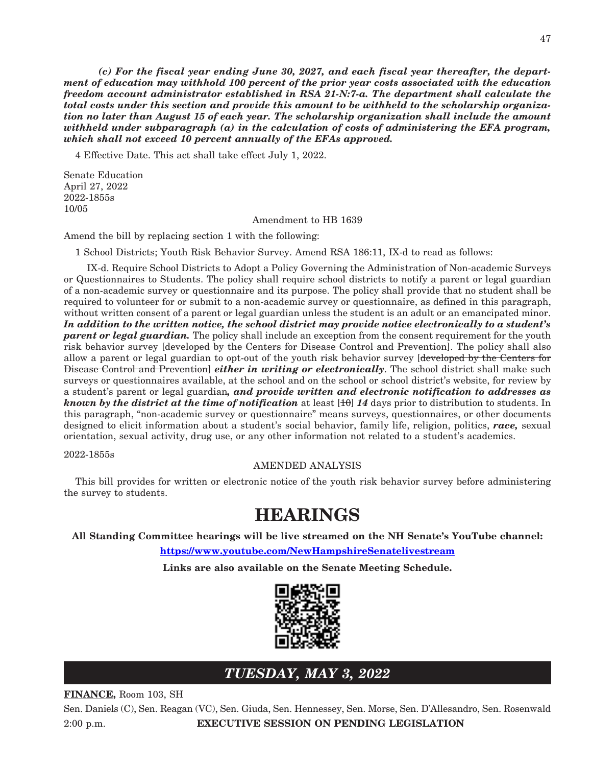*(c) For the fiscal year ending June 30, 2027, and each fiscal year thereafter, the department of education may withhold 100 percent of the prior year costs associated with the education freedom account administrator established in RSA 21-N:7-a. The department shall calculate the total costs under this section and provide this amount to be withheld to the scholarship organization no later than August 15 of each year. The scholarship organization shall include the amount withheld under subparagraph (a) in the calculation of costs of administering the EFA program, which shall not exceed 10 percent annually of the EFAs approved.*

4 Effective Date. This act shall take effect July 1, 2022.

Senate Education April 27, 2022 2022-1855s 10/05

Amendment to HB 1639

Amend the bill by replacing section 1 with the following:

1 School Districts; Youth Risk Behavior Survey. Amend RSA 186:11, IX-d to read as follows:

 IX-d. Require School Districts to Adopt a Policy Governing the Administration of Non-academic Surveys or Questionnaires to Students. The policy shall require school districts to notify a parent or legal guardian of a non-academic survey or questionnaire and its purpose. The policy shall provide that no student shall be required to volunteer for or submit to a non-academic survey or questionnaire, as defined in this paragraph, without written consent of a parent or legal guardian unless the student is an adult or an emancipated minor. *In addition to the written notice, the school district may provide notice electronically to a student's parent or legal guardian.* The policy shall include an exception from the consent requirement for the youth risk behavior survey [developed by the Centers for Disease Control and Prevention]. The policy shall also allow a parent or legal guardian to opt-out of the youth risk behavior survey [developed by the Centers for Disease Control and Prevention] *either in writing or electronically*. The school district shall make such surveys or questionnaires available, at the school and on the school or school district's website, for review by a student's parent or legal guardian*, and provide written and electronic notification to addresses as known by the district at the time of notification* at least  $[10]$  14 days prior to distribution to students. In this paragraph, "non-academic survey or questionnaire" means surveys, questionnaires, or other documents designed to elicit information about a student's social behavior, family life, religion, politics, *race,* sexual orientation, sexual activity, drug use, or any other information not related to a student's academics.

2022-1855s

#### AMENDED ANALYSIS

This bill provides for written or electronic notice of the youth risk behavior survey before administering the survey to students.

## **HEARINGS**

**All Standing Committee hearings will be live streamed on the NH Senate's YouTube channel:**

**<https://www.youtube.com/NewHampshireSenatelivestream>**

**Links are also available on the Senate Meeting Schedule.**



### *TUESDAY, MAY 3, 2022*

**FINANCE,** Room 103, SH

Sen. Daniels (C), Sen. Reagan (VC), Sen. Giuda, Sen. Hennessey, Sen. Morse, Sen. D'Allesandro, Sen. Rosenwald 2:00 p.m. **EXECUTIVE SESSION ON PENDING LEGISLATION**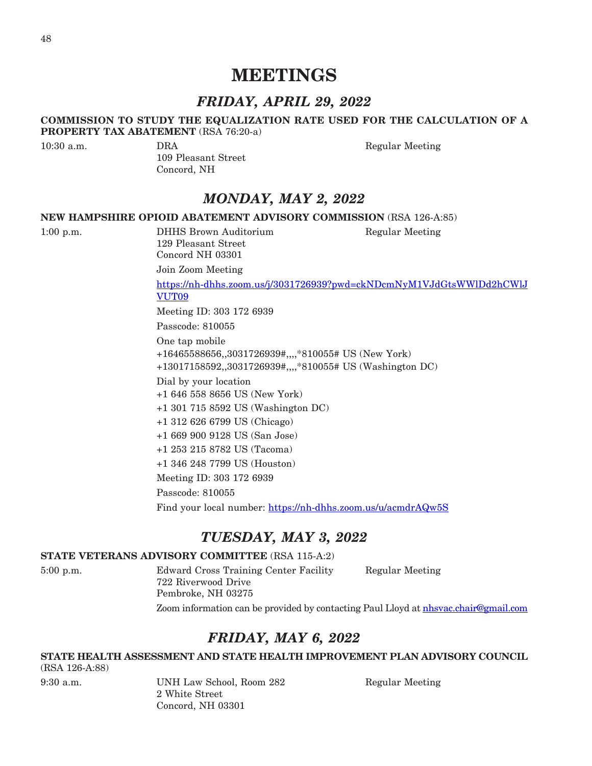## **MEETINGS**

### *FRIDAY, APRIL 29, 2022*

#### **COMMISSION TO STUDY THE EQUALIZATION RATE USED FOR THE CALCULATION OF A PROPERTY TAX ABATEMENT** (RSA 76:20-a)

109 Pleasant Street Concord, NH

10:30 a.m. **DRA** DRA Regular Meeting

## *MONDAY, MAY 2, 2022*

#### **NEW HAMPSHIRE OPIOID ABATEMENT ADVISORY COMMISSION** (RSA 126-A:85)

1:00 p.m. DHHS Brown Auditorium Regular Meeting 129 Pleasant Street Concord NH 03301

Join Zoom Meeting

[https://nh-dhhs.zoom.us/j/3031726939?pwd=ckNDcmNyM1VJdGtsWWlDd2hCWlJ](https://nh-dhhs.zoom.us/j/3031726939?pwd=ckNDcmNyM1VJdGtsWWlDd2hCWlJVUT09) [VUT09](https://nh-dhhs.zoom.us/j/3031726939?pwd=ckNDcmNyM1VJdGtsWWlDd2hCWlJVUT09)

Meeting ID: 303 172 6939

Passcode: 810055

One tap mobile +16465588656,,3031726939#,,,,\*810055# US (New York) +13017158592,,3031726939#,,,,\*810055# US (Washington DC)

Dial by your location

+1 646 558 8656 US (New York)

- +1 301 715 8592 US (Washington DC)
- +1 312 626 6799 US (Chicago)

+1 669 900 9128 US (San Jose)

+1 253 215 8782 US (Tacoma)

+1 346 248 7799 US (Houston)

Meeting ID: 303 172 6939

Passcode: 810055

Find your local number: <https://nh-dhhs.zoom.us/u/acmdrAQw5S>

### *TUESDAY, MAY 3, 2022*

#### **STATE VETERANS ADVISORY COMMITTEE** (RSA 115-A:2)

5:00 p.m. Edward Cross Training Center Facility Regular Meeting 722 Riverwood Drive Pembroke, NH 03275 Zoom information can be provided by contacting Paul Lloyd at [nhsvac.chair@gmail.com](mailto:nhsvac.chair@gmail.com)

## *FRIDAY, MAY 6, 2022*

#### **STATE HEALTH ASSESSMENT AND STATE HEALTH IMPROVEMENT PLAN ADVISORY COUNCIL**

(RSA 126-A:88)

9:30 a.m. UNH Law School, Room 282 Regular Meeting 2 White Street Concord, NH 03301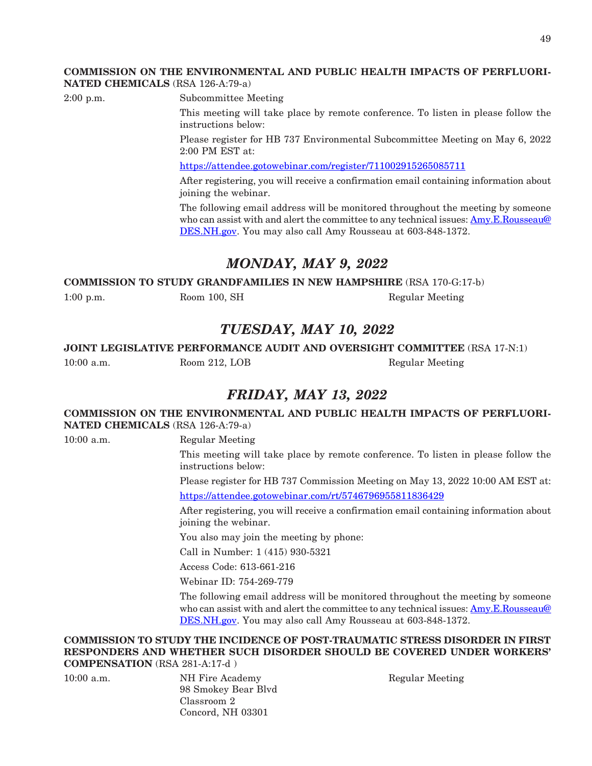#### **COMMISSION ON THE ENVIRONMENTAL AND PUBLIC HEALTH IMPACTS OF PERFLUORI-NATED CHEMICALS** (RSA 126-A:79-a)

2:00 p.m. Subcommittee Meeting

This meeting will take place by remote conference. To listen in please follow the instructions below:

Please register for HB 737 Environmental Subcommittee Meeting on May 6, 2022 2:00 PM EST at:

<https://attendee.gotowebinar.com/register/711002915265085711>

After registering, you will receive a confirmation email containing information about joining the webinar.

The following email address will be monitored throughout the meeting by someone who can assist with and alert the committee to any technical issues: [Amy.E.Rousseau@](mailto:Amy.E.Rousseau@DES.NH.gov) [DES.NH.gov](mailto:Amy.E.Rousseau@DES.NH.gov). You may also call Amy Rousseau at 603-848-1372.

## *MONDAY, MAY 9, 2022*

#### **COMMISSION TO STUDY GRANDFAMILIES IN NEW HAMPSHIRE** (RSA 170-G:17-b)

1:00 p.m. Room 100, SH Regular Meeting

## *TUESDAY, MAY 10, 2022*

**JOINT LEGISLATIVE PERFORMANCE AUDIT AND OVERSIGHT COMMITTEE** (RSA 17-N:1)

10:00 a.m. Room 212, LOB Regular Meeting

## *FRIDAY, MAY 13, 2022*

#### **COMMISSION ON THE ENVIRONMENTAL AND PUBLIC HEALTH IMPACTS OF PERFLUORI-NATED CHEMICALS** (RSA 126-A:79-a)

10:00 a.m. Regular Meeting

This meeting will take place by remote conference. To listen in please follow the instructions below:

Please register for HB 737 Commission Meeting on May 13, 2022 10:00 AM EST at: <https://attendee.gotowebinar.com/rt/5746796955811836429>

After registering, you will receive a confirmation email containing information about joining the webinar.

You also may join the meeting by phone:

Call in Number: 1 (415) 930-5321

Access Code: 613-661-216

Webinar ID: 754-269-779

The following email address will be monitored throughout the meeting by someone who can assist with and alert the committee to any technical issues: [Amy.E.Rousseau@](mailto:Amy.E.Rousseau@DES.NH.gov) [DES.NH.gov](mailto:Amy.E.Rousseau@DES.NH.gov). You may also call Amy Rousseau at 603-848-1372.

#### **COMMISSION TO STUDY THE INCIDENCE OF POST-TRAUMATIC STRESS DISORDER IN FIRST RESPONDERS AND WHETHER SUCH DISORDER SHOULD BE COVERED UNDER WORKERS' COMPENSATION** (RSA 281-A:17-d )

10:00 a.m. NH Fire Academy Regular Meeting 98 Smokey Bear Blvd Classroom 2 Concord, NH 03301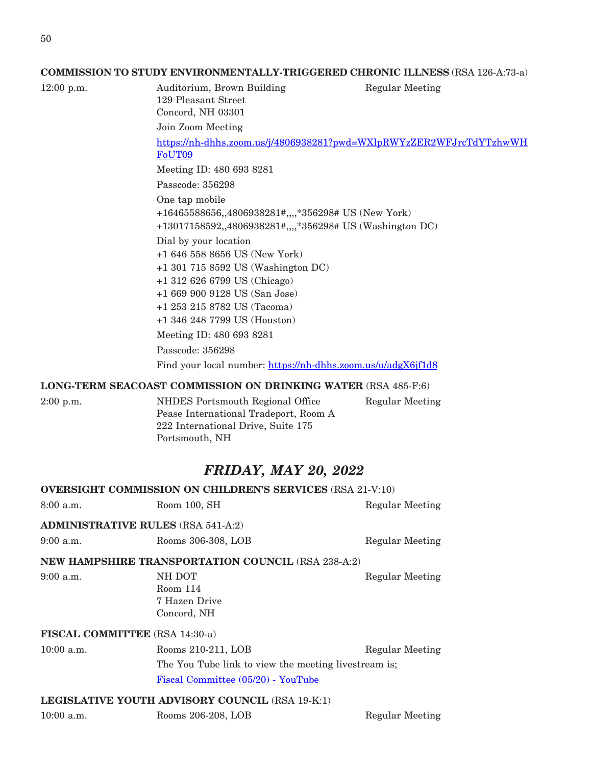#### **COMMISSION TO STUDY ENVIRONMENTALLY-TRIGGERED CHRONIC ILLNESS** (RSA 126-A:73-a)

12:00 p.m. Auditorium, Brown Building Regular Meeting

129 Pleasant Street Concord, NH 03301 Join Zoom Meeting [https://nh-dhhs.zoom.us/j/4806938281?pwd=WXlpRWYzZER2WFJrcTdYTzhwWH](https://nh-dhhs.zoom.us/j/4806938281?pwd=WXlpRWYzZER2WFJrcTdYTzhwWHFoUT09) [FoUT09](https://nh-dhhs.zoom.us/j/4806938281?pwd=WXlpRWYzZER2WFJrcTdYTzhwWHFoUT09) Meeting ID: 480 693 8281 Passcode: 356298 One tap mobile +16465588656,,4806938281#,,,,\*356298# US (New York) +13017158592,,4806938281#,,,,\*356298# US (Washington DC) Dial by your location +1 646 558 8656 US (New York) +1 301 715 8592 US (Washington DC) +1 312 626 6799 US (Chicago) +1 669 900 9128 US (San Jose) +1 253 215 8782 US (Tacoma) +1 346 248 7799 US (Houston) Meeting ID: 480 693 8281 Passcode: 356298

Find your local number: <https://nh-dhhs.zoom.us/u/adgX6jf1d8>

#### **LONG-TERM SEACOAST COMMISSION ON DRINKING WATER** (RSA 485-F:6)

| $2:00$ p.m. | NHDES Portsmouth Regional Office      | Regular Meeting |
|-------------|---------------------------------------|-----------------|
|             | Pease International Tradeport, Room A |                 |
|             | 222 International Drive, Suite 175    |                 |
|             | Portsmouth, NH                        |                 |
|             |                                       |                 |

### *FRIDAY, MAY 20, 2022*

|                                                        | <b>OVERSIGHT COMMISSION ON CHILDREN'S SERVICES (RSA 21-V:10)</b>                                                                    |                 |  |  |
|--------------------------------------------------------|-------------------------------------------------------------------------------------------------------------------------------------|-----------------|--|--|
| $8:00$ a.m.                                            | Room 100, SH                                                                                                                        | Regular Meeting |  |  |
| <b>ADMINISTRATIVE RULES (RSA 541-A:2)</b>              |                                                                                                                                     |                 |  |  |
| $9:00$ a.m.                                            | Rooms 306-308, LOB                                                                                                                  | Regular Meeting |  |  |
|                                                        | <b>NEW HAMPSHIRE TRANSPORTATION COUNCIL (RSA 238-A:2)</b>                                                                           |                 |  |  |
| $9:00$ a.m.                                            | NH DOT<br>Room 114<br>7 Hazen Drive<br>Concord, NH                                                                                  | Regular Meeting |  |  |
| FISCAL COMMITTEE (RSA 14:30-a)                         |                                                                                                                                     |                 |  |  |
| $10:00$ a.m.                                           | Rooms 210-211, LOB<br>Regular Meeting<br>The You Tube link to view the meeting livestream is;<br>Fiscal Committee (05/20) - YouTube |                 |  |  |
| <b>LEGISLATIVE YOUTH ADVISORY COUNCIL (RSA 19-K:1)</b> |                                                                                                                                     |                 |  |  |

10:00 a.m. Rooms 206-208, LOB Regular Meeting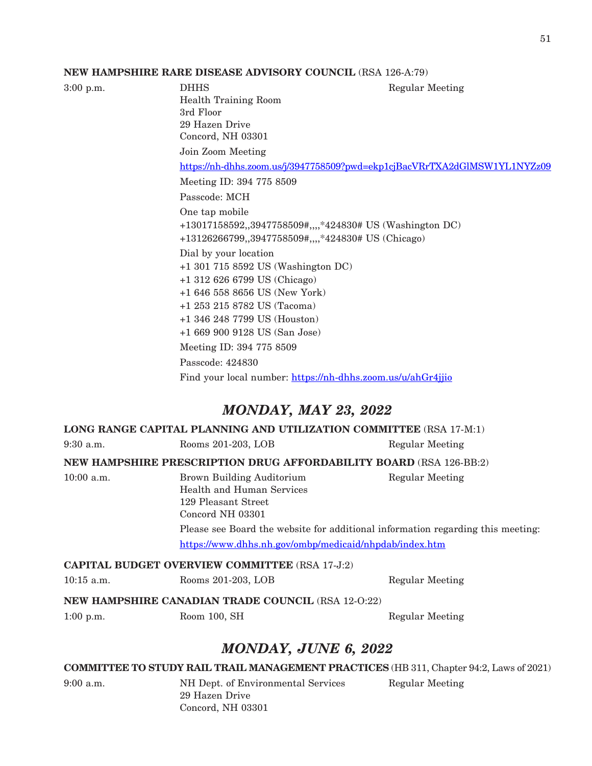#### **NEW HAMPSHIRE RARE DISEASE ADVISORY COUNCIL** (RSA 126-A:79)

DHHS Regular Meeting Health Training Room 3rd Floor 29 Hazen Drive Concord, NH 03301 Join Zoom Meeting <https://nh-dhhs.zoom.us/j/3947758509?pwd=ekp1cjBacVRrTXA2dGlMSW1YL1NYZz09> Meeting ID: 394 775 8509 Passcode: MCH One tap mobile +13017158592,,3947758509#,,,,\*424830# US (Washington DC) +13126266799,,3947758509#,,,,\*424830# US (Chicago) Dial by your location +1 301 715 8592 US (Washington DC) +1 312 626 6799 US (Chicago) +1 646 558 8656 US (New York) +1 253 215 8782 US (Tacoma) +1 346 248 7799 US (Houston) +1 669 900 9128 US (San Jose) Meeting ID: 394 775 8509 Passcode: 424830 Find your local number: <https://nh-dhhs.zoom.us/u/ahGr4jjio>

### *MONDAY, MAY 23, 2022*

#### **LONG RANGE CAPITAL PLANNING AND UTILIZATION COMMITTEE** (RSA 17-M:1)

9:30 a.m. Rooms 201-203, LOB Regular Meeting

**NEW HAMPSHIRE PRESCRIPTION DRUG AFFORDABILITY BOARD** (RSA 126-BB:2)

10:00 a.m. Brown Building Auditorium Regular Meeting Health and Human Services 129 Pleasant Street Concord NH 03301 Please see Board the website for additional information regarding this meeting: <https://www.dhhs.nh.gov/ombp/medicaid/nhpdab/index.htm>

#### **CAPITAL BUDGET OVERVIEW COMMITTEE** (RSA 17-J:2)

10:15 a.m. Rooms 201-203, LOB Regular Meeting

#### **NEW HAMPSHIRE CANADIAN TRADE COUNCIL** (RSA 12-O:22)

1:00 p.m. Room 100, SH Regular Meeting

### *MONDAY, JUNE 6, 2022*

#### **COMMITTEE TO STUDY RAIL TRAIL MANAGEMENT PRACTICES** (HB 311, Chapter 94:2, Laws of 2021)

29 Hazen Drive Concord, NH 03301

9:00 a.m. NH Dept. of Environmental Services Regular Meeting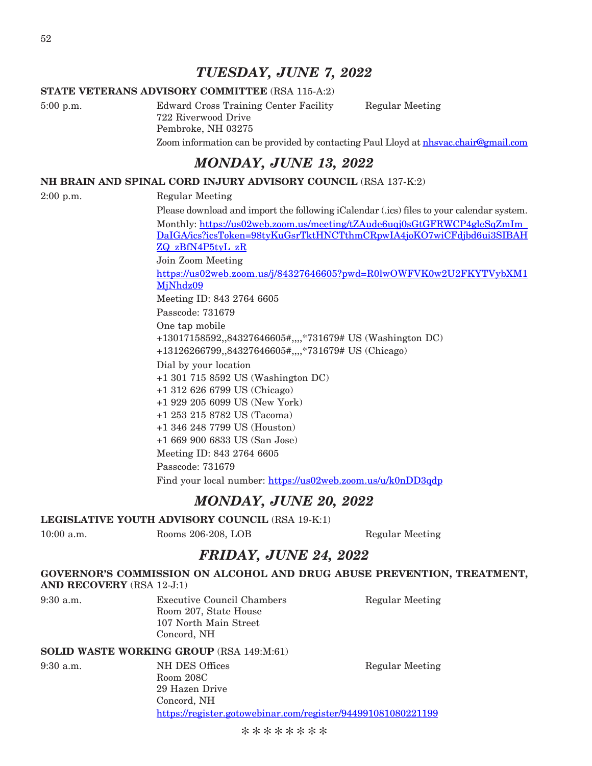### *TUESDAY, JUNE 7, 2022*

#### **STATE VETERANS ADVISORY COMMITTEE** (RSA 115-A:2)

5:00 p.m. Edward Cross Training Center Facility Regular Meeting 722 Riverwood Drive Pembroke, NH 03275 Zoom information can be provided by contacting Paul Lloyd at [nhsvac.chair@gmail.com](mailto:nhsvac.chair@gmail.com)

## *MONDAY, JUNE 13, 2022*

#### **NH BRAIN AND SPINAL CORD INJURY ADVISORY COUNCIL** (RSA 137-K:2)

#### 2:00 p.m. Regular Meeting

Please download and import the following iCalendar (.ics) files to your calendar system. Monthly: [https://us02web.zoom.us/meeting/tZAude6uqj0sGtGFRWCP4gleSqZmIm\\_](https://us02web.zoom.us/meeting/tZAude6uqj0sGtGFRWCP4gleSqZmIm_DaIGA/ics?icsToken=98tyKuGsrTktHNCTthmCRpwIA4joKO7wiCFdjbd6ui3SIBAHZQ_zBfN4P5tyL_zR) [DaIGA/ics?icsToken=98tyKuGsrTktHNCTthmCRpwIA4joKO7wiCFdjbd6ui3SIBAH](https://us02web.zoom.us/meeting/tZAude6uqj0sGtGFRWCP4gleSqZmIm_DaIGA/ics?icsToken=98tyKuGsrTktHNCTthmCRpwIA4joKO7wiCFdjbd6ui3SIBAHZQ_zBfN4P5tyL_zR) [ZQ\\_zBfN4P5tyL\\_zR](https://us02web.zoom.us/meeting/tZAude6uqj0sGtGFRWCP4gleSqZmIm_DaIGA/ics?icsToken=98tyKuGsrTktHNCTthmCRpwIA4joKO7wiCFdjbd6ui3SIBAHZQ_zBfN4P5tyL_zR)

Join Zoom Meeting

[https://us02web.zoom.us/j/84327646605?pwd=R0lwOWFVK0w2U2FKYTVybXM1](https://us02web.zoom.us/j/84327646605?pwd=R0lwOWFVK0w2U2FKYTVybXM1MjNhdz09) [MjNhdz09](https://us02web.zoom.us/j/84327646605?pwd=R0lwOWFVK0w2U2FKYTVybXM1MjNhdz09)

Meeting ID: 843 2764 6605

Passcode: 731679

One tap mobile +13017158592,,84327646605#,,,,\*731679# US (Washington DC) +13126266799,,84327646605#,,,,\*731679# US (Chicago)

Dial by your location +1 301 715 8592 US (Washington DC)

+1 312 626 6799 US (Chicago)

+1 929 205 6099 US (New York)

+1 253 215 8782 US (Tacoma)

+1 346 248 7799 US (Houston)

+1 669 900 6833 US (San Jose)

Meeting ID: 843 2764 6605

Passcode: 731679

Find your local number: <https://us02web.zoom.us/u/k0nDD3qdp>

### *MONDAY, JUNE 20, 2022*

**LEGISLATIVE YOUTH ADVISORY COUNCIL** (RSA 19-K:1)

10:00 a.m. Rooms 206-208, LOB Regular Meeting

### *FRIDAY, JUNE 24, 2022*

#### **GOVERNOR'S COMMISSION ON ALCOHOL AND DRUG ABUSE PREVENTION, TREATMENT,**

**AND RECOVERY** (RSA 12-J:1)

9:30 a.m. Executive Council Chambers Regular Meeting Room 207, State House 107 North Main Street Concord, NH

#### **SOLID WASTE WORKING GROUP** (RSA 149:M:61)

9:30 a.m. NH DES Offices Regular Meeting Room 208C 29 Hazen Drive Concord, NH https://register.gotowebinar.com/register/944991081080221199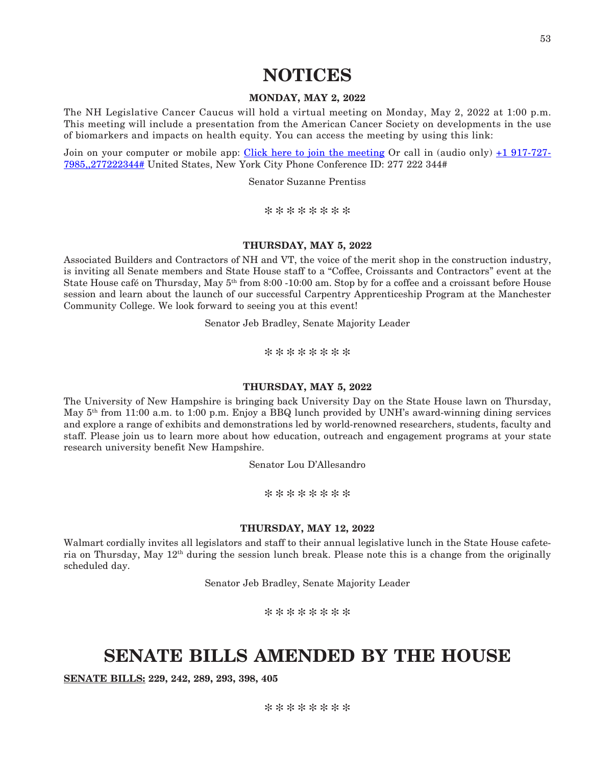#### **MONDAY, MAY 2, 2022**

The NH Legislative Cancer Caucus will hold a virtual meeting on Monday, May 2, 2022 at 1:00 p.m. This meeting will include a presentation from the American Cancer Society on developments in the use of biomarkers and impacts on health equity. You can access the meeting by using this link:

Join on your computer or mobile app: [Click here to join the meeting](https://us-east-2.protection.sophos.com?d=microsoft.com&u=aHR0cHM6Ly90ZWFtcy5taWNyb3NvZnQuY29tL2wvbWVldHVwLWpvaW4vMTklM2FtZWV0aW5nX01HSmxNMlkzWlRRdE5tTmpNeTAwTUdZd0xXRTBOek10TjJWalpHRTBNRE0xWldSayU0MHRocmVhZC52Mi8wP2NvbnRleHQ9JTdiJTIyVGlkJTIyJTNhJTIyYWZiYjc2OGMtZDY4Mi00MmFkLThmN2UtNzIwMmQwNmMwYjYxJTIyJTJjJTIyT2lkJTIyJTNhJTIyODUxOWY0ZjAtNDcxNi00NzdkLTg1OTItMjNlYWJhZTRhYzQzJTIyJTdk&i=NWZlMzlkYjk1MDY3MGEwZWNiMTY0MTE2&t=Ym5pd0Y4Z2pJWGQrM3ZhR1o4OXgwaFA2MkFkWFdhLzc0MWtiWVB4c0Y0az0=&h=7a2a10c490ef46008947ea692e6bded4) Or call in (audio only) [+1 917-727-](tel:+19177277985,,277222344) [7985,,277222344#](tel:+19177277985,,277222344) United States, New York City Phone Conference ID: 277 222 344#

Senator Suzanne Prentiss

\*\*\*\*\*\*\*\*

#### **THURSDAY, MAY 5, 2022**

Associated Builders and Contractors of NH and VT, the voice of the merit shop in the construction industry, is inviting all Senate members and State House staff to a "Coffee, Croissants and Contractors" event at the State House café on Thursday, May 5<sup>th</sup> from 8:00 -10:00 am. Stop by for a coffee and a croissant before House session and learn about the launch of our successful Carpentry Apprenticeship Program at the Manchester Community College. We look forward to seeing you at this event!

Senator Jeb Bradley, Senate Majority Leader

\*\*\*\*\*\*\*\*

#### **THURSDAY, MAY 5, 2022**

The University of New Hampshire is bringing back University Day on the State House lawn on Thursday, May 5th from 11:00 a.m. to 1:00 p.m. Enjoy a BBQ lunch provided by UNH's award-winning dining services and explore a range of exhibits and demonstrations led by world-renowned researchers, students, faculty and staff. Please join us to learn more about how education, outreach and engagement programs at your state research university benefit New Hampshire.

Senator Lou D'Allesandro

\*\*\*\*\*\*\*\*

#### **THURSDAY, MAY 12, 2022**

Walmart cordially invites all legislators and staff to their annual legislative lunch in the State House cafeteria on Thursday, May 12th during the session lunch break. Please note this is a change from the originally scheduled day.

Senator Jeb Bradley, Senate Majority Leader

\*\*\*\*\*\*\*\*

## **SENATE BILLS AMENDED BY THE HOUSE**

**SENATE BILLS: 229, 242, 289, 293, 398, 405**